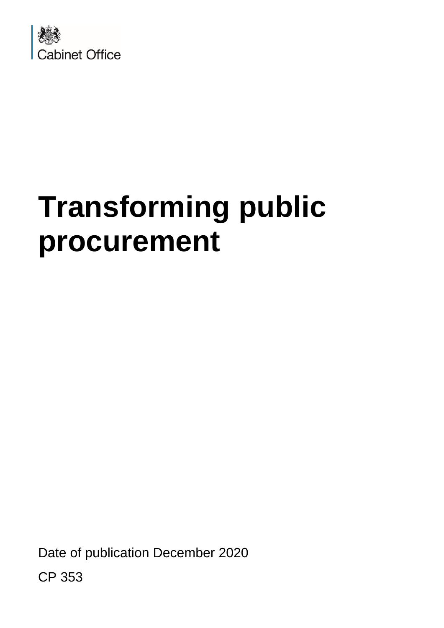

# **Transforming public procurement**

Date of publication December 2020 CP 353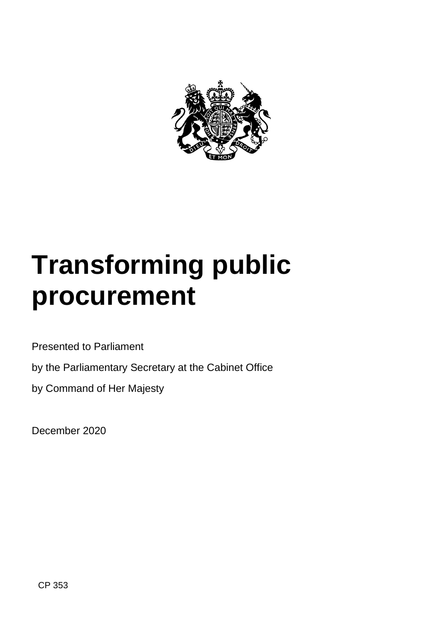

# **Transforming public procurement**

Presented to Parliament

by the Parliamentary Secretary at the Cabinet Office

by Command of Her Majesty

December 2020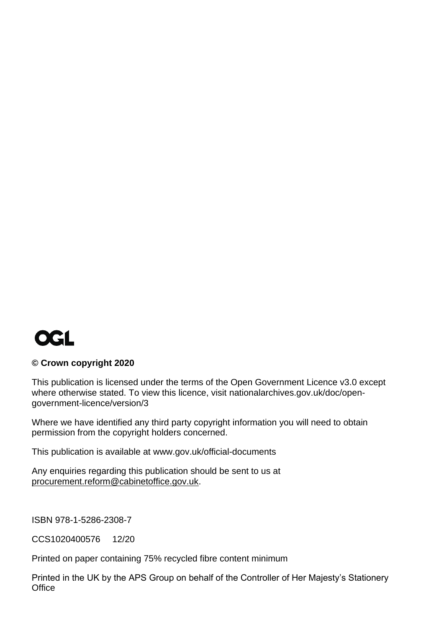

#### **© Crown copyright 2020**

This publication is licensed under the terms of the Open Government Licence v3.0 except where otherwise stated. To view this licence, visit [nationalarchives.gov.uk/doc/open](http://nationalarchives.gov.uk/doc/open-government-licence/version/3/)[government-licence/version/3](http://nationalarchives.gov.uk/doc/open-government-licence/version/3/)

Where we have identified any third party copyright information you will need to obtain permission from the copyright holders concerned.

This publication is available at [www.gov.uk/official-documents](http://www.gov.uk/official-documents)

Any enquiries regarding this publication should be sent to us at [procurement.reform@cabinetoffice.gov.uk.](mailto:procurement.reform@cabinetoffice.gov.uk)

ISBN 978-1-5286-2308-7

CCS1020400576 12/20

Printed on paper containing 75% recycled fibre content minimum

Printed in the UK by the APS Group on behalf of the Controller of Her Majesty's Stationery **Office**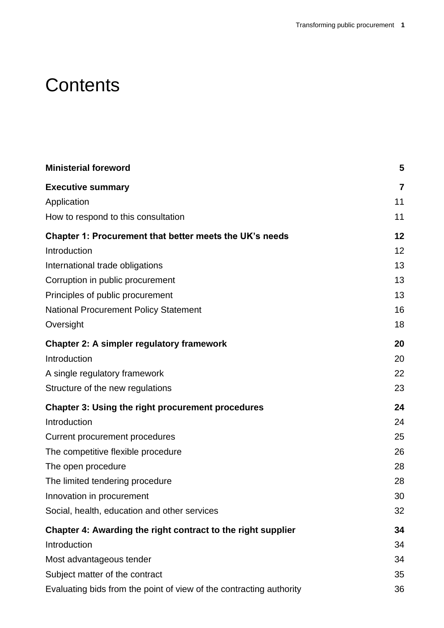# **Contents**

| <b>Ministerial foreword</b>                                         | 5              |
|---------------------------------------------------------------------|----------------|
| <b>Executive summary</b>                                            | $\overline{7}$ |
| Application                                                         | 11             |
| How to respond to this consultation                                 | 11             |
| Chapter 1: Procurement that better meets the UK's needs             | 12             |
| Introduction                                                        | 12             |
| International trade obligations                                     | 13             |
| Corruption in public procurement                                    | 13             |
| Principles of public procurement                                    | 13             |
| <b>National Procurement Policy Statement</b>                        | 16             |
| Oversight                                                           | 18             |
| <b>Chapter 2: A simpler regulatory framework</b>                    | 20             |
| Introduction                                                        | 20             |
| A single regulatory framework                                       | 22             |
| Structure of the new regulations                                    | 23             |
| <b>Chapter 3: Using the right procurement procedures</b>            | 24             |
| Introduction                                                        | 24             |
| Current procurement procedures                                      | 25             |
| The competitive flexible procedure                                  | 26             |
| The open procedure                                                  | 28             |
| The limited tendering procedure                                     | 28             |
| Innovation in procurement                                           | 30             |
| Social, health, education and other services                        | 32             |
| Chapter 4: Awarding the right contract to the right supplier        | 34             |
| Introduction                                                        | 34             |
| Most advantageous tender                                            | 34             |
| Subject matter of the contract                                      | 35             |
| Evaluating bids from the point of view of the contracting authority | 36             |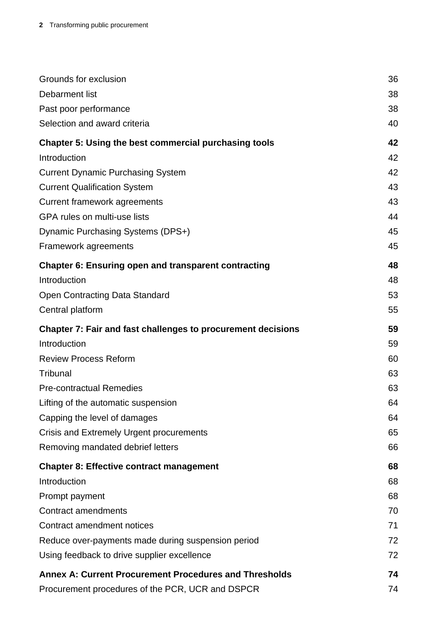| Grounds for exclusion                                         | 36 |
|---------------------------------------------------------------|----|
| Debarment list                                                | 38 |
| Past poor performance                                         | 38 |
| Selection and award criteria                                  | 40 |
| Chapter 5: Using the best commercial purchasing tools         | 42 |
| Introduction                                                  | 42 |
| <b>Current Dynamic Purchasing System</b>                      | 42 |
| <b>Current Qualification System</b>                           | 43 |
| <b>Current framework agreements</b>                           | 43 |
| GPA rules on multi-use lists                                  | 44 |
| Dynamic Purchasing Systems (DPS+)                             | 45 |
| Framework agreements                                          | 45 |
| <b>Chapter 6: Ensuring open and transparent contracting</b>   | 48 |
| Introduction                                                  | 48 |
| <b>Open Contracting Data Standard</b>                         | 53 |
| Central platform                                              | 55 |
| Chapter 7: Fair and fast challenges to procurement decisions  | 59 |
| Introduction                                                  | 59 |
| <b>Review Process Reform</b>                                  | 60 |
| Tribunal                                                      | 63 |
| <b>Pre-contractual Remedies</b>                               | 63 |
| Lifting of the automatic suspension                           | 64 |
| Capping the level of damages                                  | 64 |
| Crisis and Extremely Urgent procurements                      | 65 |
| Removing mandated debrief letters                             | 66 |
| <b>Chapter 8: Effective contract management</b>               | 68 |
| Introduction                                                  | 68 |
| Prompt payment                                                | 68 |
| Contract amendments                                           | 70 |
| Contract amendment notices                                    | 71 |
| Reduce over-payments made during suspension period            | 72 |
| Using feedback to drive supplier excellence                   | 72 |
| <b>Annex A: Current Procurement Procedures and Thresholds</b> | 74 |
| Procurement procedures of the PCR, UCR and DSPCR              | 74 |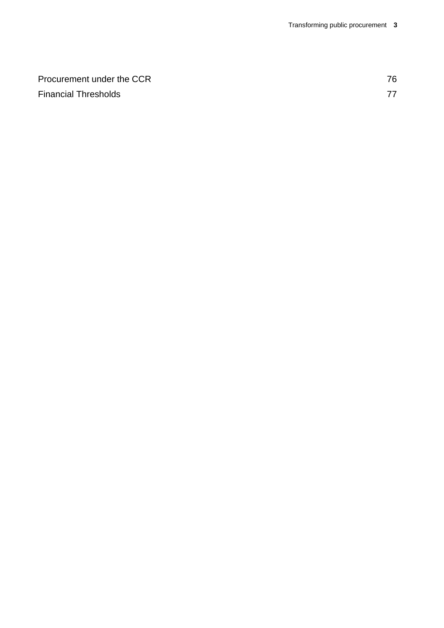| Procurement under the CCR   | 76 |
|-----------------------------|----|
| <b>Financial Thresholds</b> | 77 |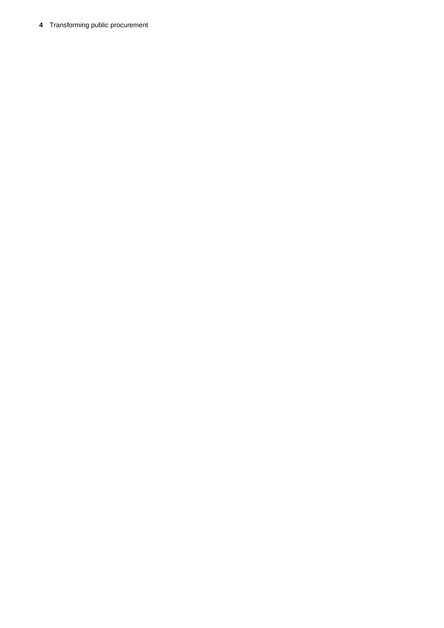Transforming public procurement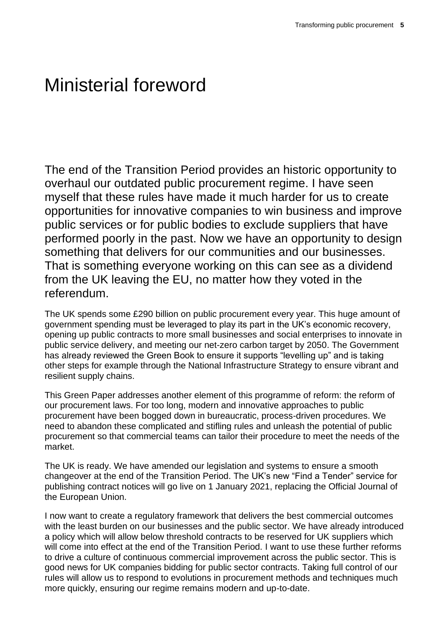# <span id="page-7-0"></span>Ministerial foreword

The end of the Transition Period provides an historic opportunity to overhaul our outdated public procurement regime. I have seen myself that these rules have made it much harder for us to create opportunities for innovative companies to win business and improve public services or for public bodies to exclude suppliers that have performed poorly in the past. Now we have an opportunity to design something that delivers for our communities and our businesses. That is something everyone working on this can see as a dividend from the UK leaving the EU, no matter how they voted in the referendum.

The UK spends some £290 billion on public procurement every year. This huge amount of government spending must be leveraged to play its part in the UK's economic recovery, opening up public contracts to more small businesses and social enterprises to innovate in public service delivery, and meeting our net-zero carbon target by 2050. The Government has already reviewed the Green Book to ensure it supports "levelling up" and is taking other steps for example through the National Infrastructure Strategy to ensure vibrant and resilient supply chains.

This Green Paper addresses another element of this programme of reform: the reform of our procurement laws. For too long, modern and innovative approaches to public procurement have been bogged down in bureaucratic, process-driven procedures. We need to abandon these complicated and stifling rules and unleash the potential of public procurement so that commercial teams can tailor their procedure to meet the needs of the market.

The UK is ready. We have amended our legislation and systems to ensure a smooth changeover at the end of the Transition Period. The UK's new "Find a Tender" service for publishing contract notices will go live on 1 January 2021, replacing the Official Journal of the European Union.

I now want to create a regulatory framework that delivers the best commercial outcomes with the least burden on our businesses and the public sector. We have already introduced a policy which will allow below threshold contracts to be reserved for UK suppliers which will come into effect at the end of the Transition Period. I want to use these further reforms to drive a culture of continuous commercial improvement across the public sector. This is good news for UK companies bidding for public sector contracts. Taking full control of our rules will allow us to respond to evolutions in procurement methods and techniques much more quickly, ensuring our regime remains modern and up-to-date.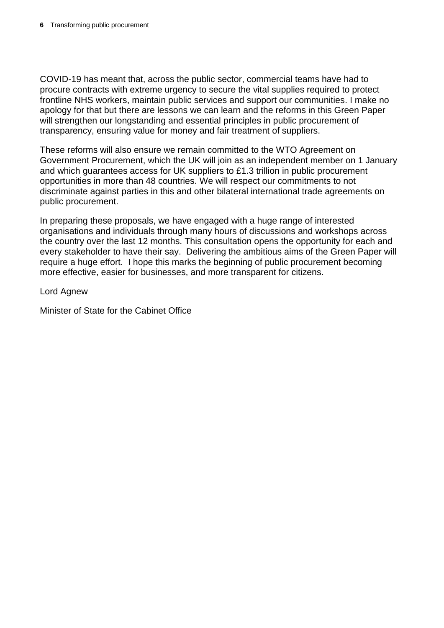COVID-19 has meant that, across the public sector, commercial teams have had to procure contracts with extreme urgency to secure the vital supplies required to protect frontline NHS workers, maintain public services and support our communities. I make no apology for that but there are lessons we can learn and the reforms in this Green Paper will strengthen our longstanding and essential principles in public procurement of transparency, ensuring value for money and fair treatment of suppliers.

These reforms will also ensure we remain committed to the WTO Agreement on Government Procurement, which the UK will join as an independent member on 1 January and which guarantees access for UK suppliers to £1.3 trillion in public procurement opportunities in more than 48 countries. We will respect our commitments to not discriminate against parties in this and other bilateral international trade agreements on public procurement.

In preparing these proposals, we have engaged with a huge range of interested organisations and individuals through many hours of discussions and workshops across the country over the last 12 months. This consultation opens the opportunity for each and every stakeholder to have their say. Delivering the ambitious aims of the Green Paper will require a huge effort. I hope this marks the beginning of public procurement becoming more effective, easier for businesses, and more transparent for citizens.

Lord Agnew

Minister of State for the Cabinet Office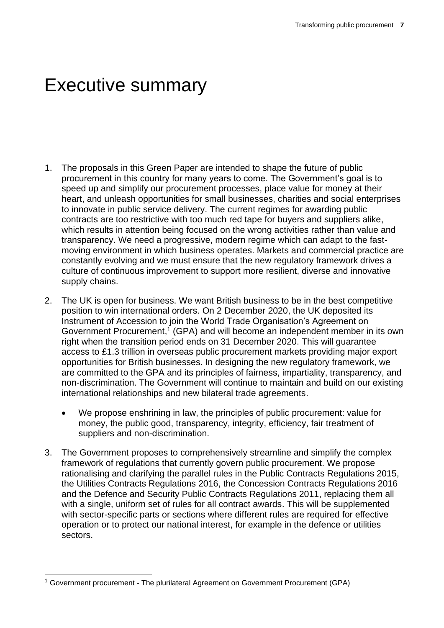# <span id="page-9-0"></span>Executive summary

- 1. The proposals in this Green Paper are intended to shape the future of public procurement in this country for many years to come. The Government's goal is to speed up and simplify our procurement processes, place value for money at their heart, and unleash opportunities for small businesses, charities and social enterprises to innovate in public service delivery. The current regimes for awarding public contracts are too restrictive with too much red tape for buyers and suppliers alike, which results in attention being focused on the wrong activities rather than value and transparency. We need a progressive, modern regime which can adapt to the fastmoving environment in which business operates. Markets and commercial practice are constantly evolving and we must ensure that the new regulatory framework drives a culture of continuous improvement to support more resilient, diverse and innovative supply chains.
- 2. The UK is open for business. We want British business to be in the best competitive position to win international orders. On 2 December 2020, the UK deposited its Instrument of Accession to join the World Trade Organisation's Agreement on Government Procurement, 1 (GPA) and will become an independent member in its own right when the transition period ends on 31 December 2020. This will guarantee access to £1.3 trillion in overseas public procurement markets providing major export opportunities for British businesses. In designing the new regulatory framework, we are committed to the GPA and its principles of fairness, impartiality, transparency, and non-discrimination. The Government will continue to maintain and build on our existing international relationships and new bilateral trade agreements.
	- We propose enshrining in law, the principles of public procurement: value for money, the public good, transparency, integrity, efficiency, fair treatment of suppliers and non-discrimination.
- 3. The Government proposes to comprehensively streamline and simplify the complex framework of regulations that currently govern public procurement. We propose rationalising and clarifying the parallel rules in the Public Contracts Regulations 2015, the Utilities Contracts Regulations 2016, the Concession Contracts Regulations 2016 and the Defence and Security Public Contracts Regulations 2011, replacing them all with a single, uniform set of rules for all contract awards. This will be supplemented with sector-specific parts or sections where different rules are required for effective operation or to protect our national interest, for example in the defence or utilities sectors.

<sup>&</sup>lt;sup>1</sup> Government procurement - [The plurilateral Agreement on Government Procurement \(GPA\)](https://www.wto.org/english/tratop_e/gproc_e/gp_gpa_e.htm)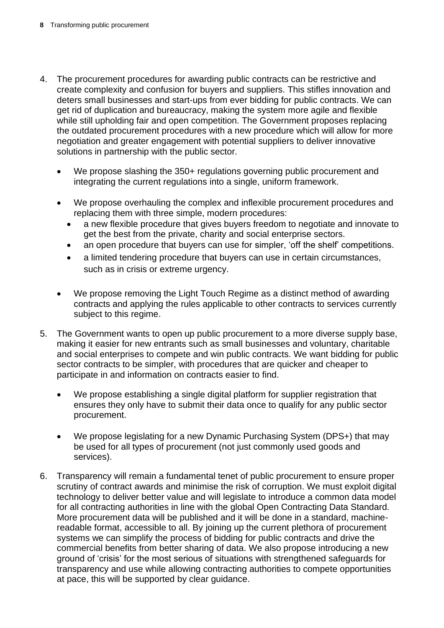- 4. The procurement procedures for awarding public contracts can be restrictive and create complexity and confusion for buyers and suppliers. This stifles innovation and deters small businesses and start-ups from ever bidding for public contracts. We can get rid of duplication and bureaucracy, making the system more agile and flexible while still upholding fair and open competition. The Government proposes replacing the outdated procurement procedures with a new procedure which will allow for more negotiation and greater engagement with potential suppliers to deliver innovative solutions in partnership with the public sector.
	- We propose slashing the 350+ regulations governing public procurement and integrating the current regulations into a single, uniform framework.
	- We propose overhauling the complex and inflexible procurement procedures and replacing them with three simple, modern procedures:
		- a new flexible procedure that gives buyers freedom to negotiate and innovate to get the best from the private, charity and social enterprise sectors.
		- an open procedure that buyers can use for simpler, 'off the shelf' competitions.
		- a limited tendering procedure that buyers can use in certain circumstances, such as in crisis or extreme urgency.
	- We propose removing the Light Touch Regime as a distinct method of awarding contracts and applying the rules applicable to other contracts to services currently subject to this regime.
- 5. The Government wants to open up public procurement to a more diverse supply base, making it easier for new entrants such as small businesses and voluntary, charitable and social enterprises to compete and win public contracts. We want bidding for public sector contracts to be simpler, with procedures that are quicker and cheaper to participate in and information on contracts easier to find.
	- We propose establishing a single digital platform for supplier registration that ensures they only have to submit their data once to qualify for any public sector procurement.
	- We propose legislating for a new Dynamic Purchasing System (DPS+) that may be used for all types of procurement (not just commonly used goods and services).
- 6. Transparency will remain a fundamental tenet of public procurement to ensure proper scrutiny of contract awards and minimise the risk of corruption. We must exploit digital technology to deliver better value and will legislate to introduce a common data model for all contracting authorities in line with the global Open Contracting Data Standard. More procurement data will be published and it will be done in a standard, machinereadable format, accessible to all. By joining up the current plethora of procurement systems we can simplify the process of bidding for public contracts and drive the commercial benefits from better sharing of data. We also propose introducing a new ground of 'crisis' for the most serious of situations with strengthened safeguards for transparency and use while allowing contracting authorities to compete opportunities at pace, this will be supported by clear guidance.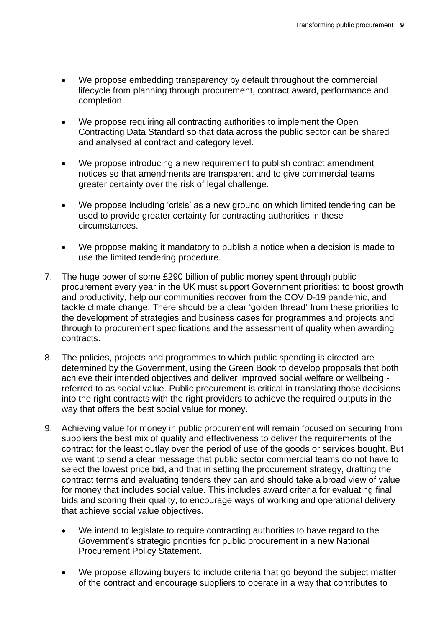- We propose embedding transparency by default throughout the commercial lifecycle from planning through procurement, contract award, performance and completion.
- We propose requiring all contracting authorities to implement the Open Contracting Data Standard so that data across the public sector can be shared and analysed at contract and category level.
- We propose introducing a new requirement to publish contract amendment notices so that amendments are transparent and to give commercial teams greater certainty over the risk of legal challenge.
- We propose including 'crisis' as a new ground on which limited tendering can be used to provide greater certainty for contracting authorities in these circumstances.
- We propose making it mandatory to publish a notice when a decision is made to use the limited tendering procedure.
- 7. The huge power of some £290 billion of public money spent through public procurement every year in the UK must support Government priorities: to boost growth and productivity, help our communities recover from the COVID-19 pandemic, and tackle climate change. There should be a clear 'golden thread' from these priorities to the development of strategies and business cases for programmes and projects and through to procurement specifications and the assessment of quality when awarding contracts.
- 8. The policies, projects and programmes to which public spending is directed are determined by the Government, using the Green Book to develop proposals that both achieve their intended objectives and deliver improved social welfare or wellbeing referred to as social value. Public procurement is critical in translating those decisions into the right contracts with the right providers to achieve the required outputs in the way that offers the best social value for money.
- 9. Achieving value for money in public procurement will remain focused on securing from suppliers the best mix of quality and effectiveness to deliver the requirements of the contract for the least outlay over the period of use of the goods or services bought. But we want to send a clear message that public sector commercial teams do not have to select the lowest price bid, and that in setting the procurement strategy, drafting the contract terms and evaluating tenders they can and should take a broad view of value for money that includes social value. This includes award criteria for evaluating final bids and scoring their quality, to encourage ways of working and operational delivery that achieve social value objectives.
	- We intend to legislate to require contracting authorities to have regard to the Government's strategic priorities for public procurement in a new National Procurement Policy Statement.
	- We propose allowing buyers to include criteria that go beyond the subject matter of the contract and encourage suppliers to operate in a way that contributes to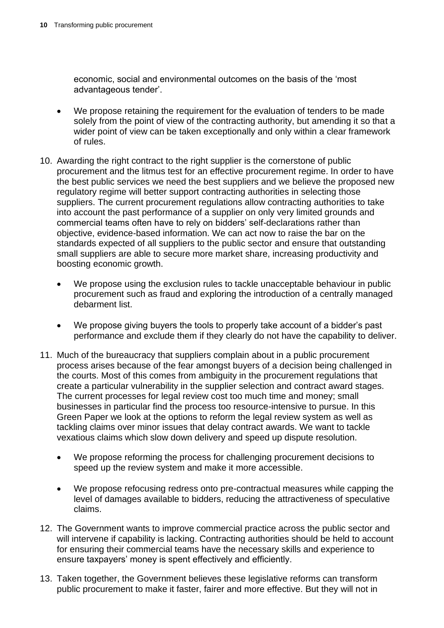economic, social and environmental outcomes on the basis of the 'most advantageous tender'.

- We propose retaining the requirement for the evaluation of tenders to be made solely from the point of view of the contracting authority, but amending it so that a wider point of view can be taken exceptionally and only within a clear framework of rules.
- 10. Awarding the right contract to the right supplier is the cornerstone of public procurement and the litmus test for an effective procurement regime. In order to have the best public services we need the best suppliers and we believe the proposed new regulatory regime will better support contracting authorities in selecting those suppliers. The current procurement regulations allow contracting authorities to take into account the past performance of a supplier on only very limited grounds and commercial teams often have to rely on bidders' self-declarations rather than objective, evidence-based information. We can act now to raise the bar on the standards expected of all suppliers to the public sector and ensure that outstanding small suppliers are able to secure more market share, increasing productivity and boosting economic growth.
	- We propose using the exclusion rules to tackle unacceptable behaviour in public procurement such as fraud and exploring the introduction of a centrally managed debarment list.
	- We propose giving buyers the tools to properly take account of a bidder's past performance and exclude them if they clearly do not have the capability to deliver.
- 11. Much of the bureaucracy that suppliers complain about in a public procurement process arises because of the fear amongst buyers of a decision being challenged in the courts. Most of this comes from ambiguity in the procurement regulations that create a particular vulnerability in the supplier selection and contract award stages. The current processes for legal review cost too much time and money; small businesses in particular find the process too resource-intensive to pursue. In this Green Paper we look at the options to reform the legal review system as well as tackling claims over minor issues that delay contract awards. We want to tackle vexatious claims which slow down delivery and speed up dispute resolution.
	- We propose reforming the process for challenging procurement decisions to speed up the review system and make it more accessible.
	- We propose refocusing redress onto pre-contractual measures while capping the level of damages available to bidders, reducing the attractiveness of speculative claims.
- 12. The Government wants to improve commercial practice across the public sector and will intervene if capability is lacking. Contracting authorities should be held to account for ensuring their commercial teams have the necessary skills and experience to ensure taxpayers' money is spent effectively and efficiently.
- 13. Taken together, the Government believes these legislative reforms can transform public procurement to make it faster, fairer and more effective. But they will not in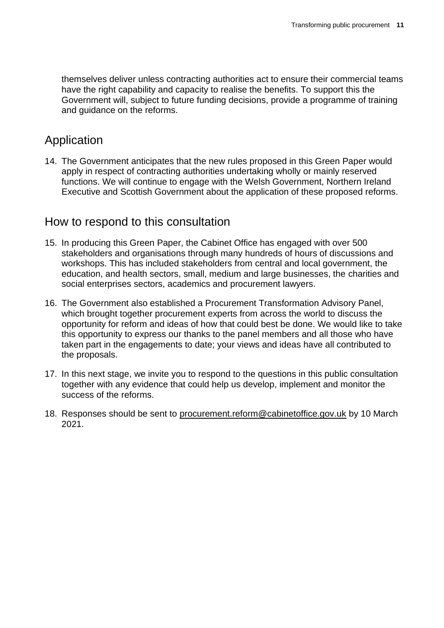themselves deliver unless contracting authorities act to ensure their commercial teams have the right capability and capacity to realise the benefits. To support this the Government will, subject to future funding decisions, provide a programme of training and guidance on the reforms.

## <span id="page-13-0"></span>Application

14. The Government anticipates that the new rules proposed in this Green Paper would apply in respect of contracting authorities undertaking wholly or mainly reserved functions. We will continue to engage with the Welsh Government, Northern Ireland Executive and Scottish Government about the application of these proposed reforms.

#### <span id="page-13-1"></span>How to respond to this consultation

- 15. In producing this Green Paper, the Cabinet Office has engaged with over 500 stakeholders and organisations through many hundreds of hours of discussions and workshops. This has included stakeholders from central and local government, the education, and health sectors, small, medium and large businesses, the charities and social enterprises sectors, academics and procurement lawyers.
- 16. The Government also established a Procurement Transformation Advisory Panel, which brought together procurement experts from across the world to discuss the opportunity for reform and ideas of how that could best be done. We would like to take this opportunity to express our thanks to the panel members and all those who have taken part in the engagements to date; your views and ideas have all contributed to the proposals.
- 17. In this next stage, we invite you to respond to the questions in this public consultation together with any evidence that could help us develop, implement and monitor the success of the reforms.
- 18. Responses should be sent to [procurement.reform@cabinetoffice.gov.uk](mailto:procurement.reform@cabinetoffice.gov.uk) by 10 March 2021.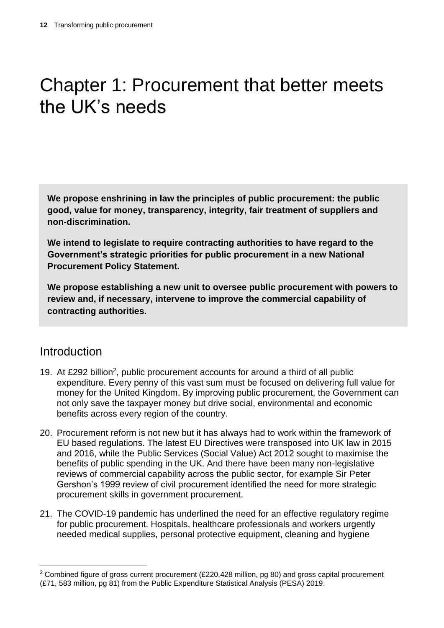# <span id="page-14-0"></span>Chapter 1: Procurement that better meets the UK's needs

**We propose enshrining in law the principles of public procurement: the public good, value for money, transparency, integrity, fair treatment of suppliers and non-discrimination.**

**We intend to legislate to require contracting authorities to have regard to the Government's strategic priorities for public procurement in a new National Procurement Policy Statement.**

**We propose establishing a new unit to oversee public procurement with powers to review and, if necessary, intervene to improve the commercial capability of contracting authorities.**

#### <span id="page-14-1"></span>**Introduction**

- 19. At £292 billion<sup>2</sup>, public procurement accounts for around a third of all public expenditure. Every penny of this vast sum must be focused on delivering full value for money for the United Kingdom. By improving public procurement, the Government can not only save the taxpayer money but drive social, environmental and economic benefits across every region of the country.
- 20. Procurement reform is not new but it has always had to work within the framework of EU based regulations. The latest EU Directives were transposed into UK law in 2015 and 2016, while the Public Services (Social Value) Act 2012 sought to maximise the benefits of public spending in the UK. And there have been many non-legislative reviews of commercial capability across the public sector, for example Sir Peter Gershon's 1999 review of civil procurement identified the need for more strategic procurement skills in government procurement.
- 21. The COVID-19 pandemic has underlined the need for an effective regulatory regime for public procurement. Hospitals, healthcare professionals and workers urgently needed medical supplies, personal protective equipment, cleaning and hygiene

 $2$  Combined figure of gross current procurement (£220,428 million, pg 80) and gross capital procurement (£71, 583 million, pg 81) from t[he Public Expenditure Statistical Analysis \(PESA\) 201](https://assets.publishing.service.gov.uk/government/uploads/system/uploads/attachment_data/file/818399/CCS001_CCS0719570952-001_PESA_ACCESSIBLE.pdf)9.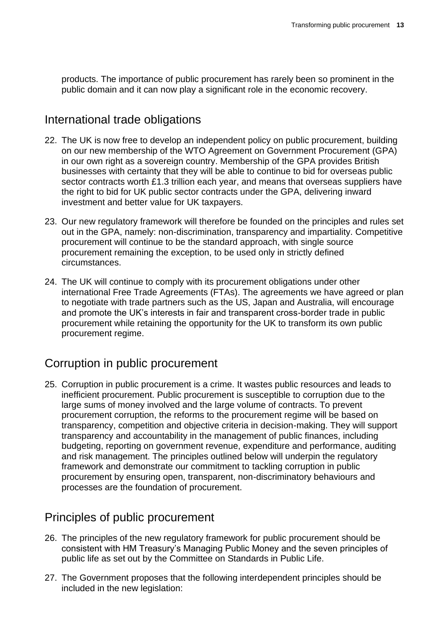products. The importance of public procurement has rarely been so prominent in the public domain and it can now play a significant role in the economic recovery.

#### <span id="page-15-0"></span>International trade obligations

- 22. The UK is now free to develop an independent policy on public procurement, building on our new membership of the WTO Agreement on Government Procurement (GPA) in our own right as a sovereign country. Membership of the GPA provides British businesses with certainty that they will be able to continue to bid for overseas public sector contracts worth £1.3 trillion each year, and means that overseas suppliers have the right to bid for UK public sector contracts under the GPA, delivering inward investment and better value for UK taxpayers.
- 23. Our new regulatory framework will therefore be founded on the principles and rules set out in the GPA, namely: non-discrimination, transparency and impartiality. Competitive procurement will continue to be the standard approach, with single source procurement remaining the exception, to be used only in strictly defined circumstances.
- 24. The UK will continue to comply with its procurement obligations under other international Free Trade Agreements (FTAs). The agreements we have agreed or plan to negotiate with trade partners such as the US, Japan and Australia, will encourage and promote the UK's interests in fair and transparent cross-border trade in public procurement while retaining the opportunity for the UK to transform its own public procurement regime.

#### <span id="page-15-1"></span>Corruption in public procurement

25. Corruption in public procurement is a crime. It wastes public resources and leads to inefficient procurement. Public procurement is susceptible to corruption due to the large sums of money involved and the large volume of contracts. To prevent procurement corruption, the reforms to the procurement regime will be based on transparency, competition and objective criteria in decision-making. They will support transparency and accountability in the management of public finances, including budgeting, reporting on government revenue, expenditure and performance, auditing and risk management. The principles outlined below will underpin the regulatory framework and demonstrate our commitment to tackling corruption in public procurement by ensuring open, transparent, non-discriminatory behaviours and processes are the foundation of procurement.

#### <span id="page-15-2"></span>Principles of public procurement

- 26. The principles of the new regulatory framework for public procurement should be consistent with HM Treasury's Managing Public Money and the seven principles of public life as set out by the Committee on Standards in Public Life.
- 27. The Government proposes that the following interdependent principles should be included in the new legislation: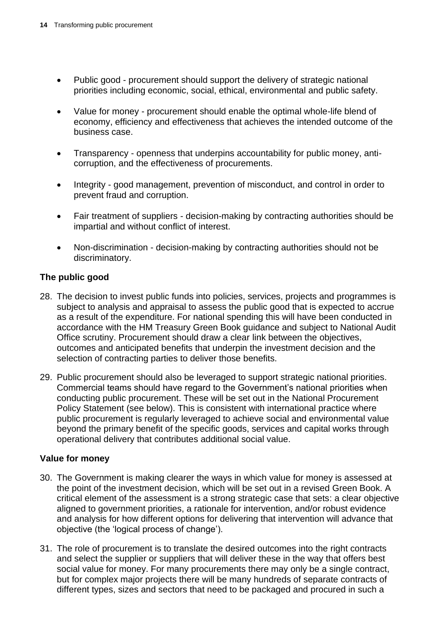- Public good procurement should support the delivery of strategic national priorities including economic, social, ethical, environmental and public safety.
- Value for money procurement should enable the optimal whole-life blend of economy, efficiency and effectiveness that achieves the intended outcome of the business case.
- Transparency openness that underpins accountability for public money, anticorruption, and the effectiveness of procurements.
- Integrity good management, prevention of misconduct, and control in order to prevent fraud and corruption.
- Fair treatment of suppliers decision-making by contracting authorities should be impartial and without conflict of interest.
- Non-discrimination decision-making by contracting authorities should not be discriminatory.

#### **The public good**

- 28. The decision to invest public funds into policies, services, projects and programmes is subject to analysis and appraisal to assess the public good that is expected to accrue as a result of the expenditure. For national spending this will have been conducted in accordance with the HM Treasury Green Book guidance and subject to National Audit Office scrutiny. Procurement should draw a clear link between the objectives, outcomes and anticipated benefits that underpin the investment decision and the selection of contracting parties to deliver those benefits.
- 29. Public procurement should also be leveraged to support strategic national priorities. Commercial teams should have regard to the Government's national priorities when conducting public procurement. These will be set out in the National Procurement Policy Statement (see below). This is consistent with international practice where public procurement is regularly leveraged to achieve social and environmental value beyond the primary benefit of the specific goods, services and capital works through operational delivery that contributes additional social value.

#### **Value for money**

- 30. The Government is making clearer the ways in which value for money is assessed at the point of the investment decision, which will be set out in a revised Green Book. A critical element of the assessment is a strong strategic case that sets: a clear objective aligned to government priorities, a rationale for intervention, and/or robust evidence and analysis for how different options for delivering that intervention will advance that objective (the 'logical process of change').
- 31. The role of procurement is to translate the desired outcomes into the right contracts and select the supplier or suppliers that will deliver these in the way that offers best social value for money. For many procurements there may only be a single contract, but for complex major projects there will be many hundreds of separate contracts of different types, sizes and sectors that need to be packaged and procured in such a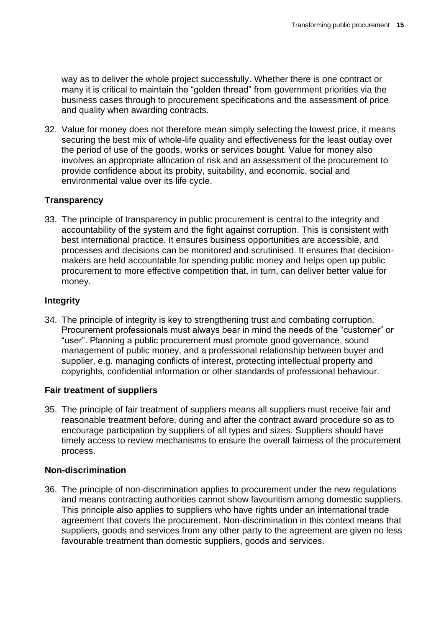way as to deliver the whole project successfully. Whether there is one contract or many it is critical to maintain the "golden thread" from government priorities via the business cases through to procurement specifications and the assessment of price and quality when awarding contracts.

32. Value for money does not therefore mean simply selecting the lowest price, it means securing the best mix of whole-life quality and effectiveness for the least outlay over the period of use of the goods, works or services bought. Value for money also involves an appropriate allocation of risk and an assessment of the procurement to provide confidence about its probity, suitability, and economic, social and environmental value over its life cycle.

#### **Transparency**

33. The principle of transparency in public procurement is central to the integrity and accountability of the system and the fight against corruption. This is consistent with best international practice. It ensures business opportunities are accessible, and processes and decisions can be monitored and scrutinised. It ensures that decisionmakers are held accountable for spending public money and helps open up public procurement to more effective competition that, in turn, can deliver better value for money.

#### **Integrity**

34. The principle of integrity is key to strengthening trust and combating corruption. Procurement professionals must always bear in mind the needs of the "customer" or "user". Planning a public procurement must promote good governance, sound management of public money, and a professional relationship between buyer and supplier, e.g. managing conflicts of interest, protecting intellectual property and copyrights, confidential information or other standards of professional behaviour.

#### **Fair treatment of suppliers**

35. The principle of fair treatment of suppliers means all suppliers must receive fair and reasonable treatment before, during and after the contract award procedure so as to encourage participation by suppliers of all types and sizes. Suppliers should have timely access to review mechanisms to ensure the overall fairness of the procurement process.

#### **Non-discrimination**

36. The principle of non-discrimination applies to procurement under the new regulations and means contracting authorities cannot show favouritism among domestic suppliers. This principle also applies to suppliers who have rights under an international trade agreement that covers the procurement. Non-discrimination in this context means that suppliers, goods and services from any other party to the agreement are given no less favourable treatment than domestic suppliers, goods and services.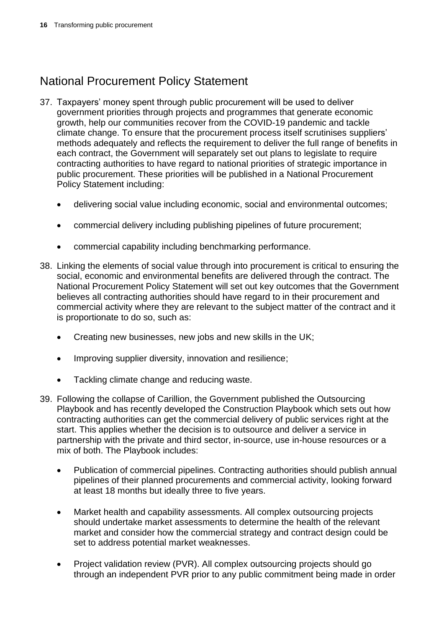# <span id="page-18-0"></span>National Procurement Policy Statement

- 37. Taxpayers' money spent through public procurement will be used to deliver government priorities through projects and programmes that generate economic growth, help our communities recover from the COVID-19 pandemic and tackle climate change. To ensure that the procurement process itself scrutinises suppliers' methods adequately and reflects the requirement to deliver the full range of benefits in each contract, the Government will separately set out plans to legislate to require contracting authorities to have regard to national priorities of strategic importance in public procurement. These priorities will be published in a National Procurement Policy Statement including:
	- delivering social value including economic, social and environmental outcomes;
	- commercial delivery including publishing pipelines of future procurement;
	- commercial capability including benchmarking performance.
- 38. Linking the elements of social value through into procurement is critical to ensuring the social, economic and environmental benefits are delivered through the contract. The National Procurement Policy Statement will set out key outcomes that the Government believes all contracting authorities should have regard to in their procurement and commercial activity where they are relevant to the subject matter of the contract and it is proportionate to do so, such as:
	- Creating new businesses, new jobs and new skills in the UK;
	- Improving supplier diversity, innovation and resilience;
	- Tackling climate change and reducing waste.
- 39. Following the collapse of Carillion, the Government published the Outsourcing Playbook and has recently developed the Construction Playbook which sets out how contracting authorities can get the commercial delivery of public services right at the start. This applies whether the decision is to outsource and deliver a service in partnership with the private and third sector, in-source, use in-house resources or a mix of both. The Playbook includes:
	- Publication of commercial pipelines. Contracting authorities should publish annual pipelines of their planned procurements and commercial activity, looking forward at least 18 months but ideally three to five years.
	- Market health and capability assessments. All complex outsourcing projects should undertake market assessments to determine the health of the relevant market and consider how the commercial strategy and contract design could be set to address potential market weaknesses.
	- Project validation review (PVR). All complex outsourcing projects should go through an independent PVR prior to any public commitment being made in order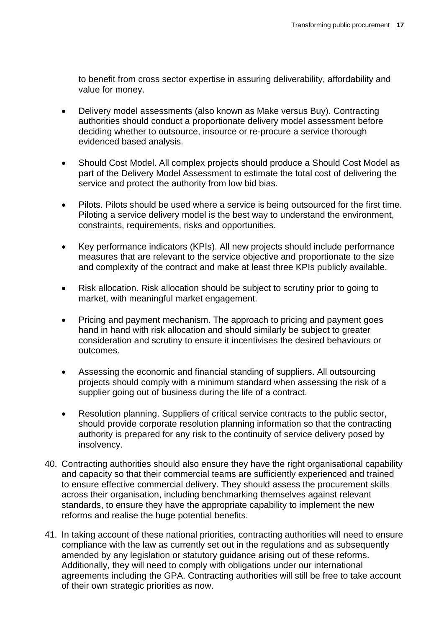to benefit from cross sector expertise in assuring deliverability, affordability and value for money.

- Delivery model assessments (also known as Make versus Buy). Contracting authorities should conduct a proportionate delivery model assessment before deciding whether to outsource, insource or re-procure a service thorough evidenced based analysis.
- Should Cost Model. All complex projects should produce a Should Cost Model as part of the Delivery Model Assessment to estimate the total cost of delivering the service and protect the authority from low bid bias.
- Pilots. Pilots should be used where a service is being outsourced for the first time. Piloting a service delivery model is the best way to understand the environment, constraints, requirements, risks and opportunities.
- Key performance indicators (KPIs). All new projects should include performance measures that are relevant to the service objective and proportionate to the size and complexity of the contract and make at least three KPIs publicly available.
- Risk allocation. Risk allocation should be subject to scrutiny prior to going to market, with meaningful market engagement.
- Pricing and payment mechanism. The approach to pricing and payment goes hand in hand with risk allocation and should similarly be subject to greater consideration and scrutiny to ensure it incentivises the desired behaviours or outcomes.
- Assessing the economic and financial standing of suppliers. All outsourcing projects should comply with a minimum standard when assessing the risk of a supplier going out of business during the life of a contract.
- Resolution planning. Suppliers of critical service contracts to the public sector, should provide corporate resolution planning information so that the contracting authority is prepared for any risk to the continuity of service delivery posed by insolvency.
- 40. Contracting authorities should also ensure they have the right organisational capability and capacity so that their commercial teams are sufficiently experienced and trained to ensure effective commercial delivery. They should assess the procurement skills across their organisation, including benchmarking themselves against relevant standards, to ensure they have the appropriate capability to implement the new reforms and realise the huge potential benefits.
- 41. In taking account of these national priorities, contracting authorities will need to ensure compliance with the law as currently set out in the regulations and as subsequently amended by any legislation or statutory guidance arising out of these reforms. Additionally, they will need to comply with obligations under our international agreements including the GPA. Contracting authorities will still be free to take account of their own strategic priorities as now.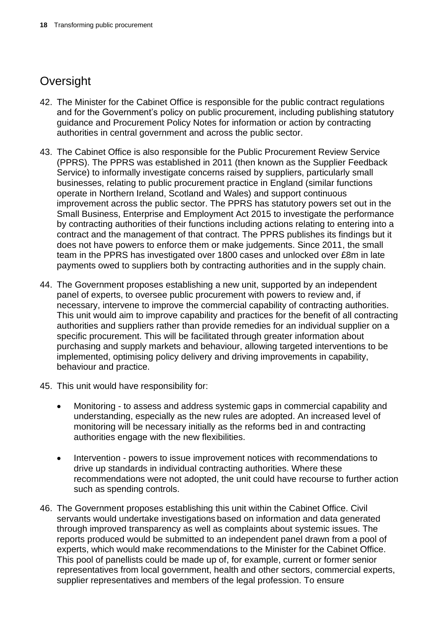## <span id="page-20-0"></span>**Oversight**

- 42. The Minister for the Cabinet Office is responsible for the public contract regulations and for the Government's policy on public procurement, including publishing statutory guidance and Procurement Policy Notes for information or action by contracting authorities in central government and across the public sector.
- 43. The Cabinet Office is also responsible for the Public Procurement Review Service (PPRS). The PPRS was established in 2011 (then known as the Supplier Feedback Service) to informally investigate concerns raised by suppliers, particularly small businesses, relating to public procurement practice in England (similar functions operate in Northern Ireland, Scotland and Wales) and support continuous improvement across the public sector. The PPRS has statutory powers set out in the Small Business, Enterprise and Employment Act 2015 to investigate the performance by contracting authorities of their functions including actions relating to entering into a contract and the management of that contract. The PPRS publishes its findings but it does not have powers to enforce them or make judgements. Since 2011, the small team in the PPRS has investigated over 1800 cases and unlocked over £8m in late payments owed to suppliers both by contracting authorities and in the supply chain.
- 44. The Government proposes establishing a new unit, supported by an independent panel of experts, to oversee public procurement with powers to review and, if necessary, intervene to improve the commercial capability of contracting authorities. This unit would aim to improve capability and practices for the benefit of all contracting authorities and suppliers rather than provide remedies for an individual supplier on a specific procurement. This will be facilitated through greater information about purchasing and supply markets and behaviour, allowing targeted interventions to be implemented, optimising policy delivery and driving improvements in capability, behaviour and practice.
- 45. This unit would have responsibility for:
	- Monitoring to assess and address systemic gaps in commercial capability and understanding, especially as the new rules are adopted. An increased level of monitoring will be necessary initially as the reforms bed in and contracting authorities engage with the new flexibilities.
	- Intervention powers to issue improvement notices with recommendations to drive up standards in individual contracting authorities. Where these recommendations were not adopted, the unit could have recourse to further action such as spending controls.
- 46. The Government proposes establishing this unit within the Cabinet Office. Civil servants would undertake investigations based on information and data generated through improved transparency as well as complaints about systemic issues. The reports produced would be submitted to an independent panel drawn from a pool of experts, which would make recommendations to the Minister for the Cabinet Office. This pool of panellists could be made up of, for example, current or former senior representatives from local government, health and other sectors, commercial experts, supplier representatives and members of the legal profession. To ensure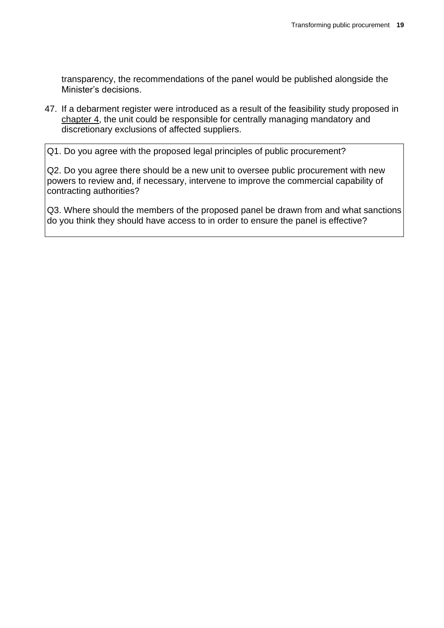transparency, the recommendations of the panel would be published alongside the Minister's decisions.

47. If a debarment register were introduced as a result of the feasibility study proposed in c[hapter 4, th](#page-40-0)e unit could be responsible for centrally managing mandatory and discretionary exclusions of affected suppliers.

Q1. Do you agree with the proposed legal principles of public procurement?

Q2. Do you agree there should be a new unit to oversee public procurement with new powers to review and, if necessary, intervene to improve the commercial capability of contracting authorities?

Q3. Where should the members of the proposed panel be drawn from and what sanctions do you think they should have access to in order to ensure the panel is effective?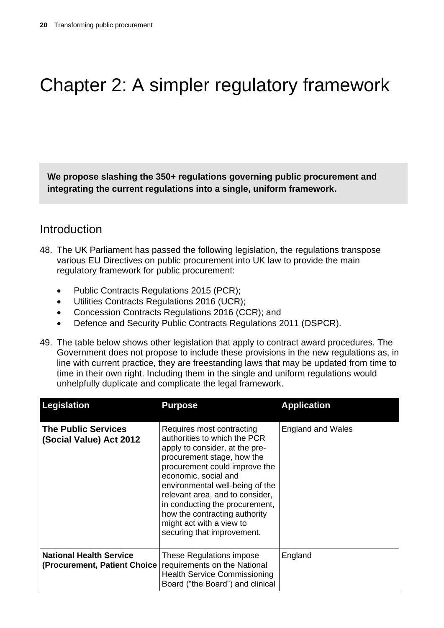# <span id="page-22-0"></span>Chapter 2: A simpler regulatory framework

**We propose slashing the 350+ regulations governing public procurement and integrating the current regulations into a single, uniform framework.**

#### <span id="page-22-1"></span>**Introduction**

- 48. The UK Parliament has passed the following legislation, the regulations transpose various EU Directives on public procurement into UK law to provide the main regulatory framework for public procurement:
	- Public Contracts Regulations 2015 (PCR);
	- Utilities Contracts Regulations 2016 (UCR);
	- Concession Contracts Regulations 2016 (CCR); and
	- Defence and Security Public Contracts Regulations 2011 (DSPCR).
- 49. The table below shows other legislation that apply to contract award procedures. The Government does not propose to include these provisions in the new regulations as, in line with current practice, they are freestanding laws that may be updated from time to time in their own right. Including them in the single and uniform regulations would unhelpfully duplicate and complicate the legal framework.

| Legislation                                                     | <b>Purpose</b>                                                                                                                                                                                                                                                                                                                                                                        | <b>Application</b>       |
|-----------------------------------------------------------------|---------------------------------------------------------------------------------------------------------------------------------------------------------------------------------------------------------------------------------------------------------------------------------------------------------------------------------------------------------------------------------------|--------------------------|
| <b>The Public Services</b><br>(Social Value) Act 2012           | Requires most contracting<br>authorities to which the PCR<br>apply to consider, at the pre-<br>procurement stage, how the<br>procurement could improve the<br>economic, social and<br>environmental well-being of the<br>relevant area, and to consider,<br>in conducting the procurement,<br>how the contracting authority<br>might act with a view to<br>securing that improvement. | <b>England and Wales</b> |
| <b>National Health Service</b><br>(Procurement, Patient Choice) | These Regulations impose<br>requirements on the National<br><b>Health Service Commissioning</b><br>Board ("the Board") and clinical                                                                                                                                                                                                                                                   | England                  |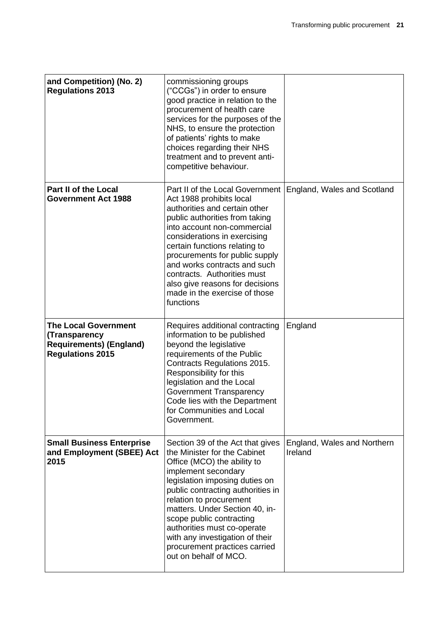| and Competition) (No. 2)<br><b>Regulations 2013</b>                                                       | commissioning groups<br>("CCGs") in order to ensure<br>good practice in relation to the<br>procurement of health care<br>services for the purposes of the<br>NHS, to ensure the protection<br>of patients' rights to make<br>choices regarding their NHS<br>treatment and to prevent anti-<br>competitive behaviour.                                                                                               |                                        |
|-----------------------------------------------------------------------------------------------------------|--------------------------------------------------------------------------------------------------------------------------------------------------------------------------------------------------------------------------------------------------------------------------------------------------------------------------------------------------------------------------------------------------------------------|----------------------------------------|
| <b>Part II of the Local</b><br><b>Government Act 1988</b>                                                 | Part II of the Local Government<br>Act 1988 prohibits local<br>authorities and certain other<br>public authorities from taking<br>into account non-commercial<br>considerations in exercising<br>certain functions relating to<br>procurements for public supply<br>and works contracts and such<br>contracts. Authorities must<br>also give reasons for decisions<br>made in the exercise of those<br>functions   | England, Wales and Scotland            |
| <b>The Local Government</b><br>(Transparency<br><b>Requirements) (England)</b><br><b>Regulations 2015</b> | Requires additional contracting<br>information to be published<br>beyond the legislative<br>requirements of the Public<br>Contracts Regulations 2015.<br>Responsibility for this<br>legislation and the Local<br>Government Transparency<br>Code lies with the Department<br>for Communities and Local<br>Government.                                                                                              | England                                |
| <b>Small Business Enterprise</b><br>and Employment (SBEE) Act<br>2015                                     | Section 39 of the Act that gives<br>the Minister for the Cabinet<br>Office (MCO) the ability to<br>implement secondary<br>legislation imposing duties on<br>public contracting authorities in<br>relation to procurement<br>matters. Under Section 40, in-<br>scope public contracting<br>authorities must co-operate<br>with any investigation of their<br>procurement practices carried<br>out on behalf of MCO. | England, Wales and Northern<br>Ireland |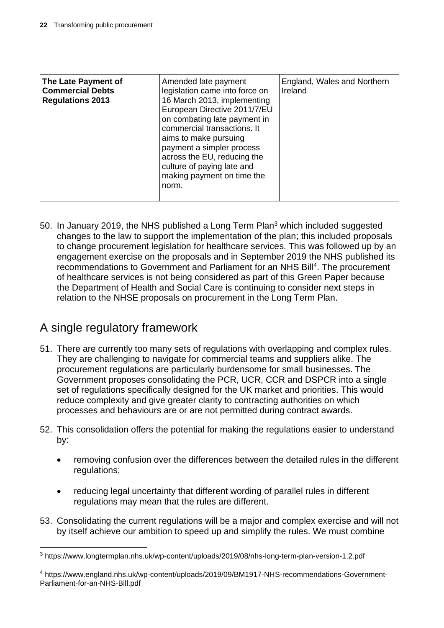| aims to make pursuing<br>payment a simpler process<br>across the EU, reducing the<br>culture of paying late and<br>making payment on time the<br>norm. |
|--------------------------------------------------------------------------------------------------------------------------------------------------------|
|--------------------------------------------------------------------------------------------------------------------------------------------------------|

50. In January 2019, the NHS published a Long Term Plan<sup>3</sup> which included suggested changes to the law to support the implementation of the plan; this included proposals to change procurement legislation for healthcare services. This was followed up by an engagement exercise on the proposals and in September 2019 the NHS published its recommendations to Government and Parliament for an NHS Bill<sup>4</sup>. The procurement of healthcare services is not being considered as part of this Green Paper because the Department of Health and Social Care is continuing to consider next steps in relation to the NHSE proposals on procurement in the Long Term Plan.

## <span id="page-24-0"></span>A single regulatory framework

- 51. There are currently too many sets of regulations with overlapping and complex rules. They are challenging to navigate for commercial teams and suppliers alike. The procurement regulations are particularly burdensome for small businesses. The Government proposes consolidating the PCR, UCR, CCR and DSPCR into a single set of regulations specifically designed for the UK market and priorities. This would reduce complexity and give greater clarity to contracting authorities on which processes and behaviours are or are not permitted during contract awards.
- 52. This consolidation offers the potential for making the regulations easier to understand by:
	- removing confusion over the differences between the detailed rules in the different regulations;
	- reducing legal uncertainty that different wording of parallel rules in different regulations may mean that the rules are different.
- 53. Consolidating the current regulations will be a major and complex exercise and will not by itself achieve our ambition to speed up and simplify the rules. We must combine

<sup>3</sup> [https://www.longtermplan.nhs.uk/wp-content/uploads/2019/08/nhs-long-term-plan-version-1.2.p](https://www.longtermplan.nhs.uk/wp-content/uploads/2019/08/nhs-long-term-plan-version-1.2.pdf)df

<sup>4</sup> [https://www.england.nhs.uk/wp-content/uploads/2019/09/BM1917-NHS-recommendations-Government-](https://www.england.nhs.uk/wp-content/uploads/2019/09/BM1917-NHS-recommendations-Government-Parliament-for-an-NHS-Bill.pdf)[Parliament-for-an-NHS-Bill.p](https://www.england.nhs.uk/wp-content/uploads/2019/09/BM1917-NHS-recommendations-Government-Parliament-for-an-NHS-Bill.pdf)df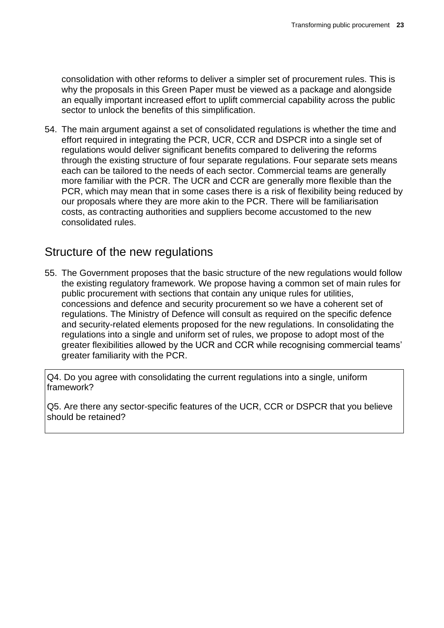consolidation with other reforms to deliver a simpler set of procurement rules. This is why the proposals in this Green Paper must be viewed as a package and alongside an equally important increased effort to uplift commercial capability across the public sector to unlock the benefits of this simplification.

54. The main argument against a set of consolidated regulations is whether the time and effort required in integrating the PCR, UCR, CCR and DSPCR into a single set of regulations would deliver significant benefits compared to delivering the reforms through the existing structure of four separate regulations. Four separate sets means each can be tailored to the needs of each sector. Commercial teams are generally more familiar with the PCR. The UCR and CCR are generally more flexible than the PCR, which may mean that in some cases there is a risk of flexibility being reduced by our proposals where they are more akin to the PCR. There will be familiarisation costs, as contracting authorities and suppliers become accustomed to the new consolidated rules.

#### <span id="page-25-0"></span>Structure of the new regulations

55. The Government proposes that the basic structure of the new regulations would follow the existing regulatory framework. We propose having a common set of main rules for public procurement with sections that contain any unique rules for utilities, concessions and defence and security procurement so we have a coherent set of regulations. The Ministry of Defence will consult as required on the specific defence and security-related elements proposed for the new regulations. In consolidating the regulations into a single and uniform set of rules, we propose to adopt most of the greater flexibilities allowed by the UCR and CCR while recognising commercial teams' greater familiarity with the PCR.

Q4. Do you agree with consolidating the current regulations into a single, uniform framework?

Q5. Are there any sector-specific features of the UCR, CCR or DSPCR that you believe should be retained?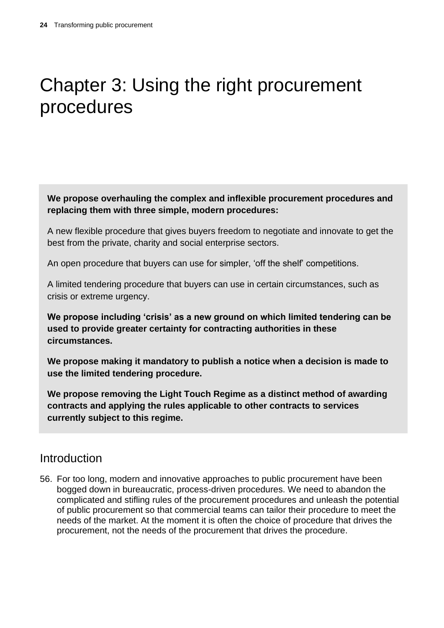# <span id="page-26-0"></span>Chapter 3: Using the right procurement procedures

**We propose overhauling the complex and inflexible procurement procedures and replacing them with three simple, modern procedures:**

A new flexible procedure that gives buyers freedom to negotiate and innovate to get the best from the private, charity and social enterprise sectors.

An open procedure that buyers can use for simpler, 'off the shelf' competitions.

A limited tendering procedure that buyers can use in certain circumstances, such as crisis or extreme urgency.

**We propose including 'crisis' as a new ground on which limited tendering can be used to provide greater certainty for contracting authorities in these circumstances.**

**We propose making it mandatory to publish a notice when a decision is made to use the limited tendering procedure.**

**We propose removing the Light Touch Regime as a distinct method of awarding contracts and applying the rules applicable to other contracts to services currently subject to this regime.**

## <span id="page-26-1"></span>Introduction

56. For too long, modern and innovative approaches to public procurement have been bogged down in bureaucratic, process-driven procedures. We need to abandon the complicated and stifling rules of the procurement procedures and unleash the potential of public procurement so that commercial teams can tailor their procedure to meet the needs of the market. At the moment it is often the choice of procedure that drives the procurement, not the needs of the procurement that drives the procedure.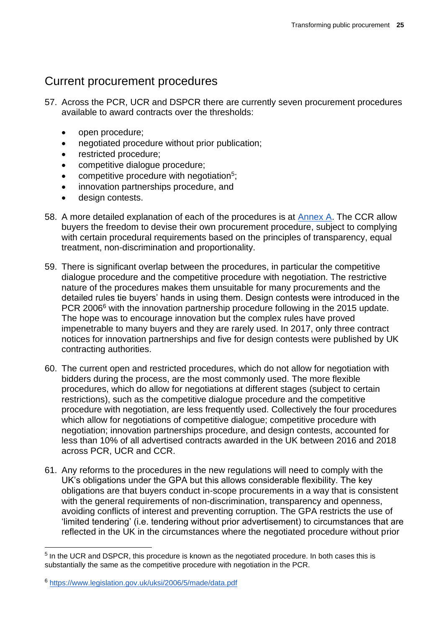## <span id="page-27-0"></span>Current procurement procedures

- 57. Across the PCR, UCR and DSPCR there are currently seven procurement procedures available to award contracts over the thresholds:
	- open procedure;
	- negotiated procedure without prior publication;
	- restricted procedure;
	- competitive dialogue procedure;
	- competitive procedure with negotiation<sup>5</sup>;
	- innovation partnerships procedure, and
	- design contests.
- 58. A more detailed explanation of each of the procedures is at [Annex A.](#page-76-0) The CCR allow buyers the freedom to devise their own procurement procedure, subject to complying with certain procedural requirements based on the principles of transparency, equal treatment, non-discrimination and proportionality.
- 59. There is significant overlap between the procedures, in particular the competitive dialogue procedure and the competitive procedure with negotiation. The restrictive nature of the procedures makes them unsuitable for many procurements and the detailed rules tie buyers' hands in using them. Design contests were introduced in the PCR 2006<sup>6</sup> with the innovation partnership procedure following in the 2015 update. The hope was to encourage innovation but the complex rules have proved impenetrable to many buyers and they are rarely used. In 2017, only three contract notices for innovation partnerships and five for design contests were published by UK contracting authorities.
- 60. The current open and restricted procedures, which do not allow for negotiation with bidders during the process, are the most commonly used. The more flexible procedures, which do allow for negotiations at different stages (subject to certain restrictions), such as the competitive dialogue procedure and the competitive procedure with negotiation, are less frequently used. Collectively the four procedures which allow for negotiations of competitive dialogue; competitive procedure with negotiation; innovation partnerships procedure, and design contests, accounted for less than 10% of all advertised contracts awarded in the UK between 2016 and 2018 across PCR, UCR and CCR.
- 61. Any reforms to the procedures in the new regulations will need to comply with the UK's obligations under the GPA but this allows considerable flexibility. The key obligations are that buyers conduct in-scope procurements in a way that is consistent with the general requirements of non-discrimination, transparency and openness, avoiding conflicts of interest and preventing corruption. The GPA restricts the use of 'limited tendering' (i.e. tendering without prior advertisement) to circumstances that are reflected in the UK in the circumstances where the negotiated procedure without prior

<sup>&</sup>lt;sup>5</sup> In the UCR and DSPCR, this procedure is known as the negotiated procedure. In both cases this is substantially the same as the competitive procedure with negotiation in the PCR.

<sup>6</sup> ht[tps://www.legislation.gov.uk/uksi/2006/5/made/data.pdf](https://www.legislation.gov.uk/uksi/2006/5/made/data.pdf)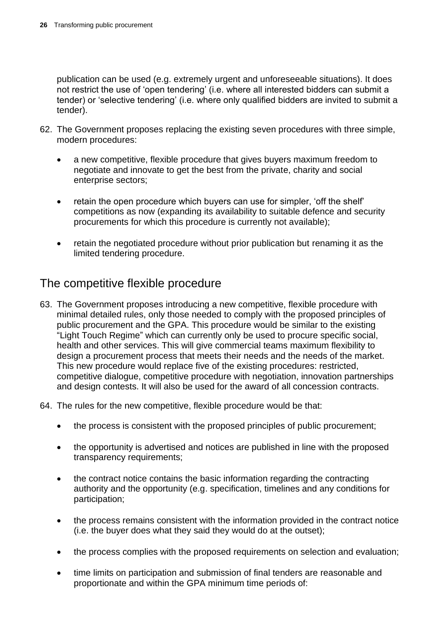publication can be used (e.g. extremely urgent and unforeseeable situations). It does not restrict the use of 'open tendering' (i.e. where all interested bidders can submit a tender) or 'selective tendering' (i.e. where only qualified bidders are invited to submit a tender).

- 62. The Government proposes replacing the existing seven procedures with three simple, modern procedures:
	- a new competitive, flexible procedure that gives buyers maximum freedom to negotiate and innovate to get the best from the private, charity and social enterprise sectors;
	- retain the open procedure which buyers can use for simpler, 'off the shelf' competitions as now (expanding its availability to suitable defence and security procurements for which this procedure is currently not available);
	- retain the negotiated procedure without prior publication but renaming it as the limited tendering procedure.

## <span id="page-28-0"></span>The competitive flexible procedure

- 63. The Government proposes introducing a new competitive, flexible procedure with minimal detailed rules, only those needed to comply with the proposed principles of public procurement and the GPA. This procedure would be similar to the existing "Light Touch Regime" which can currently only be used to procure specific social, health and other services. This will give commercial teams maximum flexibility to design a procurement process that meets their needs and the needs of the market. This new procedure would replace five of the existing procedures: restricted, competitive dialogue, competitive procedure with negotiation, innovation partnerships and design contests. It will also be used for the award of all concession contracts.
- 64. The rules for the new competitive, flexible procedure would be that:
	- the process is consistent with the proposed principles of public procurement;
	- the opportunity is advertised and notices are published in line with the proposed transparency requirements;
	- the contract notice contains the basic information regarding the contracting authority and the opportunity (e.g. specification, timelines and any conditions for participation;
	- the process remains consistent with the information provided in the contract notice (i.e. the buyer does what they said they would do at the outset);
	- the process complies with the proposed requirements on selection and evaluation;
	- time limits on participation and submission of final tenders are reasonable and proportionate and within the GPA minimum time periods of: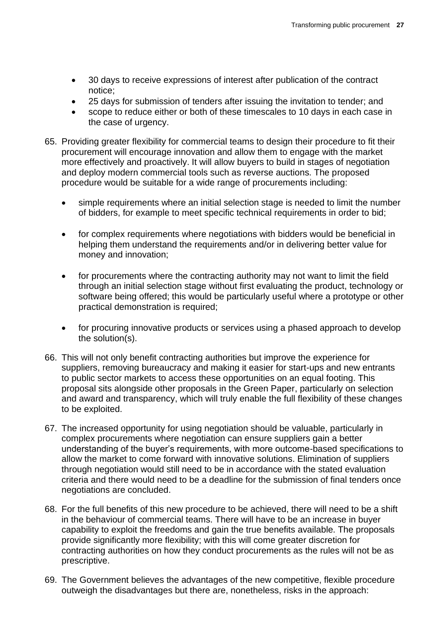- 30 days to receive expressions of interest after publication of the contract notice;
- 25 days for submission of tenders after issuing the invitation to tender; and
- scope to reduce either or both of these timescales to 10 days in each case in the case of urgency.
- 65. Providing greater flexibility for commercial teams to design their procedure to fit their procurement will encourage innovation and allow them to engage with the market more effectively and proactively. It will allow buyers to build in stages of negotiation and deploy modern commercial tools such as reverse auctions. The proposed procedure would be suitable for a wide range of procurements including:
	- simple requirements where an initial selection stage is needed to limit the number of bidders, for example to meet specific technical requirements in order to bid;
	- for complex requirements where negotiations with bidders would be beneficial in helping them understand the requirements and/or in delivering better value for money and innovation;
	- for procurements where the contracting authority may not want to limit the field through an initial selection stage without first evaluating the product, technology or software being offered; this would be particularly useful where a prototype or other practical demonstration is required;
	- for procuring innovative products or services using a phased approach to develop the solution(s).
- 66. This will not only benefit contracting authorities but improve the experience for suppliers, removing bureaucracy and making it easier for start-ups and new entrants to public sector markets to access these opportunities on an equal footing. This proposal sits alongside other proposals in the Green Paper, particularly on selection and award and transparency, which will truly enable the full flexibility of these changes to be exploited.
- 67. The increased opportunity for using negotiation should be valuable, particularly in complex procurements where negotiation can ensure suppliers gain a better understanding of the buyer's requirements, with more outcome-based specifications to allow the market to come forward with innovative solutions. Elimination of suppliers through negotiation would still need to be in accordance with the stated evaluation criteria and there would need to be a deadline for the submission of final tenders once negotiations are concluded.
- 68. For the full benefits of this new procedure to be achieved, there will need to be a shift in the behaviour of commercial teams. There will have to be an increase in buyer capability to exploit the freedoms and gain the true benefits available. The proposals provide significantly more flexibility; with this will come greater discretion for contracting authorities on how they conduct procurements as the rules will not be as prescriptive.
- 69. The Government believes the advantages of the new competitive, flexible procedure outweigh the disadvantages but there are, nonetheless, risks in the approach: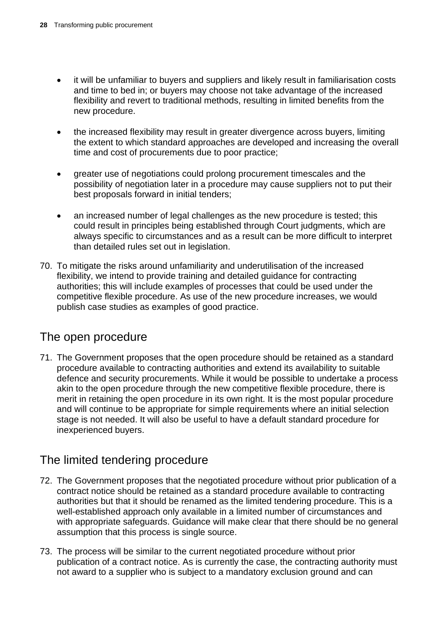- it will be unfamiliar to buyers and suppliers and likely result in familiarisation costs and time to bed in; or buyers may choose not take advantage of the increased flexibility and revert to traditional methods, resulting in limited benefits from the new procedure.
- the increased flexibility may result in greater divergence across buyers, limiting the extent to which standard approaches are developed and increasing the overall time and cost of procurements due to poor practice;
- greater use of negotiations could prolong procurement timescales and the possibility of negotiation later in a procedure may cause suppliers not to put their best proposals forward in initial tenders;
- an increased number of legal challenges as the new procedure is tested; this could result in principles being established through Court judgments, which are always specific to circumstances and as a result can be more difficult to interpret than detailed rules set out in legislation.
- 70. To mitigate the risks around unfamiliarity and underutilisation of the increased flexibility, we intend to provide training and detailed guidance for contracting authorities; this will include examples of processes that could be used under the competitive flexible procedure. As use of the new procedure increases, we would publish case studies as examples of good practice.

## <span id="page-30-0"></span>The open procedure

71. The Government proposes that the open procedure should be retained as a standard procedure available to contracting authorities and extend its availability to suitable defence and security procurements. While it would be possible to undertake a process akin to the open procedure through the new competitive flexible procedure, there is merit in retaining the open procedure in its own right. It is the most popular procedure and will continue to be appropriate for simple requirements where an initial selection stage is not needed. It will also be useful to have a default standard procedure for inexperienced buyers.

## <span id="page-30-1"></span>The limited tendering procedure

- 72. The Government proposes that the negotiated procedure without prior publication of a contract notice should be retained as a standard procedure available to contracting authorities but that it should be renamed as the limited tendering procedure. This is a well-established approach only available in a limited number of circumstances and with appropriate safeguards. Guidance will make clear that there should be no general assumption that this process is single source.
- 73. The process will be similar to the current negotiated procedure without prior publication of a contract notice. As is currently the case, the contracting authority must not award to a supplier who is subject to a mandatory exclusion ground and can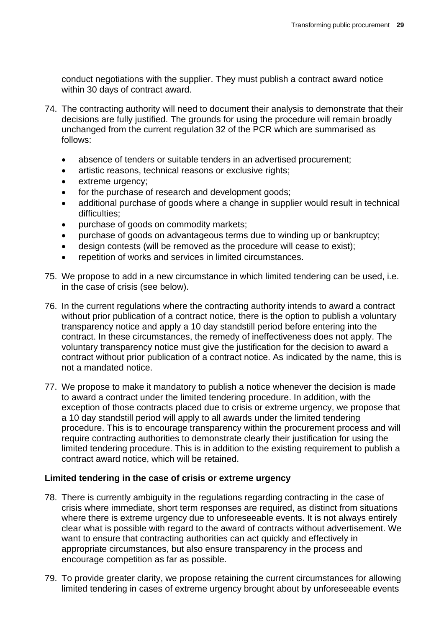conduct negotiations with the supplier. They must publish a contract award notice within 30 days of contract award.

- 74. The contracting authority will need to document their analysis to demonstrate that their decisions are fully justified. The grounds for using the procedure will remain broadly unchanged from the current regulation 32 of the PCR which are summarised as follows:
	- absence of tenders or suitable tenders in an advertised procurement;
	- artistic reasons, technical reasons or exclusive rights;
	- extreme urgency;
	- for the purchase of research and development goods:
	- additional purchase of goods where a change in supplier would result in technical difficulties:
	- purchase of goods on commodity markets;
	- purchase of goods on advantageous terms due to winding up or bankruptcy;
	- design contests (will be removed as the procedure will cease to exist);
	- repetition of works and services in limited circumstances.
- 75. We propose to add in a new circumstance in which limited tendering can be used, i.e. in the case of crisis (see below).
- 76. In the current regulations where the contracting authority intends to award a contract without prior publication of a contract notice, there is the option to publish a voluntary transparency notice and apply a 10 day standstill period before entering into the contract. In these circumstances, the remedy of ineffectiveness does not apply. The voluntary transparency notice must give the justification for the decision to award a contract without prior publication of a contract notice. As indicated by the name, this is not a mandated notice.
- 77. We propose to make it mandatory to publish a notice whenever the decision is made to award a contract under the limited tendering procedure. In addition, with the exception of those contracts placed due to crisis or extreme urgency, we propose that a 10 day standstill period will apply to all awards under the limited tendering procedure. This is to encourage transparency within the procurement process and will require contracting authorities to demonstrate clearly their justification for using the limited tendering procedure. This is in addition to the existing requirement to publish a contract award notice, which will be retained.

#### **Limited tendering in the case of crisis or extreme urgency**

- 78. There is currently ambiguity in the regulations regarding contracting in the case of crisis where immediate, short term responses are required, as distinct from situations where there is extreme urgency due to unforeseeable events. It is not always entirely clear what is possible with regard to the award of contracts without advertisement. We want to ensure that contracting authorities can act quickly and effectively in appropriate circumstances, but also ensure transparency in the process and encourage competition as far as possible.
- 79. To provide greater clarity, we propose retaining the current circumstances for allowing limited tendering in cases of extreme urgency brought about by unforeseeable events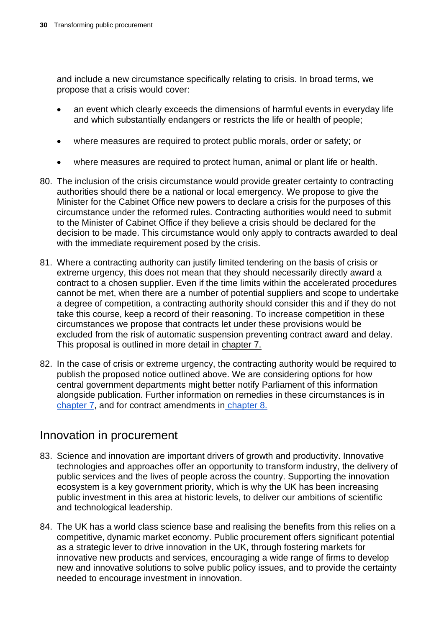and include a new circumstance specifically relating to crisis. In broad terms, we propose that a crisis would cover:

- an event which clearly exceeds the dimensions of harmful events in everyday life and which substantially endangers or restricts the life or health of people;
- where measures are required to protect public morals, order or safety; or
- where measures are required to protect human, animal or plant life or health.
- 80. The inclusion of the crisis circumstance would provide greater certainty to contracting authorities should there be a national or local emergency. We propose to give the Minister for the Cabinet Office new powers to declare a crisis for the purposes of this circumstance under the reformed rules. Contracting authorities would need to submit to the Minister of Cabinet Office if they believe a crisis should be declared for the decision to be made. This circumstance would only apply to contracts awarded to deal with the immediate requirement posed by the crisis.
- 81. Where a contracting authority can justify limited tendering on the basis of crisis or extreme urgency, this does not mean that they should necessarily directly award a contract to a chosen supplier. Even if the time limits within the accelerated procedures cannot be met, when there are a number of potential suppliers and scope to undertake a degree of competition, a contracting authority should consider this and if they do not take this course, keep a record of their reasoning. To increase competition in these circumstances we propose that contracts let under these provisions would be excluded from the risk of automatic suspension preventing contract award and delay. This proposal is outlined in more detail [in chapter 7](#page-67-0).
- 82. In the case of crisis or extreme urgency, the contracting authority would be required to publish the proposed notice outlined above. We are considering options for how central government departments might better notify Parliament of this information alongside publication. Further information on remedies in these circumstances is in [chapter](#page-67-0) 7, and for contract amendments in [chapter 8](#page-72-0).

#### <span id="page-32-0"></span>Innovation in procurement

- 83. Science and innovation are important drivers of growth and productivity. Innovative technologies and approaches offer an opportunity to transform industry, the delivery of public services and the lives of people across the country. Supporting the innovation ecosystem is a key government priority, which is why the UK has been increasing public investment in this area at historic levels, to deliver our ambitions of scientific and technological leadership.
- 84. The UK has a world class science base and realising the benefits from this relies on a competitive, dynamic market economy. Public procurement offers significant potential as a strategic lever to drive innovation in the UK, through fostering markets for innovative new products and services, encouraging a wide range of firms to develop new and innovative solutions to solve public policy issues, and to provide the certainty needed to encourage investment in innovation.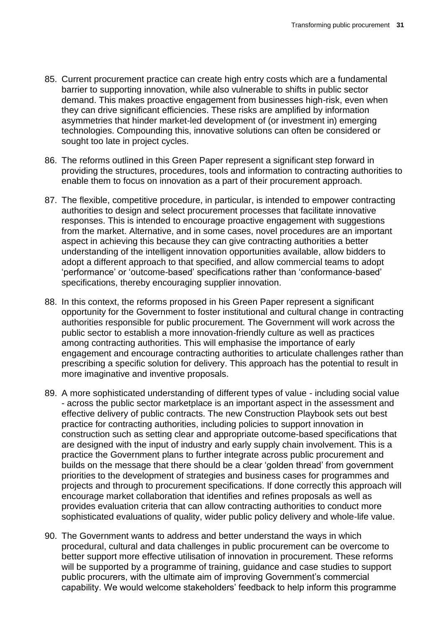- 85. Current procurement practice can create high entry costs which are a fundamental barrier to supporting innovation, while also vulnerable to shifts in public sector demand. This makes proactive engagement from businesses high-risk, even when they can drive significant efficiencies. These risks are amplified by information asymmetries that hinder market-led development of (or investment in) emerging technologies. Compounding this, innovative solutions can often be considered or sought too late in project cycles.
- 86. The reforms outlined in this Green Paper represent a significant step forward in providing the structures, procedures, tools and information to contracting authorities to enable them to focus on innovation as a part of their procurement approach.
- 87. The flexible, competitive procedure, in particular, is intended to empower contracting authorities to design and select procurement processes that facilitate innovative responses. This is intended to encourage proactive engagement with suggestions from the market. Alternative, and in some cases, novel procedures are an important aspect in achieving this because they can give contracting authorities a better understanding of the intelligent innovation opportunities available, allow bidders to adopt a different approach to that specified, and allow commercial teams to adopt 'performance' or 'outcome-based' specifications rather than 'conformance-based' specifications, thereby encouraging supplier innovation.
- 88. In this context, the reforms proposed in his Green Paper represent a significant opportunity for the Government to foster institutional and cultural change in contracting authorities responsible for public procurement. The Government will work across the public sector to establish a more innovation-friendly culture as well as practices among contracting authorities. This will emphasise the importance of early engagement and encourage contracting authorities to articulate challenges rather than prescribing a specific solution for delivery. This approach has the potential to result in more imaginative and inventive proposals.
- 89. A more sophisticated understanding of different types of value including social value - across the public sector marketplace is an important aspect in the assessment and effective delivery of public contracts. The new Construction Playbook sets out best practice for contracting authorities, including policies to support innovation in construction such as setting clear and appropriate outcome-based specifications that are designed with the input of industry and early supply chain involvement. This is a practice the Government plans to further integrate across public procurement and builds on the message that there should be a clear 'golden thread' from government priorities to the development of strategies and business cases for programmes and projects and through to procurement specifications. If done correctly this approach will encourage market collaboration that identifies and refines proposals as well as provides evaluation criteria that can allow contracting authorities to conduct more sophisticated evaluations of quality, wider public policy delivery and whole-life value.
- 90. The Government wants to address and better understand the ways in which procedural, cultural and data challenges in public procurement can be overcome to better support more effective utilisation of innovation in procurement. These reforms will be supported by a programme of training, guidance and case studies to support public procurers, with the ultimate aim of improving Government's commercial capability. We would welcome stakeholders' feedback to help inform this programme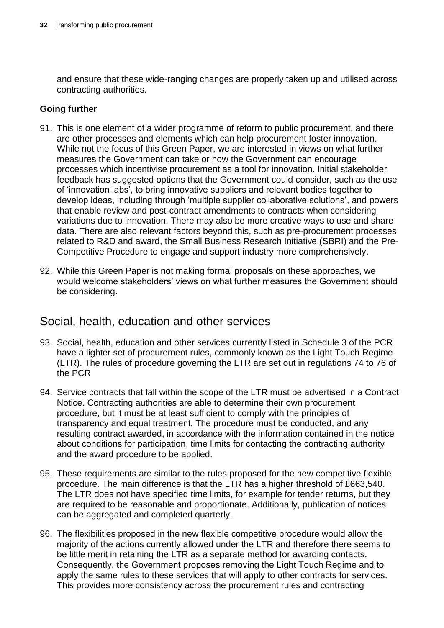and ensure that these wide-ranging changes are properly taken up and utilised across contracting authorities.

#### **Going further**

- 91. This is one element of a wider programme of reform to public procurement, and there are other processes and elements which can help procurement foster innovation. While not the focus of this Green Paper, we are interested in views on what further measures the Government can take or how the Government can encourage processes which incentivise procurement as a tool for innovation. Initial stakeholder feedback has suggested options that the Government could consider, such as the use of 'innovation labs', to bring innovative suppliers and relevant bodies together to develop ideas, including through 'multiple supplier collaborative solutions', and powers that enable review and post-contract amendments to contracts when considering variations due to innovation. There may also be more creative ways to use and share data. There are also relevant factors beyond this, such as pre-procurement processes related to R&D and award, the Small Business Research Initiative (SBRI) and the Pre-Competitive Procedure to engage and support industry more comprehensively.
- 92. While this Green Paper is not making formal proposals on these approaches, we would welcome stakeholders' views on what further measures the Government should be considering.

#### <span id="page-34-0"></span>Social, health, education and other services

- 93. Social, health, education and other services currently listed in Schedule 3 of the PCR have a lighter set of procurement rules, commonly known as the Light Touch Regime (LTR). The rules of procedure governing the LTR are set out in regulations 74 to 76 of the PCR
- 94. Service contracts that fall within the scope of the LTR must be advertised in a Contract Notice. Contracting authorities are able to determine their own procurement procedure, but it must be at least sufficient to comply with the principles of transparency and equal treatment. The procedure must be conducted, and any resulting contract awarded, in accordance with the information contained in the notice about conditions for participation, time limits for contacting the contracting authority and the award procedure to be applied.
- 95. These requirements are similar to the rules proposed for the new competitive flexible procedure. The main difference is that the LTR has a higher threshold of £663,540. The LTR does not have specified time limits, for example for tender returns, but they are required to be reasonable and proportionate. Additionally, publication of notices can be aggregated and completed quarterly.
- 96. The flexibilities proposed in the new flexible competitive procedure would allow the majority of the actions currently allowed under the LTR and therefore there seems to be little merit in retaining the LTR as a separate method for awarding contacts. Consequently, the Government proposes removing the Light Touch Regime and to apply the same rules to these services that will apply to other contracts for services. This provides more consistency across the procurement rules and contracting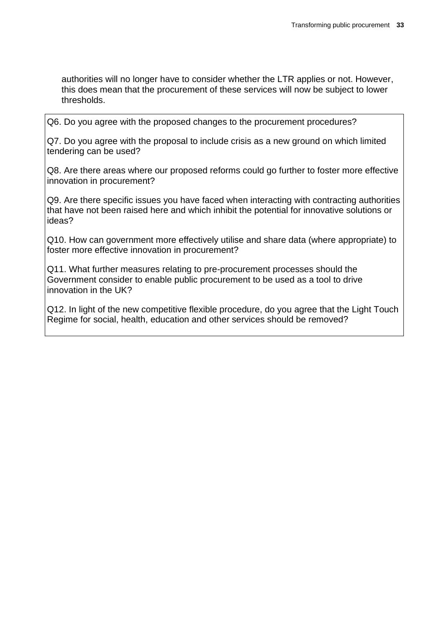authorities will no longer have to consider whether the LTR applies or not. However, this does mean that the procurement of these services will now be subject to lower thresholds.

Q6. Do you agree with the proposed changes to the procurement procedures?

Q7. Do you agree with the proposal to include crisis as a new ground on which limited tendering can be used?

Q8. Are there areas where our proposed reforms could go further to foster more effective innovation in procurement?

Q9. Are there specific issues you have faced when interacting with contracting authorities that have not been raised here and which inhibit the potential for innovative solutions or ideas?

Q10. How can government more effectively utilise and share data (where appropriate) to foster more effective innovation in procurement?

Q11. What further measures relating to pre-procurement processes should the Government consider to enable public procurement to be used as a tool to drive innovation in the UK?

Q12. In light of the new competitive flexible procedure, do you agree that the Light Touch Regime for social, health, education and other services should be removed?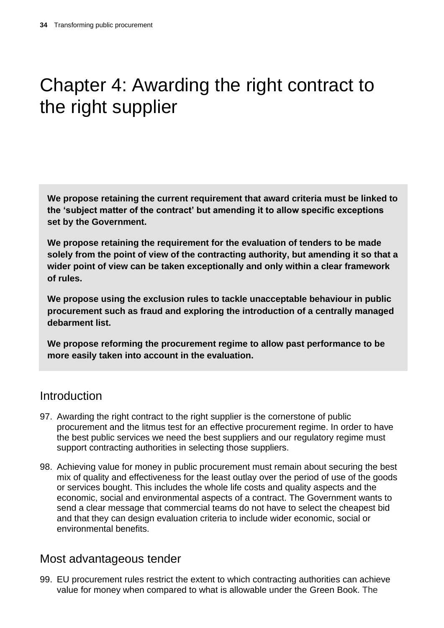# Chapter 4: Awarding the right contract to the right supplier

**We propose retaining the current requirement that award criteria must be linked to the 'subject matter of the contract' but amending it to allow specific exceptions set by the Government.**

**We propose retaining the requirement for the evaluation of tenders to be made solely from the point of view of the contracting authority, but amending it so that a wider point of view can be taken exceptionally and only within a clear framework of rules.**

**We propose using the exclusion rules to tackle unacceptable behaviour in public procurement such as fraud and exploring the introduction of a centrally managed debarment list.**

**We propose reforming the procurement regime to allow past performance to be more easily taken into account in the evaluation.**

# **Introduction**

- 97. Awarding the right contract to the right supplier is the cornerstone of public procurement and the litmus test for an effective procurement regime. In order to have the best public services we need the best suppliers and our regulatory regime must support contracting authorities in selecting those suppliers.
- 98. Achieving value for money in public procurement must remain about securing the best mix of quality and effectiveness for the least outlay over the period of use of the goods or services bought. This includes the whole life costs and quality aspects and the economic, social and environmental aspects of a contract. The Government wants to send a clear message that commercial teams do not have to select the cheapest bid and that they can design evaluation criteria to include wider economic, social or environmental benefits.

# Most advantageous tender

99. EU procurement rules restrict the extent to which contracting authorities can achieve value for money when compared to what is allowable under the Green Book. The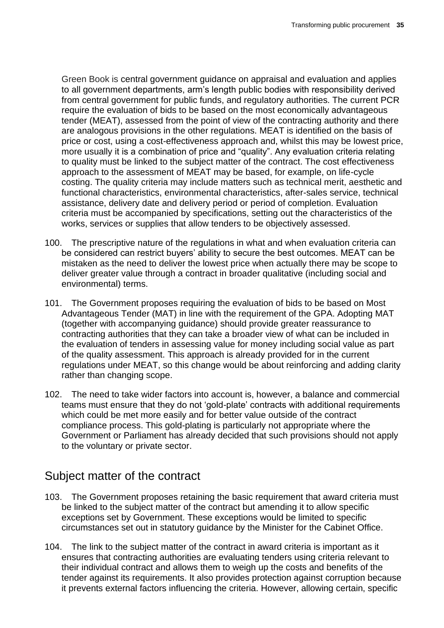Green Book is central government guidance on appraisal and evaluation and applies to all government departments, arm's length public bodies with responsibility derived from central government for public funds, and regulatory authorities. The current PCR require the evaluation of bids to be based on the most economically advantageous tender (MEAT), assessed from the point of view of the contracting authority and there are analogous provisions in the other regulations. MEAT is identified on the basis of price or cost, using a cost-effectiveness approach and, whilst this may be lowest price, more usually it is a combination of price and "quality". Any evaluation criteria relating to quality must be linked to the subject matter of the contract. The cost effectiveness approach to the assessment of MEAT may be based, for example, on life-cycle costing. The quality criteria may include matters such as technical merit, aesthetic and functional characteristics, environmental characteristics, after-sales service, technical assistance, delivery date and delivery period or period of completion. Evaluation criteria must be accompanied by specifications, setting out the characteristics of the works, services or supplies that allow tenders to be objectively assessed.

- 100. The prescriptive nature of the regulations in what and when evaluation criteria can be considered can restrict buyers' ability to secure the best outcomes. MEAT can be mistaken as the need to deliver the lowest price when actually there may be scope to deliver greater value through a contract in broader qualitative (including social and environmental) terms.
- 101. The Government proposes requiring the evaluation of bids to be based on Most Advantageous Tender (MAT) in line with the requirement of the GPA. Adopting MAT (together with accompanying guidance) should provide greater reassurance to contracting authorities that they can take a broader view of what can be included in the evaluation of tenders in assessing value for money including social value as part of the quality assessment. This approach is already provided for in the current regulations under MEAT, so this change would be about reinforcing and adding clarity rather than changing scope.
- 102. The need to take wider factors into account is, however, a balance and commercial teams must ensure that they do not 'gold-plate' contracts with additional requirements which could be met more easily and for better value outside of the contract compliance process. This gold-plating is particularly not appropriate where the Government or Parliament has already decided that such provisions should not apply to the voluntary or private sector.

# Subject matter of the contract

- 103. The Government proposes retaining the basic requirement that award criteria must be linked to the subject matter of the contract but amending it to allow specific exceptions set by Government. These exceptions would be limited to specific circumstances set out in statutory guidance by the Minister for the Cabinet Office.
- 104. The link to the subject matter of the contract in award criteria is important as it ensures that contracting authorities are evaluating tenders using criteria relevant to their individual contract and allows them to weigh up the costs and benefits of the tender against its requirements. It also provides protection against corruption because it prevents external factors influencing the criteria. However, allowing certain, specific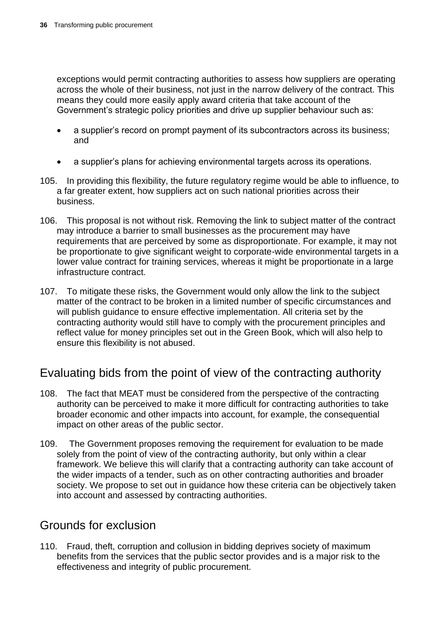exceptions would permit contracting authorities to assess how suppliers are operating across the whole of their business, not just in the narrow delivery of the contract. This means they could more easily apply award criteria that take account of the Government's strategic policy priorities and drive up supplier behaviour such as:

- a supplier's record on prompt payment of its subcontractors across its business; and
- a supplier's plans for achieving environmental targets across its operations.
- 105. In providing this flexibility, the future regulatory regime would be able to influence, to a far greater extent, how suppliers act on such national priorities across their business.
- 106. This proposal is not without risk. Removing the link to subject matter of the contract may introduce a barrier to small businesses as the procurement may have requirements that are perceived by some as disproportionate. For example, it may not be proportionate to give significant weight to corporate-wide environmental targets in a lower value contract for training services, whereas it might be proportionate in a large infrastructure contract.
- 107. To mitigate these risks, the Government would only allow the link to the subject matter of the contract to be broken in a limited number of specific circumstances and will publish guidance to ensure effective implementation. All criteria set by the contracting authority would still have to comply with the procurement principles and reflect value for money principles set out in the Green Book, which will also help to ensure this flexibility is not abused.

# Evaluating bids from the point of view of the contracting authority

- 108. The fact that MEAT must be considered from the perspective of the contracting authority can be perceived to make it more difficult for contracting authorities to take broader economic and other impacts into account, for example, the consequential impact on other areas of the public sector.
- 109. The Government proposes removing the requirement for evaluation to be made solely from the point of view of the contracting authority, but only within a clear framework. We believe this will clarify that a contracting authority can take account of the wider impacts of a tender, such as on other contracting authorities and broader society. We propose to set out in guidance how these criteria can be objectively taken into account and assessed by contracting authorities.

# Grounds for exclusion

110. Fraud, theft, corruption and collusion in bidding deprives society of maximum benefits from the services that the public sector provides and is a major risk to the effectiveness and integrity of public procurement.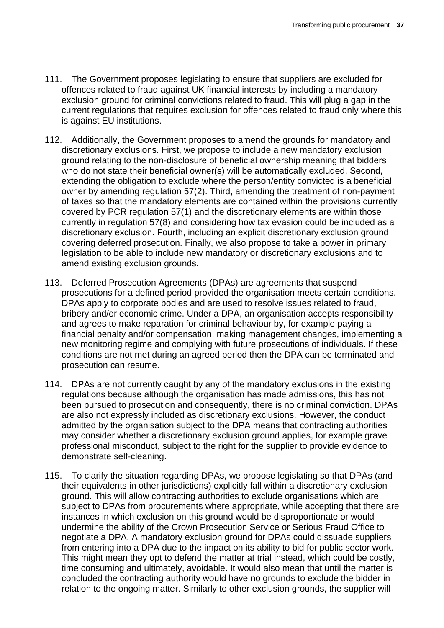- 111. The Government proposes legislating to ensure that suppliers are excluded for offences related to fraud against UK financial interests by including a mandatory exclusion ground for criminal convictions related to fraud. This will plug a gap in the current regulations that requires exclusion for offences related to fraud only where this is against EU institutions.
- 112. Additionally, the Government proposes to amend the grounds for mandatory and discretionary exclusions. First, we propose to include a new mandatory exclusion ground relating to the non-disclosure of beneficial ownership meaning that bidders who do not state their beneficial owner(s) will be automatically excluded. Second, extending the obligation to exclude where the person/entity convicted is a beneficial owner by amending regulation 57(2). Third, amending the treatment of non-payment of taxes so that the mandatory elements are contained within the provisions currently covered by PCR regulation 57(1) and the discretionary elements are within those currently in regulation 57(8) and considering how tax evasion could be included as a discretionary exclusion. Fourth, including an explicit discretionary exclusion ground covering deferred prosecution. Finally, we also propose to take a power in primary legislation to be able to include new mandatory or discretionary exclusions and to amend existing exclusion grounds.
- 113. Deferred Prosecution Agreements (DPAs) are agreements that suspend prosecutions for a defined period provided the organisation meets certain conditions. DPAs apply to corporate bodies and are used to resolve issues related to fraud, bribery and/or economic crime. Under a DPA, an organisation accepts responsibility and agrees to make reparation for criminal behaviour by, for example paying a financial penalty and/or compensation, making management changes, implementing a new monitoring regime and complying with future prosecutions of individuals. If these conditions are not met during an agreed period then the DPA can be terminated and prosecution can resume.
- 114. DPAs are not currently caught by any of the mandatory exclusions in the existing regulations because although the organisation has made admissions, this has not been pursued to prosecution and consequently, there is no criminal conviction. DPAs are also not expressly included as discretionary exclusions. However, the conduct admitted by the organisation subject to the DPA means that contracting authorities may consider whether a discretionary exclusion ground applies, for example grave professional misconduct, subject to the right for the supplier to provide evidence to demonstrate self-cleaning.
- 115. To clarify the situation regarding DPAs, we propose legislating so that DPAs (and their equivalents in other jurisdictions) explicitly fall within a discretionary exclusion ground. This will allow contracting authorities to exclude organisations which are subject to DPAs from procurements where appropriate, while accepting that there are instances in which exclusion on this ground would be disproportionate or would undermine the ability of the Crown Prosecution Service or Serious Fraud Office to negotiate a DPA. A mandatory exclusion ground for DPAs could dissuade suppliers from entering into a DPA due to the impact on its ability to bid for public sector work. This might mean they opt to defend the matter at trial instead, which could be costly, time consuming and ultimately, avoidable. It would also mean that until the matter is concluded the contracting authority would have no grounds to exclude the bidder in relation to the ongoing matter. Similarly to other exclusion grounds, the supplier will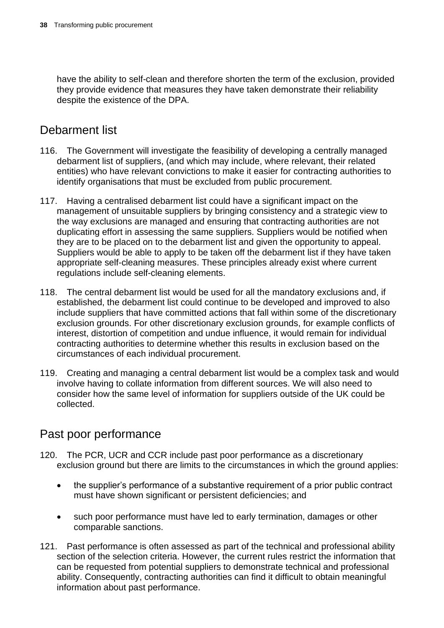have the ability to self-clean and therefore shorten the term of the exclusion, provided they provide evidence that measures they have taken demonstrate their reliability despite the existence of the DPA.

# <span id="page-40-0"></span>Debarment list

- 116. The Government will investigate the feasibility of developing a centrally managed debarment list of suppliers, (and which may include, where relevant, their related entities) who have relevant convictions to make it easier for contracting authorities to identify organisations that must be excluded from public procurement.
- 117. Having a centralised debarment list could have a significant impact on the management of unsuitable suppliers by bringing consistency and a strategic view to the way exclusions are managed and ensuring that contracting authorities are not duplicating effort in assessing the same suppliers. Suppliers would be notified when they are to be placed on to the debarment list and given the opportunity to appeal. Suppliers would be able to apply to be taken off the debarment list if they have taken appropriate self-cleaning measures. These principles already exist where current regulations include self-cleaning elements.
- 118. The central debarment list would be used for all the mandatory exclusions and, if established, the debarment list could continue to be developed and improved to also include suppliers that have committed actions that fall within some of the discretionary exclusion grounds. For other discretionary exclusion grounds, for example conflicts of interest, distortion of competition and undue influence, it would remain for individual contracting authorities to determine whether this results in exclusion based on the circumstances of each individual procurement.
- 119. Creating and managing a central debarment list would be a complex task and would involve having to collate information from different sources. We will also need to consider how the same level of information for suppliers outside of the UK could be collected.

# Past poor performance

- 120. The PCR, UCR and CCR include past poor performance as a discretionary exclusion ground but there are limits to the circumstances in which the ground applies:
	- the supplier's performance of a substantive requirement of a prior public contract must have shown significant or persistent deficiencies; and
	- such poor performance must have led to early termination, damages or other comparable sanctions.
- 121. Past performance is often assessed as part of the technical and professional ability section of the selection criteria. However, the current rules restrict the information that can be requested from potential suppliers to demonstrate technical and professional ability. Consequently, contracting authorities can find it difficult to obtain meaningful information about past performance.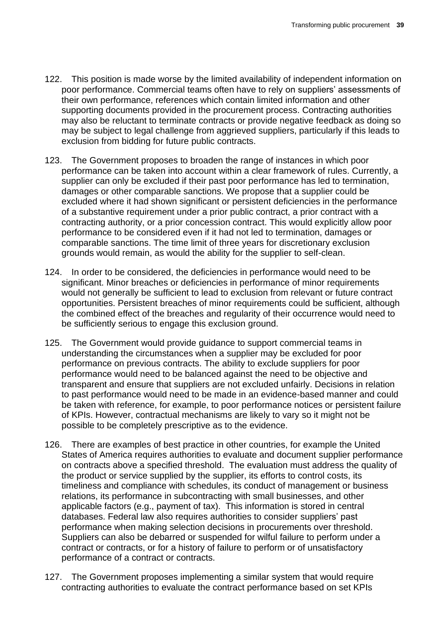- 122. This position is made worse by the limited availability of independent information on poor performance. Commercial teams often have to rely on suppliers' assessments of their own performance, references which contain limited information and other supporting documents provided in the procurement process. Contracting authorities may also be reluctant to terminate contracts or provide negative feedback as doing so may be subject to legal challenge from aggrieved suppliers, particularly if this leads to exclusion from bidding for future public contracts.
- 123. The Government proposes to broaden the range of instances in which poor performance can be taken into account within a clear framework of rules. Currently, a supplier can only be excluded if their past poor performance has led to termination, damages or other comparable sanctions. We propose that a supplier could be excluded where it had shown significant or persistent deficiencies in the performance of a substantive requirement under a prior public contract, a prior contract with a contracting authority, or a prior concession contract. This would explicitly allow poor performance to be considered even if it had not led to termination, damages or comparable sanctions. The time limit of three years for discretionary exclusion grounds would remain, as would the ability for the supplier to self-clean.
- 124. In order to be considered, the deficiencies in performance would need to be significant. Minor breaches or deficiencies in performance of minor requirements would not generally be sufficient to lead to exclusion from relevant or future contract opportunities. Persistent breaches of minor requirements could be sufficient, although the combined effect of the breaches and regularity of their occurrence would need to be sufficiently serious to engage this exclusion ground.
- 125. The Government would provide guidance to support commercial teams in understanding the circumstances when a supplier may be excluded for poor performance on previous contracts. The ability to exclude suppliers for poor performance would need to be balanced against the need to be objective and transparent and ensure that suppliers are not excluded unfairly. Decisions in relation to past performance would need to be made in an evidence-based manner and could be taken with reference, for example, to poor performance notices or persistent failure of KPIs. However, contractual mechanisms are likely to vary so it might not be possible to be completely prescriptive as to the evidence.
- 126. There are examples of best practice in other countries, for example the United States of America requires authorities to evaluate and document supplier performance on contracts above a specified threshold. The evaluation must address the quality of the product or service supplied by the supplier, its efforts to control costs, its timeliness and compliance with schedules, its conduct of management or business relations, its performance in subcontracting with small businesses, and other applicable factors (e.g., payment of tax). This information is stored in central databases. Federal law also requires authorities to consider suppliers' past performance when making selection decisions in procurements over threshold. Suppliers can also be debarred or suspended for wilful failure to perform under a contract or contracts, or for a history of failure to perform or of unsatisfactory performance of a contract or contracts.
- 127. The Government proposes implementing a similar system that would require contracting authorities to evaluate the contract performance based on set KPIs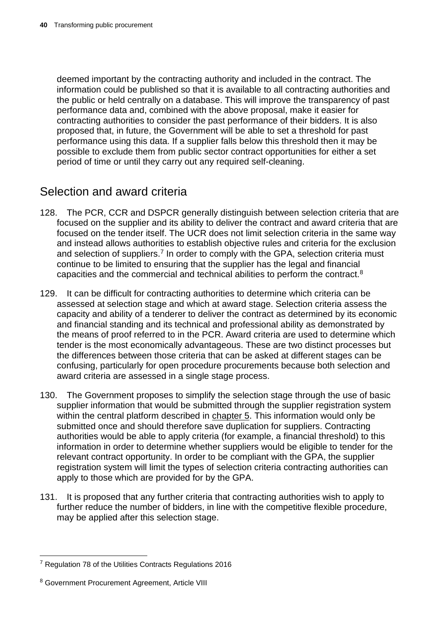deemed important by the contracting authority and included in the contract. The information could be published so that it is available to all contracting authorities and the public or held centrally on a database. This will improve the transparency of past performance data and, combined with the above proposal, make it easier for contracting authorities to consider the past performance of their bidders. It is also proposed that, in future, the Government will be able to set a threshold for past performance using this data. If a supplier falls below this threshold then it may be possible to exclude them from public sector contract opportunities for either a set period of time or until they carry out any required self-cleaning.

# Selection and award criteria

- 128. The PCR, CCR and DSPCR generally distinguish between selection criteria that are focused on the supplier and its ability to deliver the contract and award criteria that are focused on the tender itself. The UCR does not limit selection criteria in the same way and instead allows authorities to establish objective rules and criteria for the exclusion and selection of suppliers.<sup>7</sup> In order to comply with the GPA, selection criteria must continue to be limited to ensuring that the supplier has the legal and financial capacities and the commercial and technical abilities to perform the contract.<sup>8</sup>
- 129. It can be difficult for contracting authorities to determine which criteria can be assessed at selection stage and which at award stage. Selection criteria assess the capacity and ability of a tenderer to deliver the contract as determined by its economic and financial standing and its technical and professional ability as demonstrated by the means of proof referred to in the PCR. Award criteria are used to determine which tender is the most economically advantageous. These are two distinct processes but the differences between those criteria that can be asked at different stages can be confusing, particularly for open procedure procurements because both selection and award criteria are assessed in a single stage process.
- 130. The Government proposes to simplify the selection stage through the use of basic supplier information that would be submitted through the supplier registration system within the central platform described in [chapter 5.](#page-57-0) This information would only be submitted once and should therefore save duplication for suppliers. Contracting authorities would be able to apply criteria (for example, a financial threshold) to this information in order to determine whether suppliers would be eligible to tender for the relevant contract opportunity. In order to be compliant with the GPA, the supplier registration system will limit the types of selection criteria contracting authorities can apply to those which are provided for by the GPA.
- 131. It is proposed that any further criteria that contracting authorities wish to apply to further reduce the number of bidders, in line with the competitive flexible procedure, may be applied after this selection stage.

<sup>&</sup>lt;sup>7</sup> Regulation 78 of the Utilities Contracts Regulations 2016

<sup>8</sup> Government Procurement Agreement, Article VIII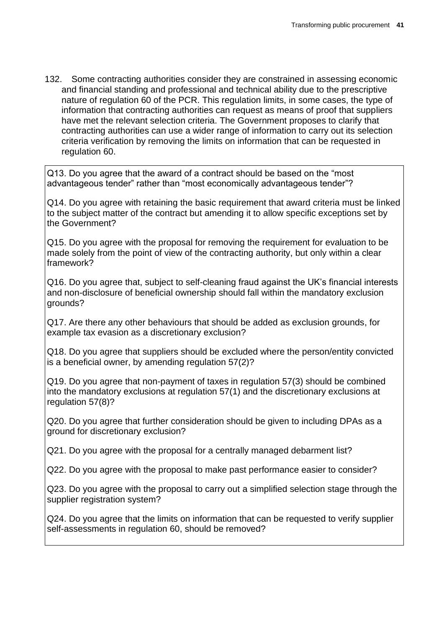132. Some contracting authorities consider they are constrained in assessing economic and financial standing and professional and technical ability due to the prescriptive nature of regulation 60 of the PCR. This regulation limits, in some cases, the type of information that contracting authorities can request as means of proof that suppliers have met the relevant selection criteria. The Government proposes to clarify that contracting authorities can use a wider range of information to carry out its selection criteria verification by removing the limits on information that can be requested in regulation 60.

Q13. Do you agree that the award of a contract should be based on the "most advantageous tender" rather than "most economically advantageous tender"?

Q14. Do you agree with retaining the basic requirement that award criteria must be linked to the subject matter of the contract but amending it to allow specific exceptions set by the Government?

Q15. Do you agree with the proposal for removing the requirement for evaluation to be made solely from the point of view of the contracting authority, but only within a clear framework?

Q16. Do you agree that, subject to self-cleaning fraud against the UK's financial interests and non-disclosure of beneficial ownership should fall within the mandatory exclusion grounds?

Q17. Are there any other behaviours that should be added as exclusion grounds, for example tax evasion as a discretionary exclusion?

Q18. Do you agree that suppliers should be excluded where the person/entity convicted is a beneficial owner, by amending regulation 57(2)?

Q19. Do you agree that non-payment of taxes in regulation 57(3) should be combined into the mandatory exclusions at regulation 57(1) and the discretionary exclusions at regulation 57(8)?

Q20. Do you agree that further consideration should be given to including DPAs as a ground for discretionary exclusion?

Q21. Do you agree with the proposal for a centrally managed debarment list?

Q22. Do you agree with the proposal to make past performance easier to consider?

Q23. Do you agree with the proposal to carry out a simplified selection stage through the supplier registration system?

Q24. Do you agree that the limits on information that can be requested to verify supplier self-assessments in regulation 60, should be removed?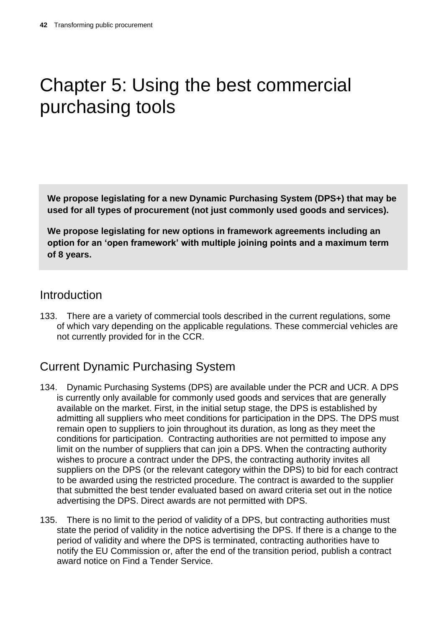# Chapter 5: Using the best commercial purchasing tools

**We propose legislating for a new Dynamic Purchasing System (DPS+) that may be used for all types of procurement (not just commonly used goods and services).**

**We propose legislating for new options in framework agreements including an option for an 'open framework' with multiple joining points and a maximum term of 8 years.**

## **Introduction**

133. There are a variety of commercial tools described in the current regulations, some of which vary depending on the applicable regulations. These commercial vehicles are not currently provided for in the CCR.

# Current Dynamic Purchasing System

- 134. Dynamic Purchasing Systems (DPS) are available under the PCR and UCR. A DPS is currently only available for commonly used goods and services that are generally available on the market. First, in the initial setup stage, the DPS is established by admitting all suppliers who meet conditions for participation in the DPS. The DPS must remain open to suppliers to join throughout its duration, as long as they meet the conditions for participation. Contracting authorities are not permitted to impose any limit on the number of suppliers that can join a DPS. When the contracting authority wishes to procure a contract under the DPS, the contracting authority invites all suppliers on the DPS (or the relevant category within the DPS) to bid for each contract to be awarded using the restricted procedure. The contract is awarded to the supplier that submitted the best tender evaluated based on award criteria set out in the notice advertising the DPS. Direct awards are not permitted with DPS.
- 135. There is no limit to the period of validity of a DPS, but contracting authorities must state the period of validity in the notice advertising the DPS. If there is a change to the period of validity and where the DPS is terminated, contracting authorities have to notify the EU Commission or, after the end of the transition period, publish a contract award notice on Find a Tender Service.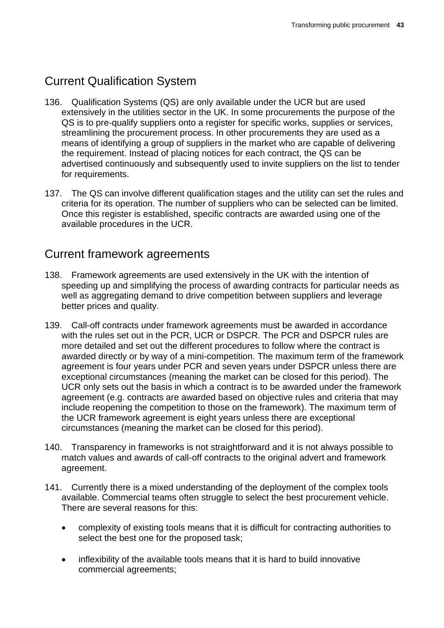# Current Qualification System

- 136. Qualification Systems (QS) are only available under the UCR but are used extensively in the utilities sector in the UK. In some procurements the purpose of the QS is to pre-qualify suppliers onto a register for specific works, supplies or services, streamlining the procurement process. In other procurements they are used as a means of identifying a group of suppliers in the market who are capable of delivering the requirement. Instead of placing notices for each contract, the QS can be advertised continuously and subsequently used to invite suppliers on the list to tender for requirements.
- 137. The QS can involve different qualification stages and the utility can set the rules and criteria for its operation. The number of suppliers who can be selected can be limited. Once this register is established, specific contracts are awarded using one of the available procedures in the UCR.

## Current framework agreements

- 138. Framework agreements are used extensively in the UK with the intention of speeding up and simplifying the process of awarding contracts for particular needs as well as aggregating demand to drive competition between suppliers and leverage better prices and quality.
- 139. Call-off contracts under framework agreements must be awarded in accordance with the rules set out in the PCR, UCR or DSPCR. The PCR and DSPCR rules are more detailed and set out the different procedures to follow where the contract is awarded directly or by way of a mini-competition. The maximum term of the framework agreement is four years under PCR and seven years under DSPCR unless there are exceptional circumstances (meaning the market can be closed for this period). The UCR only sets out the basis in which a contract is to be awarded under the framework agreement (e.g. contracts are awarded based on objective rules and criteria that may include reopening the competition to those on the framework). The maximum term of the UCR framework agreement is eight years unless there are exceptional circumstances (meaning the market can be closed for this period).
- 140. Transparency in frameworks is not straightforward and it is not always possible to match values and awards of call-off contracts to the original advert and framework agreement.
- 141. Currently there is a mixed understanding of the deployment of the complex tools available. Commercial teams often struggle to select the best procurement vehicle. There are several reasons for this:
	- complexity of existing tools means that it is difficult for contracting authorities to select the best one for the proposed task;
	- inflexibility of the available tools means that it is hard to build innovative commercial agreements;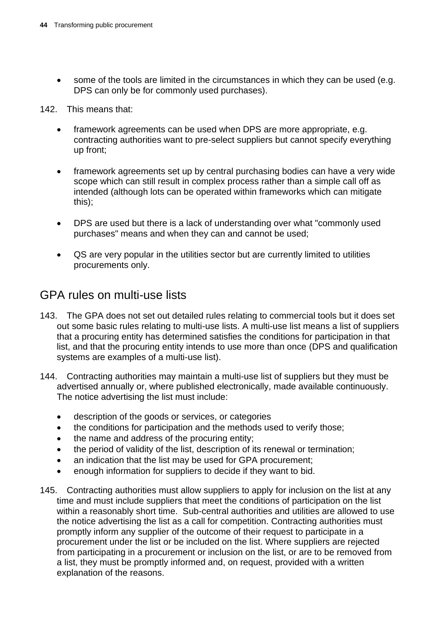- some of the tools are limited in the circumstances in which they can be used (e.g. DPS can only be for commonly used purchases).
- 142. This means that:
	- framework agreements can be used when DPS are more appropriate, e.g. contracting authorities want to pre-select suppliers but cannot specify everything up front;
	- framework agreements set up by central purchasing bodies can have a very wide scope which can still result in complex process rather than a simple call off as intended (although lots can be operated within frameworks which can mitigate this);
	- DPS are used but there is a lack of understanding over what "commonly used purchases" means and when they can and cannot be used;
	- QS are very popular in the utilities sector but are currently limited to utilities procurements only.

## GPA rules on multi-use lists

- 143. The GPA does not set out detailed rules relating to commercial tools but it does set out some basic rules relating to multi-use lists. A multi-use list means a list of suppliers that a procuring entity has determined satisfies the conditions for participation in that list, and that the procuring entity intends to use more than once (DPS and qualification systems are examples of a multi-use list).
- 144. Contracting authorities may maintain a multi-use list of suppliers but they must be advertised annually or, where published electronically, made available continuously. The notice advertising the list must include:
	- description of the goods or services, or categories
	- the conditions for participation and the methods used to verify those;
	- the name and address of the procuring entity;
	- the period of validity of the list, description of its renewal or termination;
	- an indication that the list may be used for GPA procurement;
	- enough information for suppliers to decide if they want to bid.
- 145. Contracting authorities must allow suppliers to apply for inclusion on the list at any time and must include suppliers that meet the conditions of participation on the list within a reasonably short time. Sub-central authorities and utilities are allowed to use the notice advertising the list as a call for competition. Contracting authorities must promptly inform any supplier of the outcome of their request to participate in a procurement under the list or be included on the list. Where suppliers are rejected from participating in a procurement or inclusion on the list, or are to be removed from a list, they must be promptly informed and, on request, provided with a written explanation of the reasons.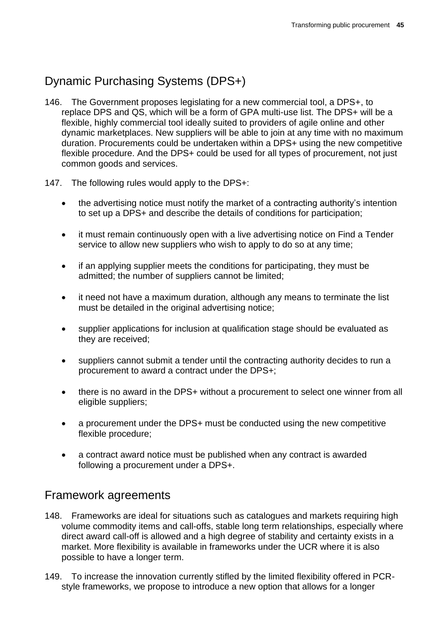# Dynamic Purchasing Systems (DPS+)

- 146. The Government proposes legislating for a new commercial tool, a DPS+, to replace DPS and QS, which will be a form of GPA multi-use list. The DPS+ will be a flexible, highly commercial tool ideally suited to providers of agile online and other dynamic marketplaces. New suppliers will be able to join at any time with no maximum duration. Procurements could be undertaken within a DPS+ using the new competitive flexible procedure. And the DPS+ could be used for all types of procurement, not just common goods and services.
- 147. The following rules would apply to the DPS+:
	- the advertising notice must notify the market of a contracting authority's intention to set up a DPS+ and describe the details of conditions for participation;
	- it must remain continuously open with a live advertising notice on Find a Tender service to allow new suppliers who wish to apply to do so at any time;
	- if an applying supplier meets the conditions for participating, they must be admitted; the number of suppliers cannot be limited;
	- it need not have a maximum duration, although any means to terminate the list must be detailed in the original advertising notice:
	- supplier applications for inclusion at qualification stage should be evaluated as they are received;
	- suppliers cannot submit a tender until the contracting authority decides to run a procurement to award a contract under the DPS+;
	- there is no award in the DPS+ without a procurement to select one winner from all eligible suppliers;
	- a procurement under the DPS+ must be conducted using the new competitive flexible procedure;
	- a contract award notice must be published when any contract is awarded following a procurement under a DPS+.

## Framework agreements

- 148. Frameworks are ideal for situations such as catalogues and markets requiring high volume commodity items and call-offs, stable long term relationships, especially where direct award call-off is allowed and a high degree of stability and certainty exists in a market. More flexibility is available in frameworks under the UCR where it is also possible to have a longer term.
- 149. To increase the innovation currently stifled by the limited flexibility offered in PCRstyle frameworks, we propose to introduce a new option that allows for a longer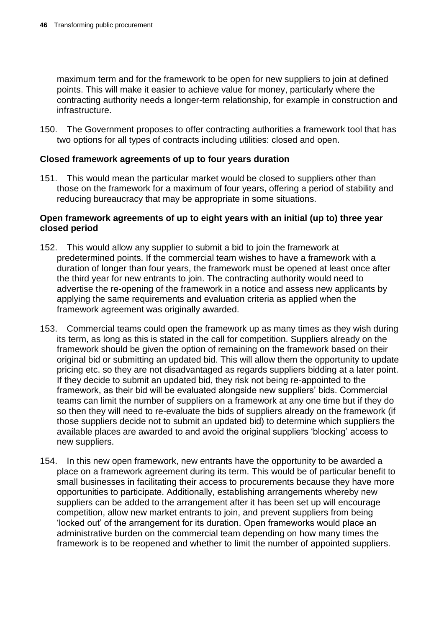maximum term and for the framework to be open for new suppliers to join at defined points. This will make it easier to achieve value for money, particularly where the contracting authority needs a longer-term relationship, for example in construction and infrastructure.

150. The Government proposes to offer contracting authorities a framework tool that has two options for all types of contracts including utilities: closed and open.

### **Closed framework agreements of up to four years duration**

151. This would mean the particular market would be closed to suppliers other than those on the framework for a maximum of four years, offering a period of stability and reducing bureaucracy that may be appropriate in some situations.

### **Open framework agreements of up to eight years with an initial (up to) three year closed period**

- 152. This would allow any supplier to submit a bid to join the framework at predetermined points. If the commercial team wishes to have a framework with a duration of longer than four years, the framework must be opened at least once after the third year for new entrants to join. The contracting authority would need to advertise the re-opening of the framework in a notice and assess new applicants by applying the same requirements and evaluation criteria as applied when the framework agreement was originally awarded.
- 153. Commercial teams could open the framework up as many times as they wish during its term, as long as this is stated in the call for competition. Suppliers already on the framework should be given the option of remaining on the framework based on their original bid or submitting an updated bid. This will allow them the opportunity to update pricing etc. so they are not disadvantaged as regards suppliers bidding at a later point. If they decide to submit an updated bid, they risk not being re-appointed to the framework, as their bid will be evaluated alongside new suppliers' bids. Commercial teams can limit the number of suppliers on a framework at any one time but if they do so then they will need to re-evaluate the bids of suppliers already on the framework (if those suppliers decide not to submit an updated bid) to determine which suppliers the available places are awarded to and avoid the original suppliers 'blocking' access to new suppliers.
- 154. In this new open framework, new entrants have the opportunity to be awarded a place on a framework agreement during its term. This would be of particular benefit to small businesses in facilitating their access to procurements because they have more opportunities to participate. Additionally, establishing arrangements whereby new suppliers can be added to the arrangement after it has been set up will encourage competition, allow new market entrants to join, and prevent suppliers from being 'locked out' of the arrangement for its duration. Open frameworks would place an administrative burden on the commercial team depending on how many times the framework is to be reopened and whether to limit the number of appointed suppliers.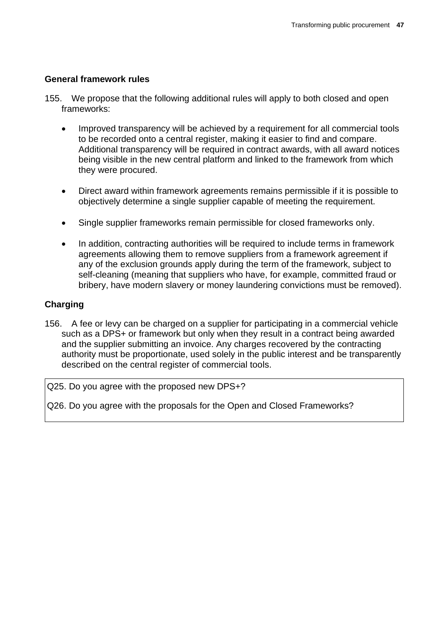#### **General framework rules**

- 155. We propose that the following additional rules will apply to both closed and open frameworks:
	- Improved transparency will be achieved by a requirement for all commercial tools to be recorded onto a central register, making it easier to find and compare. Additional transparency will be required in contract awards, with all award notices being visible in the new central platform and linked to the framework from which they were procured.
	- Direct award within framework agreements remains permissible if it is possible to objectively determine a single supplier capable of meeting the requirement.
	- Single supplier frameworks remain permissible for closed frameworks only.
	- In addition, contracting authorities will be required to include terms in framework agreements allowing them to remove suppliers from a framework agreement if any of the exclusion grounds apply during the term of the framework, subject to self-cleaning (meaning that suppliers who have, for example, committed fraud or bribery, have modern slavery or money laundering convictions must be removed).

#### **Charging**

156. A fee or levy can be charged on a supplier for participating in a commercial vehicle such as a DPS+ or framework but only when they result in a contract being awarded and the supplier submitting an invoice. Any charges recovered by the contracting authority must be proportionate, used solely in the public interest and be transparently described on the central register of commercial tools.

Q25. Do you agree with the proposed new DPS+?

Q26. Do you agree with the proposals for the Open and Closed Frameworks?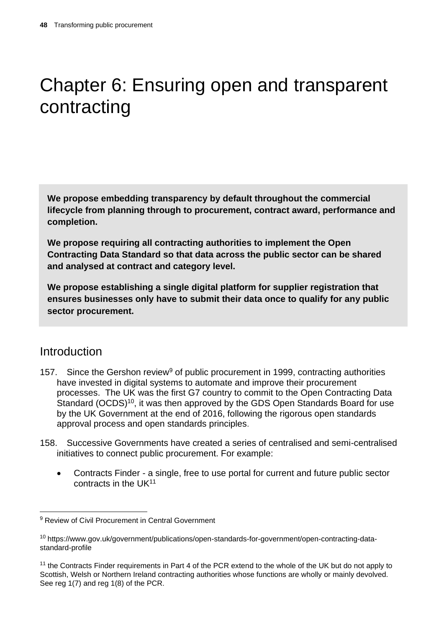# <span id="page-50-0"></span>Chapter 6: Ensuring open and transparent contracting

**We propose embedding transparency by default throughout the commercial lifecycle from planning through to procurement, contract award, performance and completion.**

**We propose requiring all contracting authorities to implement the Open Contracting Data Standard so that data across the public sector can be shared and analysed at contract and category level.**

**We propose establishing a single digital platform for supplier registration that ensures businesses only have to submit their data once to qualify for any public sector procurement.** 

## **Introduction**

- 157. Since the Gershon review<sup>9</sup> of public procurement in 1999, contracting authorities have invested in digital systems to automate and improve their procurement processes. The UK was the first G7 country to commit to the Open Contracting Data Standard (OCDS)<sup>10</sup>, it [was then approved by the GDS Open Standards Board for use](https://www.gov.uk/government/publications/open-standards-for-government/open-contracting-data-standard-profile) [by the UK Governmen](https://www.gov.uk/government/publications/open-standards-for-government/open-contracting-data-standard-profile)t at the end of 2016, following the rigorous open standards approval process a[nd open standards principle](https://www.gov.uk/government/publications/open-standards-principles/open-standards-principles)s.
- 158. Successive Governments have created a series of centralised and semi-centralised initiatives to connect public procurement. For example:
	- Contracts Finder a single, free to use portal for current and future public sector contracts in the UK<sup>11</sup>

<sup>&</sup>lt;sup>9</sup> [Review of Civil Procurement in Central Governme](https://www.toronto.ca/ext/digital_comm/inquiry/inquiry_site/cd/gg/add_pdf/77/Procurement/Electronic_Documents/UK/U.K._Gershon_Report.pdf)nt

<sup>10</sup> [https://www.gov.uk/government/publications/open-standards-for-government/open-contracting-data](https://www.gov.uk/government/publications/open-standards-for-government/open-contracting-data-standard-profile)[standard-profi](https://www.gov.uk/government/publications/open-standards-for-government/open-contracting-data-standard-profile)le

<sup>&</sup>lt;sup>11</sup> the Contracts Finder requirements in Part 4 of the PCR extend to the whole of the UK but do not apply to Scottish, Welsh or Northern Ireland contracting authorities whose functions are wholly or mainly devolved. See reg 1(7) and reg 1(8) of the PCR.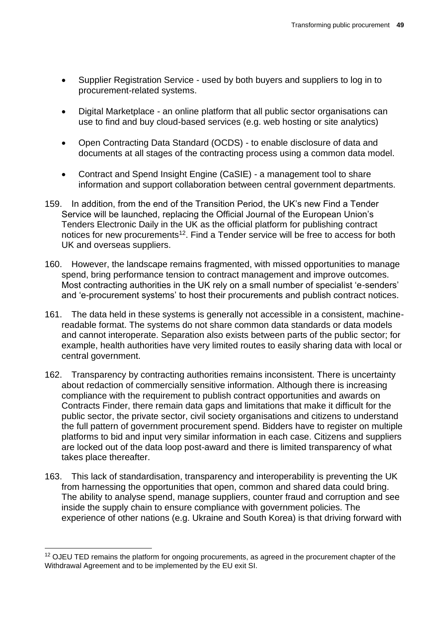- Supplier Registration Service used by both buyers and suppliers to log in to procurement-related systems.
- Digital Marketplace an online platform that all public sector organisations can use to find and buy cloud-based services (e.g. web hosting or site analytics)
- Open Contracting Data Standard (OCDS) to enable disclosure of data and documents at all stages of the contracting process using a common data model.
- Contract and Spend Insight Engine (CaSIE) a management tool to share information and support collaboration between central government departments.
- 159. In addition, from the end of the Transition Period, the UK's new Find a Tender Service will be launched, replacing the Official Journal of the European Union's Tenders Electronic Daily in the UK as the official platform for publishing contract notices for new procurements<sup>12</sup>. Find a Tender service will be free to access for both UK and overseas suppliers.
- 160. However, the landscape remains fragmented, with missed opportunities to manage spend, bring performance tension to contract management and improve outcomes. Most contracting authorities in the UK rely on a small number of specialist 'e-senders' and 'e-procurement systems' to host their procurements and publish contract notices.
- 161. The data held in these systems is generally not accessible in a consistent, machinereadable format. The systems do not share common data standards or data models and cannot interoperate. Separation also exists between parts of the public sector; for example, health authorities have very limited routes to easily sharing data with local or central government.
- 162. Transparency by contracting authorities remains inconsistent. There is uncertainty about redaction of commercially sensitive information. Although there is increasing compliance with the requirement to publish contract opportunities and awards on Contracts Finder, there remain data gaps and limitations that make it difficult for the public sector, the private sector, civil society organisations and citizens to understand the full pattern of government procurement spend. Bidders have to register on multiple platforms to bid and input very similar information in each case. Citizens and suppliers are locked out of the data loop post-award and there is limited transparency of what takes place thereafter.
- 163. This lack of standardisation, transparency and interoperability is preventing the UK from harnessing the opportunities that open, common and shared data could bring. The ability to analyse spend, manage suppliers, counter fraud and corruption and see inside the supply chain to ensure compliance with government policies. The experience of other nations (e.g. Ukraine and South Korea) is that driving forward with

<sup>&</sup>lt;sup>12</sup> OJEU TED remains the platform for ongoing procurements, as agreed in the procurement chapter of the Withdrawal Agreement and to be implemented by the EU exit SI.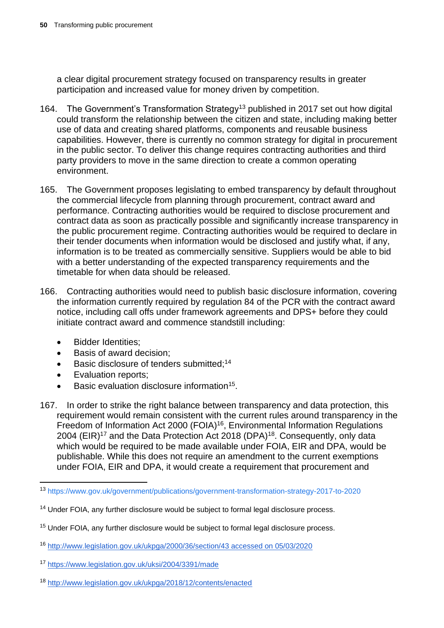a clear digital procurement strategy focused on transparency results in greater participation and increased value for money driven by competition.

- 164. The Government's Transformation Strategy<sup>13</sup> published in 2017 set out how digital could transform the relationship between the citizen and state, including making better use of data and creating shared platforms, components and reusable business capabilities. However, there is currently no common strategy for digital in procurement in the public sector. To deliver this change requires contracting authorities and third party providers to move in the same direction to create a common operating environment.
- 165. The Government proposes legislating to embed transparency by default throughout the commercial lifecycle from planning through procurement, contract award and performance. Contracting authorities would be required to disclose procurement and contract data as soon as practically possible and significantly increase transparency in the public procurement regime. Contracting authorities would be required to declare in their tender documents when information would be disclosed and justify what, if any, information is to be treated as commercially sensitive. Suppliers would be able to bid with a better understanding of the expected transparency requirements and the timetable for when data should be released.
- 166. Contracting authorities would need to publish basic disclosure information, covering the information currently required by regulation 84 of the PCR with the contract award notice, including call offs under framework agreements and DPS+ before they could initiate contract award and commence standstill including:
	- Bidder Identities;
	- Basis of award decision;
	- Basic disclosure of tenders submitted:<sup>14</sup>
	- Evaluation reports;
	- Basic evaluation disclosure information<sup>15</sup>.
- 167. In order to strike the right balance between transparency and data protection, this requirement would remain consistent with the current rules around transparency in the Freedom of Information Act 2000 (FOIA)<sup>16</sup>, Environmental Information Regulations 2004 (EIR)<sup>17</sup> and the Data Protection Act 2018 (DPA)<sup>18</sup>. Consequently, only data which would be required to be made available under FOIA, EIR and DPA, would be publishable. While this does not require an amendment to the current exemptions under FOIA, EIR and DPA, it would create a requirement that procurement and

<sup>13</sup> [https://www.gov.uk/government/publications/government-transformation-strategy-2017-to-202](https://www.gov.uk/government/publications/government-transformation-strategy-2017-to-2020)0

<sup>&</sup>lt;sup>14</sup> Under FOIA, any further disclosure would be subject to formal legal disclosure process.

<sup>&</sup>lt;sup>15</sup> Under FOIA, any further disclosure would be subject to formal legal disclosure process.

<sup>16</sup> [http://www.legislation.gov.uk/ukpga/2000/36/section/43 accessed on 05/03/202](http://www.legislation.gov.uk/ukpga/2000/36/section/43)0

<sup>17</sup> [https://www.legislation.gov.uk/uksi/2004/3391/mad](https://www.legislation.gov.uk/uksi/2004/3391/made)e

<sup>18</sup> [http://www.legislation.gov.uk/ukpga/2018/12/contents/enacte](http://www.legislation.gov.uk/ukpga/2018/12/contents/enacted)d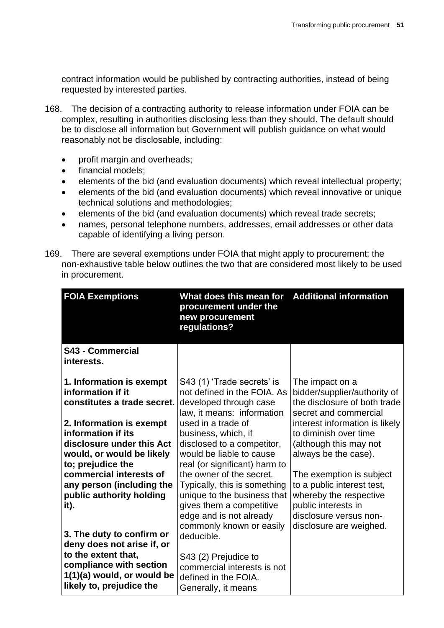contract information would be published by contracting authorities, instead of being requested by interested parties.

- 168. The decision of a contracting authority to release information under FOIA can be complex, resulting in authorities disclosing less than they should. The default should be to disclose all information but Government will publish guidance on what would reasonably not be disclosable, including:
	- profit margin and overheads;
	- financial models:
	- elements of the bid (and evaluation documents) which reveal intellectual property;
	- elements of the bid (and evaluation documents) which reveal innovative or unique technical solutions and methodologies;
	- elements of the bid (and evaluation documents) which reveal trade secrets;
	- names, personal telephone numbers, addresses, email addresses or other data capable of identifying a living person.
- 169. There are several exemptions under FOIA that might apply to procurement; the non-exhaustive table below outlines the two that are considered most likely to be used in procurement.

| <b>FOIA Exemptions</b>                                                                                                                                                                                                    | What does this mean for<br>procurement under the<br>new procurement<br>regulations?                                                                                                                                                                                                    | <b>Additional information</b>                                                                                                                                                                                                                  |
|---------------------------------------------------------------------------------------------------------------------------------------------------------------------------------------------------------------------------|----------------------------------------------------------------------------------------------------------------------------------------------------------------------------------------------------------------------------------------------------------------------------------------|------------------------------------------------------------------------------------------------------------------------------------------------------------------------------------------------------------------------------------------------|
| <b>S43 - Commercial</b><br>interests.                                                                                                                                                                                     |                                                                                                                                                                                                                                                                                        |                                                                                                                                                                                                                                                |
| 1. Information is exempt<br>information if it<br>constitutes a trade secret.                                                                                                                                              | S43 (1) 'Trade secrets' is<br>not defined in the FOIA. As<br>developed through case<br>law, it means: information                                                                                                                                                                      | The impact on a<br>bidder/supplier/authority of<br>the disclosure of both trade<br>secret and commercial                                                                                                                                       |
| 2. Information is exempt<br>information if its<br>disclosure under this Act<br>would, or would be likely<br>to; prejudice the<br>commercial interests of<br>any person (including the<br>public authority holding<br>it). | used in a trade of<br>business, which, if<br>disclosed to a competitor,<br>would be liable to cause<br>real (or significant) harm to<br>the owner of the secret.<br>Typically, this is something<br>unique to the business that<br>gives them a competitive<br>edge and is not already | interest information is likely<br>to diminish over time<br>(although this may not<br>always be the case).<br>The exemption is subject<br>to a public interest test,<br>whereby the respective<br>public interests in<br>disclosure versus non- |
| 3. The duty to confirm or<br>deny does not arise if, or<br>to the extent that,<br>compliance with section<br>$1(1)(a)$ would, or would be<br>likely to, prejudice the                                                     | commonly known or easily<br>deducible.<br>S43 (2) Prejudice to<br>commercial interests is not<br>defined in the FOIA.<br>Generally, it means                                                                                                                                           | disclosure are weighed.                                                                                                                                                                                                                        |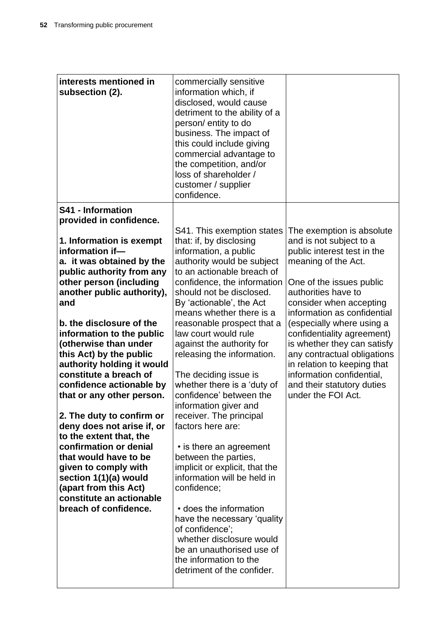| interests mentioned in<br>subsection (2). | commercially sensitive<br>information which, if<br>disclosed, would cause<br>detriment to the ability of a<br>person/ entity to do<br>business. The impact of<br>this could include giving<br>commercial advantage to<br>the competition, and/or<br>loss of shareholder /<br>customer / supplier<br>confidence. |                             |
|-------------------------------------------|-----------------------------------------------------------------------------------------------------------------------------------------------------------------------------------------------------------------------------------------------------------------------------------------------------------------|-----------------------------|
|                                           |                                                                                                                                                                                                                                                                                                                 |                             |
| <b>S41 - Information</b>                  |                                                                                                                                                                                                                                                                                                                 |                             |
| provided in confidence.                   |                                                                                                                                                                                                                                                                                                                 |                             |
|                                           | S41. This exemption states                                                                                                                                                                                                                                                                                      | The exemption is absolute   |
| 1. Information is exempt                  | that: if, by disclosing                                                                                                                                                                                                                                                                                         | and is not subject to a     |
| information if-                           | information, a public                                                                                                                                                                                                                                                                                           | public interest test in the |
| a. it was obtained by the                 | authority would be subject                                                                                                                                                                                                                                                                                      | meaning of the Act.         |
| public authority from any                 | to an actionable breach of                                                                                                                                                                                                                                                                                      |                             |
| other person (including                   | confidence, the information                                                                                                                                                                                                                                                                                     | One of the issues public    |
| another public authority),                | should not be disclosed.                                                                                                                                                                                                                                                                                        | authorities have to         |
| and                                       | By 'actionable', the Act                                                                                                                                                                                                                                                                                        | consider when accepting     |
|                                           | means whether there is a                                                                                                                                                                                                                                                                                        | information as confidential |
| b. the disclosure of the                  | reasonable prospect that a                                                                                                                                                                                                                                                                                      | (especially where using a   |
|                                           | law court would rule                                                                                                                                                                                                                                                                                            |                             |
| information to the public                 |                                                                                                                                                                                                                                                                                                                 | confidentiality agreement)  |
| (otherwise than under                     | against the authority for                                                                                                                                                                                                                                                                                       | is whether they can satisfy |
| this Act) by the public                   | releasing the information.                                                                                                                                                                                                                                                                                      | any contractual obligations |
| authority holding it would                |                                                                                                                                                                                                                                                                                                                 | in relation to keeping that |
| constitute a breach of                    | The deciding issue is                                                                                                                                                                                                                                                                                           | information confidential,   |
| confidence actionable by                  | whether there is a 'duty of                                                                                                                                                                                                                                                                                     | and their statutory duties  |
| that or any other person.                 | confidence' between the                                                                                                                                                                                                                                                                                         | under the FOI Act.          |
|                                           | information giver and                                                                                                                                                                                                                                                                                           |                             |
| 2. The duty to confirm or                 | receiver. The principal                                                                                                                                                                                                                                                                                         |                             |
| deny does not arise if, or                | factors here are:                                                                                                                                                                                                                                                                                               |                             |
| to the extent that, the                   |                                                                                                                                                                                                                                                                                                                 |                             |
| confirmation or denial                    | • is there an agreement                                                                                                                                                                                                                                                                                         |                             |
| that would have to be                     | between the parties,                                                                                                                                                                                                                                                                                            |                             |
| given to comply with                      | implicit or explicit, that the                                                                                                                                                                                                                                                                                  |                             |
| section 1(1)(a) would                     | information will be held in                                                                                                                                                                                                                                                                                     |                             |
| (apart from this Act)                     | confidence;                                                                                                                                                                                                                                                                                                     |                             |
| constitute an actionable                  |                                                                                                                                                                                                                                                                                                                 |                             |
| breach of confidence.                     | • does the information                                                                                                                                                                                                                                                                                          |                             |
|                                           | have the necessary 'quality                                                                                                                                                                                                                                                                                     |                             |
|                                           | of confidence';                                                                                                                                                                                                                                                                                                 |                             |
|                                           | whether disclosure would                                                                                                                                                                                                                                                                                        |                             |
|                                           | be an unauthorised use of                                                                                                                                                                                                                                                                                       |                             |
|                                           | the information to the                                                                                                                                                                                                                                                                                          |                             |
|                                           | detriment of the confider.                                                                                                                                                                                                                                                                                      |                             |
|                                           |                                                                                                                                                                                                                                                                                                                 |                             |
|                                           |                                                                                                                                                                                                                                                                                                                 |                             |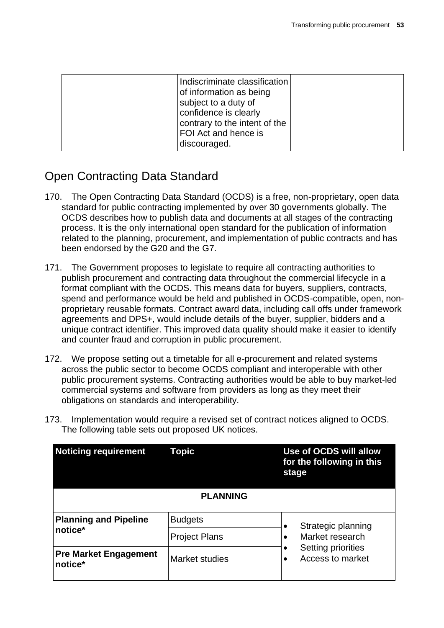| Indiscriminate classification<br>of information as being<br>subject to a duty of<br>confidence is clearly<br>contrary to the intent of the<br>FOI Act and hence is<br>discouraged. |  |
|------------------------------------------------------------------------------------------------------------------------------------------------------------------------------------|--|
|------------------------------------------------------------------------------------------------------------------------------------------------------------------------------------|--|

# Open Contracting Data Standard

- 170. The Open Contracting Data Standard (OCDS) is a free, non-proprietary, open data standard for public contracting implemented by over 30 governments globally. The OCDS describes how to publish data and documents at all stages of the contracting process. It is the only international open standard for the publication of information related to the planning, procurement, and implementation of public contracts and has been endorsed by the G20 and the G7.
- 171. The Government proposes to legislate to require all contracting authorities to publish procurement and contracting data throughout the commercial lifecycle in a format compliant with the OCDS. This means data for buyers, suppliers, contracts, spend and performance would be held and published in OCDS-compatible, open, nonproprietary reusable formats. Contract award data, including call offs under framework agreements and DPS+, would include details of the buyer, supplier, bidders and a unique contract identifier. This improved data quality should make it easier to identify and counter fraud and corruption in public procurement.
- 172. We propose setting out a timetable for all e-procurement and related systems across the public sector to become OCDS compliant and interoperable with other public procurement systems. Contracting authorities would be able to buy market-led commercial systems and software from providers as long as they meet their obligations on standards and interoperability.

| <b>Noticing requirement</b>             | Topic                 | Use of OCDS will allow<br>for the following in this<br>stage   |
|-----------------------------------------|-----------------------|----------------------------------------------------------------|
| <b>PLANNING</b>                         |                       |                                                                |
| <b>Planning and Pipeline</b><br>notice* | <b>Budgets</b>        | Strategic planning                                             |
|                                         | <b>Project Plans</b>  | Market research<br>Setting priorities<br>٠<br>Access to market |
| <b>Pre Market Engagement</b><br>notice* | <b>Market studies</b> |                                                                |

173. Implementation would require a revised set of contract notices aligned to OCDS. The following table sets out proposed UK notices.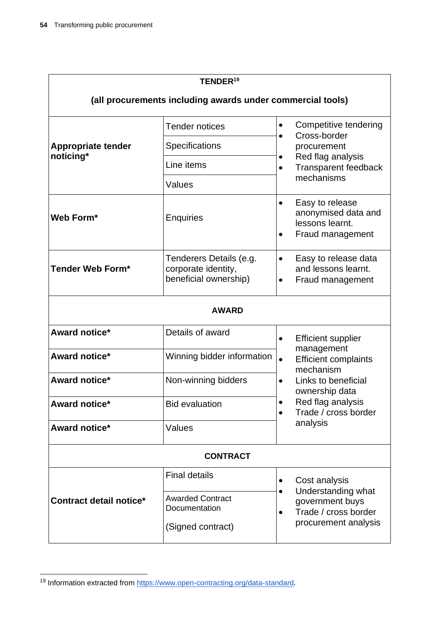| TENDER <sup>19</sup>                                       |                                                                         |                                                                                                                        |  |
|------------------------------------------------------------|-------------------------------------------------------------------------|------------------------------------------------------------------------------------------------------------------------|--|
| (all procurements including awards under commercial tools) |                                                                         |                                                                                                                        |  |
|                                                            | <b>Tender notices</b>                                                   | Competitive tendering<br>$\bullet$                                                                                     |  |
| <b>Appropriate tender</b><br>noticing*                     | Specifications                                                          | Cross-border<br>$\bullet$<br>procurement<br>Red flag analysis<br>$\bullet$<br><b>Transparent feedback</b><br>$\bullet$ |  |
|                                                            | Line items                                                              |                                                                                                                        |  |
|                                                            | Values                                                                  | mechanisms                                                                                                             |  |
| Web Form*                                                  | <b>Enquiries</b>                                                        | Easy to release<br>$\bullet$<br>anonymised data and<br>lessons learnt.<br>Fraud management                             |  |
| <b>Tender Web Form*</b>                                    | Tenderers Details (e.g.<br>corporate identity,<br>beneficial ownership) | Easy to release data<br>$\bullet$<br>and lessons learnt.<br>Fraud management                                           |  |
| <b>AWARD</b>                                               |                                                                         |                                                                                                                        |  |
| Award notice*                                              | Details of award                                                        | <b>Efficient supplier</b><br>$\bullet$                                                                                 |  |
| Award notice*                                              | Winning bidder information                                              | management<br><b>Efficient complaints</b><br>$\bullet$<br>mechanism                                                    |  |
| Award notice*                                              | Non-winning bidders                                                     | Links to beneficial<br>$\bullet$<br>ownership data                                                                     |  |
| Award notice*                                              | <b>Bid evaluation</b>                                                   | Red flag analysis<br>٠<br>Trade / cross border<br>$\bullet$<br>analysis                                                |  |
| Award notice*                                              | Values                                                                  |                                                                                                                        |  |
| <b>CONTRACT</b>                                            |                                                                         |                                                                                                                        |  |
| Contract detail notice*                                    | <b>Final details</b>                                                    | Cost analysis<br>٠                                                                                                     |  |
|                                                            | <b>Awarded Contract</b><br>Documentation                                | Understanding what<br>$\bullet$<br>government buys<br>Trade / cross border<br>$\bullet$                                |  |
|                                                            | (Signed contract)                                                       | procurement analysis                                                                                                   |  |

<sup>19</sup> Information extracted fr[om https://www.open-contracting.org/data-standar](https://www.open-contracting.org/data-standard)d*.*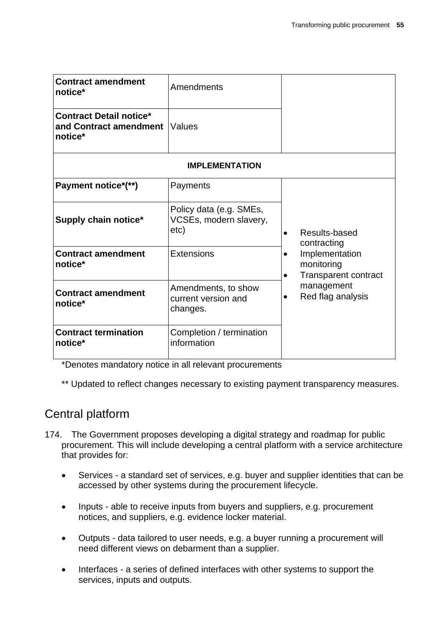| <b>Contract amendment</b><br>notice*                                | Amendments                                                |                                                                                                                               |  |
|---------------------------------------------------------------------|-----------------------------------------------------------|-------------------------------------------------------------------------------------------------------------------------------|--|
| <b>Contract Detail notice*</b><br>and Contract amendment<br>notice* | Values                                                    |                                                                                                                               |  |
| <b>IMPLEMENTATION</b>                                               |                                                           |                                                                                                                               |  |
| Payment notice*(**)                                                 | Payments                                                  |                                                                                                                               |  |
| Supply chain notice*                                                | Policy data (e.g. SMEs,<br>VCSEs, modern slavery,<br>etc) | Results-based<br>$\bullet$<br>contracting                                                                                     |  |
| <b>Contract amendment</b><br>notice*                                | Extensions                                                | Implementation<br>$\bullet$<br>monitoring<br><b>Transparent contract</b><br>$\bullet$<br>management<br>Red flag analysis<br>٠ |  |
| <b>Contract amendment</b><br>notice*                                | Amendments, to show<br>current version and<br>changes.    |                                                                                                                               |  |
| <b>Contract termination</b><br>notice*                              | Completion / termination<br>information                   |                                                                                                                               |  |

\*Denotes mandatory notice in all relevant procurements

\*\* Updated to reflect changes necessary to existing payment transparency measures.

## <span id="page-57-0"></span>Central platform

- 174. The Government proposes developing a digital strategy and roadmap for public procurement. This will include developing a central platform with a service architecture that provides for:
	- Services a standard set of services, e.g. buyer and supplier identities that can be accessed by other systems during the procurement lifecycle.
	- Inputs able to receive inputs from buyers and suppliers, e.g. procurement notices, and suppliers, e.g. evidence locker material.
	- Outputs data tailored to user needs, e.g. a buyer running a procurement will need different views on debarment than a supplier.
	- Interfaces a series of defined interfaces with other systems to support the services, inputs and outputs.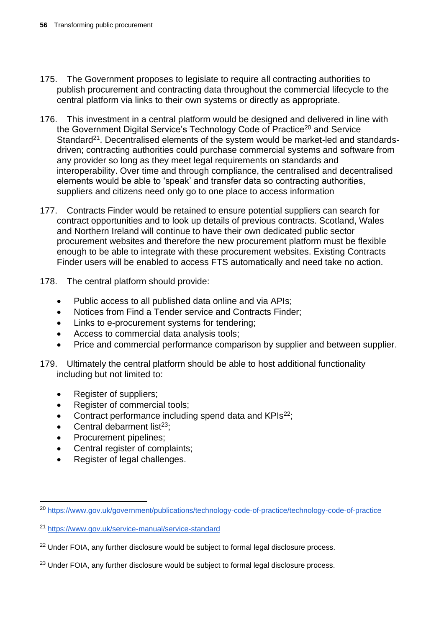- 175. The Government proposes to legislate to require all contracting authorities to publish procurement and contracting data throughout the commercial lifecycle to the central platform via links to their own systems or directly as appropriate.
- 176. This investment in a central platform would be designed and delivered in line with the Government Digital Service's Technology Code of Practice<sup>20</sup> and Service Standard<sup>21</sup>. Decentralised elements of the system would be market-led and standardsdriven; contracting authorities could purchase commercial systems and software from any provider so long as they meet legal requirements on standards and interoperability. Over time and through compliance, the centralised and decentralised elements would be able to 'speak' and transfer data so contracting authorities, suppliers and citizens need only go to one place to access information
- 177. Contracts Finder would be retained to ensure potential suppliers can search for contract opportunities and to look up details of previous contracts. Scotland, Wales and Northern Ireland will continue to have their own dedicated public sector procurement websites and therefore the new procurement platform must be flexible enough to be able to integrate with these procurement websites. Existing Contracts Finder users will be enabled to access FTS automatically and need take no action.
- 178. The central platform should provide:
	- Public access to all published data online and via APIs;
	- Notices from Find a Tender service and Contracts Finder;
	- Links to e-procurement systems for tendering;
	- Access to commercial data analysis tools;
	- Price and commercial performance comparison by supplier and between supplier.
- 179. Ultimately the central platform should be able to host additional functionality including but not limited to:
	- Register of suppliers;
	- Register of commercial tools;
	- Contract performance including spend data and KPIs<sup>22</sup>;
	- Central debarment list $23$ ;
	- Procurement pipelines;
	- Central register of complaints;
	- Register of legal challenges.

<sup>20</sup> [https://www.gov.uk/government/publications/technology-code-of-practice/technology-code-of-practic](https://www.gov.uk/government/publications/technology-code-of-practice/technology-code-of-practice)e

<sup>21</sup> [https://www.gov.uk/service-manual/service-standar](https://www.gov.uk/service-manual/service-standard)d

<sup>&</sup>lt;sup>22</sup> Under FOIA, any further disclosure would be subject to formal legal disclosure process.

 $23$  Under FOIA, any further disclosure would be subject to formal legal disclosure process.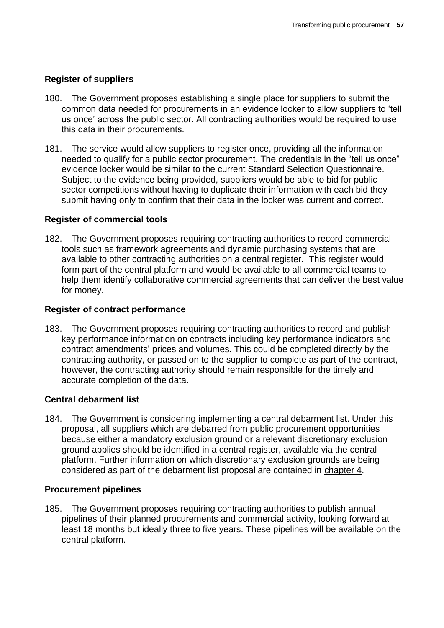### **Register of suppliers**

- 180. The Government proposes establishing a single place for suppliers to submit the common data needed for procurements in an evidence locker to allow suppliers to 'tell us once' across the public sector. All contracting authorities would be required to use this data in their procurements.
- 181. The service would allow suppliers to register once, providing all the information needed to qualify for a public sector procurement. The credentials in the "tell us once" evidence locker would be similar to the current Standard Selection Questionnaire. Subject to the evidence being provided, suppliers would be able to bid for public sector competitions without having to duplicate their information with each bid they submit having only to confirm that their data in the locker was current and correct.

#### **Register of commercial tools**

182. The Government proposes requiring contracting authorities to record commercial tools such as framework agreements and dynamic purchasing systems that are available to other contracting authorities on a central register. This register would form part of the central platform and would be available to all commercial teams to help them identify collaborative commercial agreements that can deliver the best value for money.

#### **Register of contract performance**

183. The Government proposes requiring contracting authorities to record and publish key performance information on contracts including key performance indicators and contract amendments' prices and volumes. This could be completed directly by the contracting authority, or passed on to the supplier to complete as part of the contract, however, the contracting authority should remain responsible for the timely and accurate completion of the data.

#### **Central debarment list**

184. The Government is considering implementing a central debarment list. Under this proposal, all suppliers which are debarred from public procurement opportunities because either a mandatory exclusion ground or a relevant discretionary exclusion ground applies should be identified in a central register, available via the central platform. Further information on which discretionary exclusion grounds are being considered as part of the debarment list proposal are contained in c[hapter 4.](#page-40-0)

#### **Procurement pipelines**

185. The Government proposes requiring contracting authorities to publish annual pipelines of their planned procurements and commercial activity, looking forward at least 18 months but ideally three to five years. These pipelines will be available on the central platform.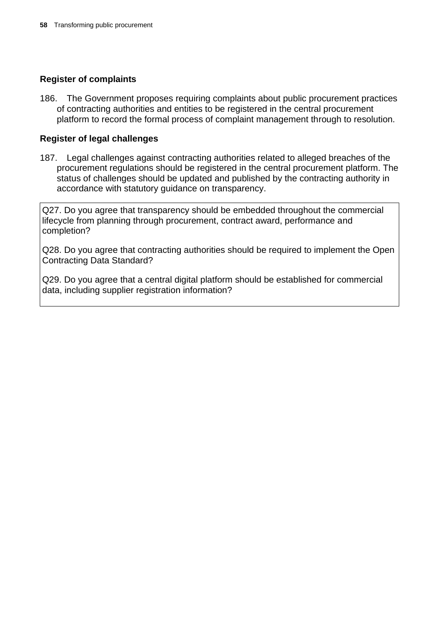### **Register of complaints**

186. The Government proposes requiring complaints about public procurement practices of contracting authorities and entities to be registered in the central procurement platform to record the formal process of complaint management through to resolution.

### **Register of legal challenges**

187. Legal challenges against contracting authorities related to alleged breaches of the procurement regulations should be registered in the central procurement platform. The status of challenges should be updated and published by the contracting authority in accordance with statutory guidance on transparency.

Q27. Do you agree that transparency should be embedded throughout the commercial lifecycle from planning through procurement, contract award, performance and completion?

Q28. Do you agree that contracting authorities should be required to implement the Open Contracting Data Standard?

Q29. Do you agree that a central digital platform should be established for commercial data, including supplier registration information?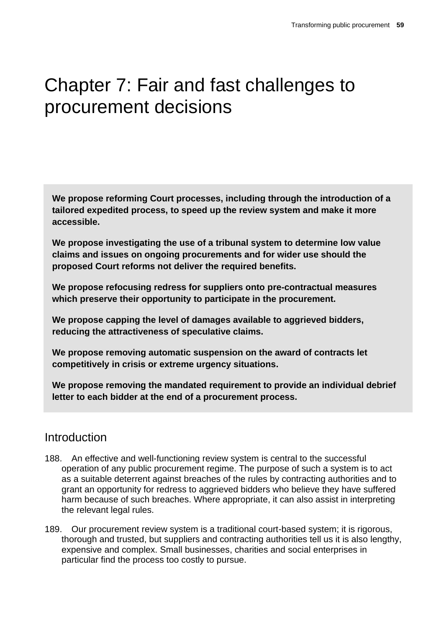# Chapter 7: Fair and fast challenges to procurement decisions

**We propose reforming Court processes, including through the introduction of a tailored expedited process, to speed up the review system and make it more accessible.**

**We propose investigating the use of a tribunal system to determine low value claims and issues on ongoing procurements and for wider use should the proposed Court reforms not deliver the required benefits.**

**We propose refocusing redress for suppliers onto pre-contractual measures which preserve their opportunity to participate in the procurement.**

**We propose capping the level of damages available to aggrieved bidders, reducing the attractiveness of speculative claims.**

**We propose removing automatic suspension on the award of contracts let competitively in crisis or extreme urgency situations.**

**We propose removing the mandated requirement to provide an individual debrief letter to each bidder at the end of a procurement process.**

## Introduction

- 188. An effective and well-functioning review system is central to the successful operation of any public procurement regime. The purpose of such a system is to act as a suitable deterrent against breaches of the rules by contracting authorities and to grant an opportunity for redress to aggrieved bidders who believe they have suffered harm because of such breaches. Where appropriate, it can also assist in interpreting the relevant legal rules.
- 189. Our procurement review system is a traditional court-based system; it is rigorous, thorough and trusted, but suppliers and contracting authorities tell us it is also lengthy, expensive and complex. Small businesses, charities and social enterprises in particular find the process too costly to pursue.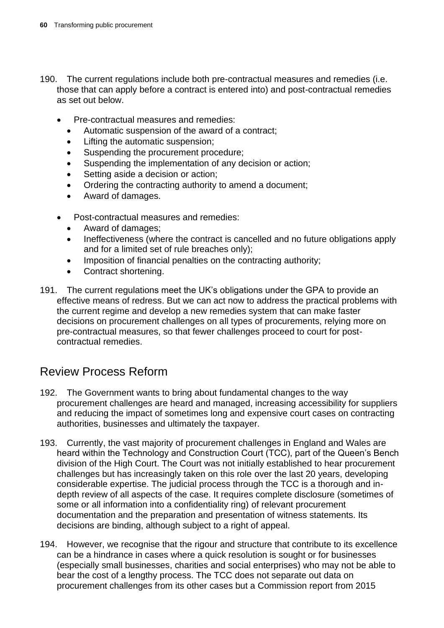- 190. The current regulations include both pre-contractual measures and remedies (i.e. those that can apply before a contract is entered into) and post-contractual remedies as set out below.
	- Pre-contractual measures and remedies:
		- Automatic suspension of the award of a contract;
		- Lifting the automatic suspension;
		- Suspending the procurement procedure;
		- Suspending the implementation of any decision or action;
		- Setting aside a decision or action;
		- Ordering the contracting authority to amend a document;
		- Award of damages.
	- Post-contractual measures and remedies:
		- Award of damages;
		- Ineffectiveness (where the contract is cancelled and no future obligations apply and for a limited set of rule breaches only);
		- Imposition of financial penalties on the contracting authority;
		- Contract shortening.
- 191. The current regulations meet the UK's obligations under the GPA to provide an effective means of redress. But we can act now to address the practical problems with the current regime and develop a new remedies system that can make faster decisions on procurement challenges on all types of procurements, relying more on pre-contractual measures, so that fewer challenges proceed to court for postcontractual remedies.

# Review Process Reform

- 192. The Government wants to bring about fundamental changes to the way procurement challenges are heard and managed, increasing accessibility for suppliers and reducing the impact of sometimes long and expensive court cases on contracting authorities, businesses and ultimately the taxpayer.
- 193. Currently, the vast majority of procurement challenges in England and Wales are heard within the Technology and Construction Court (TCC), part of the Queen's Bench division of the High Court. The Court was not initially established to hear procurement challenges but has increasingly taken on this role over the last 20 years, developing considerable expertise. The judicial process through the TCC is a thorough and indepth review of all aspects of the case. It requires complete disclosure (sometimes of some or all information into a confidentiality ring) of relevant procurement documentation and the preparation and presentation of witness statements. Its decisions are binding, although subject to a right of appeal.
- 194. However, we recognise that the rigour and structure that contribute to its excellence can be a hindrance in cases where a quick resolution is sought or for businesses (especially small businesses, charities and social enterprises) who may not be able to bear the cost of a lengthy process. The TCC does not separate out data on procurement challenges from its other cases but a Commission report from 2015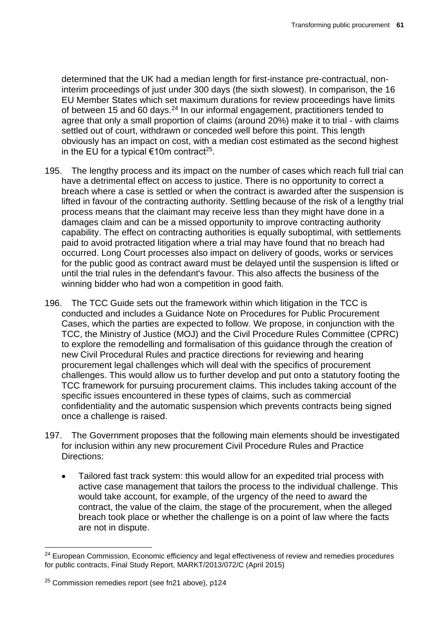determined that the UK had a median length for first-instance pre-contractual, noninterim proceedings of just under 300 days (the sixth slowest). In comparison, the 16 EU Member States which set maximum durations for review proceedings have limits of between 15 and 60 days.<sup>24</sup> In our informal engagement, practitioners tended to agree that only a small proportion of claims (around 20%) make it to trial - with claims settled out of court, withdrawn or conceded well before this point. This length obviously has an impact on cost, with a median cost estimated as the second highest in the EU for a typical €10m contract<sup>25</sup>.

- 195. The lengthy process and its impact on the number of cases which reach full trial can have a detrimental effect on access to justice. There is no opportunity to correct a breach where a case is settled or when the contract is awarded after the suspension is lifted in favour of the contracting authority. Settling because of the risk of a lengthy trial process means that the claimant may receive less than they might have done in a damages claim and can be a missed opportunity to improve contracting authority capability. The effect on contracting authorities is equally suboptimal, with settlements paid to avoid protracted litigation where a trial may have found that no breach had occurred. Long Court processes also impact on delivery of goods, works or services for the public good as contract award must be delayed until the suspension is lifted or until the trial rules in the defendant's favour. This also affects the business of the winning bidder who had won a competition in good faith.
- 196. The TCC Guide sets out the framework within which litigation in the TCC is conducted and includes a Guidance Note on Procedures for Public Procurement Cases, which the parties are expected to follow. We propose, in conjunction with the TCC, the Ministry of Justice (MOJ) and the Civil Procedure Rules Committee (CPRC) to explore the remodelling and formalisation of this guidance through the creation of new Civil Procedural Rules and practice directions for reviewing and hearing procurement legal challenges which will deal with the specifics of procurement challenges. This would allow us to further develop and put onto a statutory footing the TCC framework for pursuing procurement claims. This includes taking account of the specific issues encountered in these types of claims, such as commercial confidentiality and the automatic suspension which prevents contracts being signed once a challenge is raised.
- 197. The Government proposes that the following main elements should be investigated for inclusion within any new procurement Civil Procedure Rules and Practice Directions:
	- Tailored fast track system: this would allow for an expedited trial process with active case management that tailors the process to the individual challenge. This would take account, for example, of the urgency of the need to award the contract, the value of the claim, the stage of the procurement, when the alleged breach took place or whether the challenge is on a point of law where the facts are not in dispute.

<sup>&</sup>lt;sup>24</sup> European Commission, Economic efficiency and legal effectiveness of review and remedies procedures for public contracts, Final Study Report, MARKT/2013/072/C (April 2015)

<sup>&</sup>lt;sup>25</sup> Commission remedies report (see fn21 above), p124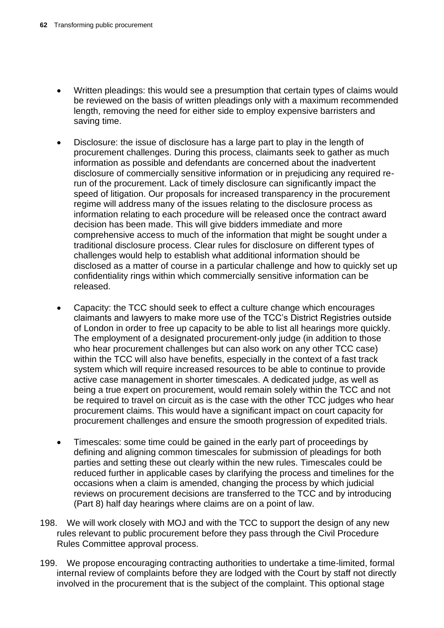- Written pleadings: this would see a presumption that certain types of claims would be reviewed on the basis of written pleadings only with a maximum recommended length, removing the need for either side to employ expensive barristers and saving time.
- Disclosure: the issue of disclosure has a large part to play in the length of procurement challenges. During this process, claimants seek to gather as much information as possible and defendants are concerned about the inadvertent disclosure of commercially sensitive information or in prejudicing any required rerun of the procurement. Lack of timely disclosure can significantly impact the speed of litigation. Our proposals for increased transparency in the procurement regime will address many of the issues relating to the disclosure process as information relating to each procedure will be released once the contract award decision has been made. This will give bidders immediate and more comprehensive access to much of the information that might be sought under a traditional disclosure process. Clear rules for disclosure on different types of challenges would help to establish what additional information should be disclosed as a matter of course in a particular challenge and how to quickly set up confidentiality rings within which commercially sensitive information can be released.
- Capacity: the TCC should seek to effect a culture change which encourages claimants and lawyers to make more use of the TCC's District Registries outside of London in order to free up capacity to be able to list all hearings more quickly. The employment of a designated procurement-only judge (in addition to those who hear procurement challenges but can also work on any other TCC case) within the TCC will also have benefits, especially in the context of a fast track system which will require increased resources to be able to continue to provide active case management in shorter timescales. A dedicated judge, as well as being a true expert on procurement, would remain solely within the TCC and not be required to travel on circuit as is the case with the other TCC judges who hear procurement claims. This would have a significant impact on court capacity for procurement challenges and ensure the smooth progression of expedited trials.
- Timescales: some time could be gained in the early part of proceedings by defining and aligning common timescales for submission of pleadings for both parties and setting these out clearly within the new rules. Timescales could be reduced further in applicable cases by clarifying the process and timelines for the occasions when a claim is amended, changing the process by which judicial reviews on procurement decisions are transferred to the TCC and by introducing (Part 8) half day hearings where claims are on a point of law.
- 198. We will work closely with MOJ and with the TCC to support the design of any new rules relevant to public procurement before they pass through the Civil Procedure Rules Committee approval process.
- 199. We propose encouraging contracting authorities to undertake a time-limited, formal internal review of complaints before they are lodged with the Court by staff not directly involved in the procurement that is the subject of the complaint. This optional stage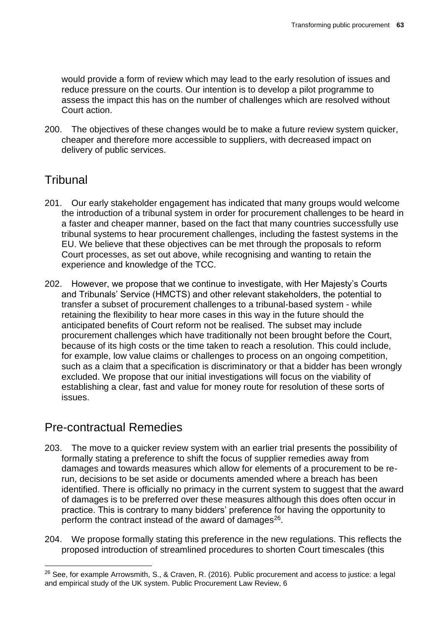would provide a form of review which may lead to the early resolution of issues and reduce pressure on the courts. Our intention is to develop a pilot programme to assess the impact this has on the number of challenges which are resolved without Court action.

200. The objectives of these changes would be to make a future review system quicker, cheaper and therefore more accessible to suppliers, with decreased impact on delivery of public services.

# **Tribunal**

- 201. Our early stakeholder engagement has indicated that many groups would welcome the introduction of a tribunal system in order for procurement challenges to be heard in a faster and cheaper manner, based on the fact that many countries successfully use tribunal systems to hear procurement challenges, including the fastest systems in the EU. We believe that these objectives can be met through the proposals to reform Court processes, as set out above, while recognising and wanting to retain the experience and knowledge of the TCC.
- 202. However, we propose that we continue to investigate, with Her Majesty's Courts and Tribunals' Service (HMCTS) and other relevant stakeholders, the potential to transfer a subset of procurement challenges to a tribunal-based system - while retaining the flexibility to hear more cases in this way in the future should the anticipated benefits of Court reform not be realised. The subset may include procurement challenges which have traditionally not been brought before the Court, because of its high costs or the time taken to reach a resolution. This could include, for example, low value claims or challenges to process on an ongoing competition, such as a claim that a specification is discriminatory or that a bidder has been wrongly excluded. We propose that our initial investigations will focus on the viability of establishing a clear, fast and value for money route for resolution of these sorts of issues.

# Pre-contractual Remedies

- 203. The move to a quicker review system with an earlier trial presents the possibility of formally stating a preference to shift the focus of supplier remedies away from damages and towards measures which allow for elements of a procurement to be rerun, decisions to be set aside or documents amended where a breach has been identified. There is officially no primacy in the current system to suggest that the award of damages is to be preferred over these measures although this does often occur in practice. This is contrary to many bidders' preference for having the opportunity to perform the contract instead of the award of damages<sup>26</sup>.
- 204. We propose formally stating this preference in the new regulations. This reflects the proposed introduction of streamlined procedures to shorten Court timescales (this

<sup>&</sup>lt;sup>26</sup> See, for example Arrowsmith, S., & Craven, R. (2016). Public procurement and access to justice: a legal and empirical study of the UK system. Public Procurement Law Review, 6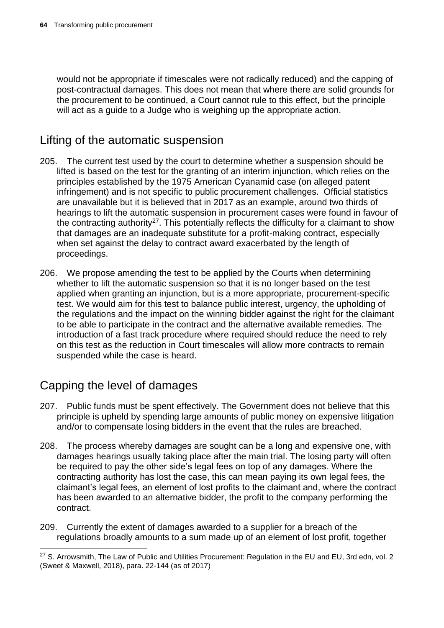would not be appropriate if timescales were not radically reduced) and the capping of post-contractual damages. This does not mean that where there are solid grounds for the procurement to be continued, a Court cannot rule to this effect, but the principle will act as a guide to a Judge who is weighing up the appropriate action.

# Lifting of the automatic suspension

- 205. The current test used by the court to determine whether a suspension should be lifted is based on the test for the granting of an interim injunction, which relies on the principles established by the 1975 American Cyanamid case (on alleged patent infringement) and is not specific to public procurement challenges. Official statistics are unavailable but it is believed that in 2017 as an example, around two thirds of hearings to lift the automatic suspension in procurement cases were found in favour of the contracting authority<sup>27</sup>. This potentially reflects the difficulty for a claimant to show that damages are an inadequate substitute for a profit-making contract, especially when set against the delay to contract award exacerbated by the length of proceedings.
- 206. We propose amending the test to be applied by the Courts when determining whether to lift the automatic suspension so that it is no longer based on the test applied when granting an injunction, but is a more appropriate, procurement-specific test. We would aim for this test to balance public interest, urgency, the upholding of the regulations and the impact on the winning bidder against the right for the claimant to be able to participate in the contract and the alternative available remedies. The introduction of a fast track procedure where required should reduce the need to rely on this test as the reduction in Court timescales will allow more contracts to remain suspended while the case is heard.

# Capping the level of damages

- 207. Public funds must be spent effectively. The Government does not believe that this principle is upheld by spending large amounts of public money on expensive litigation and/or to compensate losing bidders in the event that the rules are breached.
- 208. The process whereby damages are sought can be a long and expensive one, with damages hearings usually taking place after the main trial. The losing party will often be required to pay the other side's legal fees on top of any damages. Where the contracting authority has lost the case, this can mean paying its own legal fees, the claimant's legal fees, an element of lost profits to the claimant and, where the contract has been awarded to an alternative bidder, the profit to the company performing the contract.
- 209. Currently the extent of damages awarded to a supplier for a breach of the regulations broadly amounts to a sum made up of an element of lost profit, together

<sup>&</sup>lt;sup>27</sup> S. Arrowsmith, The Law of Public and Utilities Procurement: Regulation in the EU and EU, 3rd edn, vol. 2 (Sweet & Maxwell, 2018), para. 22-144 (as of 2017)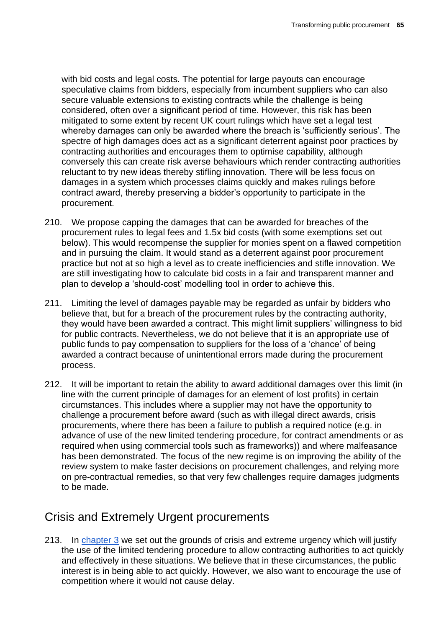with bid costs and legal costs. The potential for large payouts can encourage speculative claims from bidders, especially from incumbent suppliers who can also secure valuable extensions to existing contracts while the challenge is being considered, often over a significant period of time. However, this risk has been mitigated to some extent by recent UK court rulings which have set a legal test whereby damages can only be awarded where the breach is 'sufficiently serious'. The spectre of high damages does act as a significant deterrent against poor practices by contracting authorities and encourages them to optimise capability, although conversely this can create risk averse behaviours which render contracting authorities reluctant to try new ideas thereby stifling innovation. There will be less focus on damages in a system which processes claims quickly and makes rulings before contract award, thereby preserving a bidder's opportunity to participate in the procurement.

- 210. We propose capping the damages that can be awarded for breaches of the procurement rules to legal fees and 1.5x bid costs (with some exemptions set out below). This would recompense the supplier for monies spent on a flawed competition and in pursuing the claim. It would stand as a deterrent against poor procurement practice but not at so high a level as to create inefficiencies and stifle innovation. We are still investigating how to calculate bid costs in a fair and transparent manner and plan to develop a 'should-cost' modelling tool in order to achieve this.
- 211. Limiting the level of damages payable may be regarded as unfair by bidders who believe that, but for a breach of the procurement rules by the contracting authority, they would have been awarded a contract. This might limit suppliers' willingness to bid for public contracts. Nevertheless, we do not believe that it is an appropriate use of public funds to pay compensation to suppliers for the loss of a 'chance' of being awarded a contract because of unintentional errors made during the procurement process.
- 212. It will be important to retain the ability to award additional damages over this limit (in line with the current principle of damages for an element of lost profits) in certain circumstances. This includes where a supplier may not have the opportunity to challenge a procurement before award (such as with illegal direct awards, crisis procurements, where there has been a failure to publish a required notice (e.g. in advance of use of the new limited tendering procedure, for contract amendments or as required when using commercial tools such as frameworks)) and where malfeasance has been demonstrated. The focus of the new regime is on improving the ability of the review system to make faster decisions on procurement challenges, and relying more on pre-contractual remedies, so that very few challenges require damages judgments to be made.

## Crisis and Extremely Urgent procurements

213. In c[hapter 3](#page-31-0) we set out the grounds of crisis and extreme urgency which will justify the use of the limited tendering procedure to allow contracting authorities to act quickly and effectively in these situations. We believe that in these circumstances, the public interest is in being able to act quickly. However, we also want to encourage the use of competition where it would not cause delay.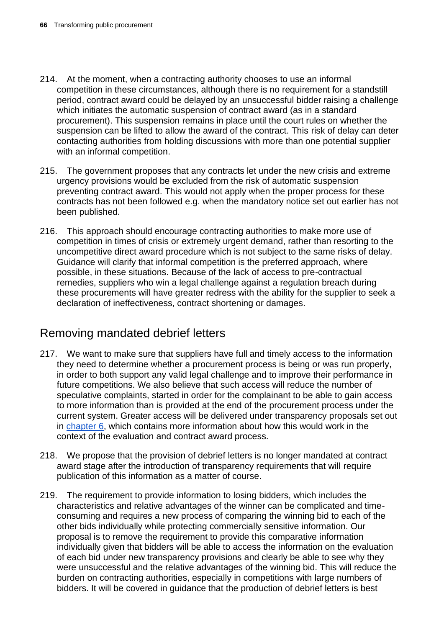- 214. At the moment, when a contracting authority chooses to use an informal competition in these circumstances, although there is no requirement for a standstill period, contract award could be delayed by an unsuccessful bidder raising a challenge which initiates the automatic suspension of contract award (as in a standard procurement). This suspension remains in place until the court rules on whether the suspension can be lifted to allow the award of the contract. This risk of delay can deter contacting authorities from holding discussions with more than one potential supplier with an informal competition.
- 215. The government proposes that any contracts let under the new crisis and extreme urgency provisions would be excluded from the risk of automatic suspension preventing contract award. This would not apply when the proper process for these contracts has not been followed e.g. when the mandatory notice set out earlier has not been published.
- 216. This approach should encourage contracting authorities to make more use of competition in times of crisis or extremely urgent demand, rather than resorting to the uncompetitive direct award procedure which is not subject to the same risks of delay. Guidance will clarify that informal competition is the preferred approach, where possible, in these situations. Because of the lack of access to pre-contractual remedies, suppliers who win a legal challenge against a regulation breach during these procurements will have greater redress with the ability for the supplier to seek a declaration of ineffectiveness, contract shortening or damages.

# Removing mandated debrief letters

- 217. We want to make sure that suppliers have full and timely access to the information they need to determine whether a procurement process is being or was run properly, in order to both support any valid legal challenge and to improve their performance in future competitions. We also believe that such access will reduce the number of speculative complaints, started in order for the complainant to be able to gain access to more information than is provided at the end of the procurement process under the current system. Greater access will be delivered under transparency proposals set out in [chapter 6,](#page-50-0) which contains more information about how this would work in the context of the evaluation and contract award process.
- 218. We propose that the provision of debrief letters is no longer mandated at contract award stage after the introduction of transparency requirements that will require publication of this information as a matter of course.
- 219. The requirement to provide information to losing bidders, which includes the characteristics and relative advantages of the winner can be complicated and timeconsuming and requires a new process of comparing the winning bid to each of the other bids individually while protecting commercially sensitive information. Our proposal is to remove the requirement to provide this comparative information individually given that bidders will be able to access the information on the evaluation of each bid under new transparency provisions and clearly be able to see why they were unsuccessful and the relative advantages of the winning bid. This will reduce the burden on contracting authorities, especially in competitions with large numbers of bidders. It will be covered in guidance that the production of debrief letters is best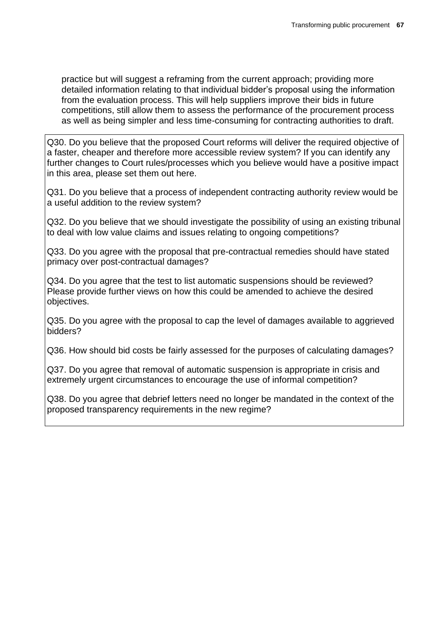practice but will suggest a reframing from the current approach; providing more detailed information relating to that individual bidder's proposal using the information from the evaluation process. This will help suppliers improve their bids in future competitions, still allow them to assess the performance of the procurement process as well as being simpler and less time-consuming for contracting authorities to draft.

Q30. Do you believe that the proposed Court reforms will deliver the required objective of a faster, cheaper and therefore more accessible review system? If you can identify any further changes to Court rules/processes which you believe would have a positive impact in this area, please set them out here.

Q31. Do you believe that a process of independent contracting authority review would be a useful addition to the review system?

Q32. Do you believe that we should investigate the possibility of using an existing tribunal to deal with low value claims and issues relating to ongoing competitions?

Q33. Do you agree with the proposal that pre-contractual remedies should have stated primacy over post-contractual damages?

Q34. Do you agree that the test to list automatic suspensions should be reviewed? Please provide further views on how this could be amended to achieve the desired objectives.

Q35. Do you agree with the proposal to cap the level of damages available to aggrieved bidders?

Q36. How should bid costs be fairly assessed for the purposes of calculating damages?

Q37. Do you agree that removal of automatic suspension is appropriate in crisis and extremely urgent circumstances to encourage the use of informal competition?

Q38. Do you agree that debrief letters need no longer be mandated in the context of the proposed transparency requirements in the new regime?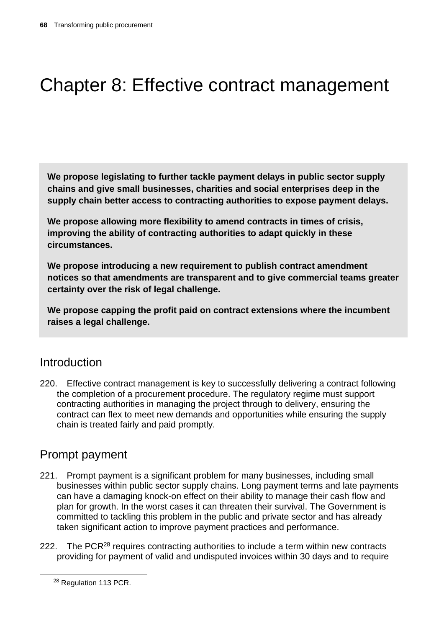# Chapter 8: Effective contract management

**We propose legislating to further tackle payment delays in public sector supply chains and give small businesses, charities and social enterprises deep in the supply chain better access to contracting authorities to expose payment delays.**

**We propose allowing more flexibility to amend contracts in times of crisis, improving the ability of contracting authorities to adapt quickly in these circumstances.**

**We propose introducing a new requirement to publish contract amendment notices so that amendments are transparent and to give commercial teams greater certainty over the risk of legal challenge.**

**We propose capping the profit paid on contract extensions where the incumbent raises a legal challenge.**

# **Introduction**

220. Effective contract management is key to successfully delivering a contract following the completion of a procurement procedure. The regulatory regime must support contracting authorities in managing the project through to delivery, ensuring the contract can flex to meet new demands and opportunities while ensuring the supply chain is treated fairly and paid promptly.

# Prompt payment

- 221. Prompt payment is a significant problem for many businesses, including small businesses within public sector supply chains. Long payment terms and late payments can have a damaging knock-on effect on their ability to manage their cash flow and plan for growth. In the worst cases it can threaten their survival. The Government is committed to tackling this problem in the public and private sector and has already taken significant action to improve payment practices and performance.
- 222. The PCR<sup>28</sup> requires contracting authorities to include a term within new contracts providing for payment of valid and undisputed invoices within 30 days and to require

<sup>&</sup>lt;sup>28</sup> Regulation 113 PCR.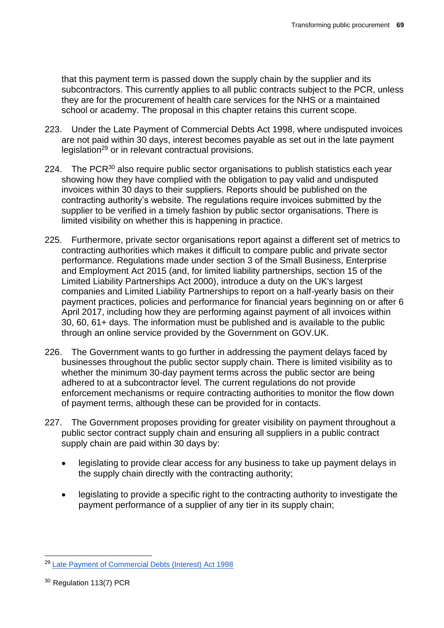that this payment term is passed down the supply chain by the supplier and its subcontractors. This currently applies to all public contracts subject to the PCR, unless they are for the procurement of health care services for the NHS or a maintained school or academy. The proposal in this chapter retains this current scope.

- 223. Under the Late Payment of Commercial Debts Act 1998, where undisputed invoices are not paid within 30 days, interest becomes payable as set out in the late payment legislation<sup>29</sup> or in relevant contractual provisions.
- 224. The PCR<sup>30</sup> also require public sector organisations to publish statistics each year showing how they have complied with the obligation to pay valid and undisputed invoices within 30 days to their suppliers. Reports should be published on the contracting authority's website. The regulations require invoices submitted by the supplier to be verified in a timely fashion by public sector organisations. There is limited visibility on whether this is happening in practice.
- 225. Furthermore, private sector organisations report against a different set of metrics to contracting authorities which makes it difficult to compare public and private sector performance. Regulations made under section 3 of the Small Business, Enterprise and Employment Act 2015 (and, for limited liability partnerships, section 15 of the Limited Liability Partnerships Act 2000), introduce a duty on the UK's largest companies and Limited Liability Partnerships to report on a half-yearly basis on their payment practices, policies and performance for financial years beginning on or after 6 April 2017, including how they are performing against payment of all invoices within 30, 60, 61+ days. The information must be published and is available to the public through an online service provided by the Government on GOV.UK.
- 226. The Government wants to go further in addressing the payment delays faced by businesses throughout the public sector supply chain. There is limited visibility as to whether the minimum 30-day payment terms across the public sector are being adhered to at a subcontractor level. The current regulations do not provide enforcement mechanisms or require contracting authorities to monitor the flow down of payment terms, although these can be provided for in contacts.
- 227. The Government proposes providing for greater visibility on payment throughout a public sector contract supply chain and ensuring all suppliers in a public contract supply chain are paid within 30 days by:
	- legislating to provide clear access for any business to take up payment delays in the supply chain directly with the contracting authority;
	- legislating to provide a specific right to the contracting authority to investigate the payment performance of a supplier of any tier in its supply chain;

<sup>29</sup> L[ate Payment of Commercial Debts \(Interest\) Act 1998](http://www.legislation.gov.uk/ukpga/1998/20/contents)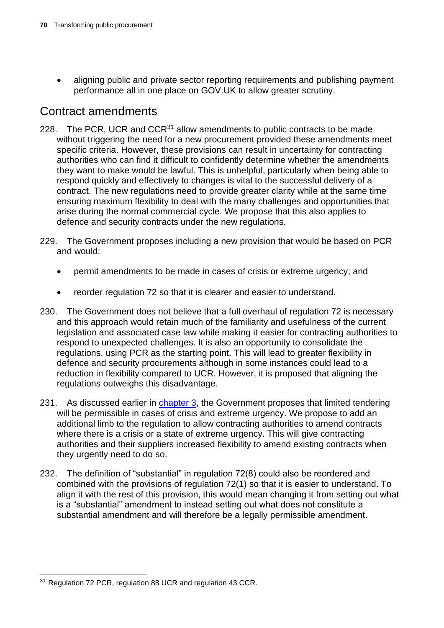• aligning public and private sector reporting requirements and publishing payment performance all in one place on GOV.UK to allow greater scrutiny.

# Contract amendments

- 228. The PCR, UCR and  $CCR<sup>31</sup>$  allow amendments to public contracts to be made without triggering the need for a new procurement provided these amendments meet specific criteria. However, these provisions can result in uncertainty for contracting authorities who can find it difficult to confidently determine whether the amendments they want to make would be lawful. This is unhelpful, particularly when being able to respond quickly and effectively to changes is vital to the successful delivery of a contract. The new regulations need to provide greater clarity while at the same time ensuring maximum flexibility to deal with the many challenges and opportunities that arise during the normal commercial cycle. We propose that this also applies to defence and security contracts under the new regulations.
- 229. The Government proposes including a new provision that would be based on PCR and would:
	- permit amendments to be made in cases of crisis or extreme urgency; and
	- reorder regulation 72 so that it is clearer and easier to understand.
- 230. The Government does not believe that a full overhaul of regulation 72 is necessary and this approach would retain much of the familiarity and usefulness of the current legislation and associated case law while making it easier for contracting authorities to respond to unexpected challenges. It is also an opportunity to consolidate the regulations, using PCR as the starting point. This will lead to greater flexibility in defence and security procurements although in some instances could lead to a reduction in flexibility compared to UCR. However, it is proposed that aligning the regulations outweighs this disadvantage.
- 231. As discussed earlier in [chapter 3,](#page-31-0) the Government proposes that limited tendering will be permissible in cases of crisis and extreme urgency. We propose to add an additional limb to the regulation to allow contracting authorities to amend contracts where there is a crisis or a state of extreme urgency. This will give contracting authorities and their suppliers increased flexibility to amend existing contracts when they urgently need to do so.
- 232. The definition of "substantial" in regulation 72(8) could also be reordered and combined with the provisions of regulation 72(1) so that it is easier to understand. To align it with the rest of this provision, this would mean changing it from setting out what is a "substantial" amendment to instead setting out what does not constitute a substantial amendment and will therefore be a legally permissible amendment.

<sup>&</sup>lt;sup>31</sup> Regulation 72 PCR, regulation 88 UCR and regulation 43 CCR.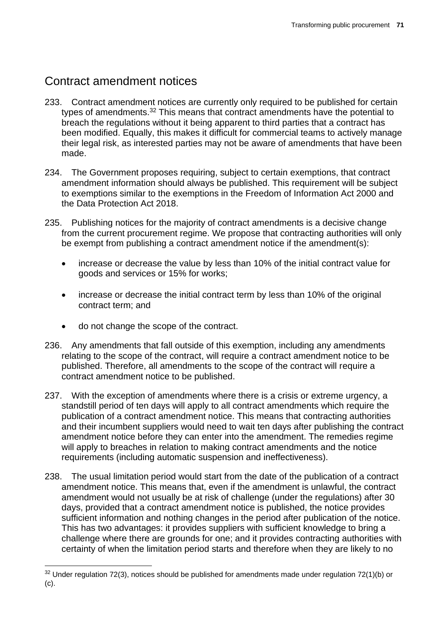## Contract amendment notices

- 233. Contract amendment notices are currently only required to be published for certain types of amendments.<sup>32</sup> This means that contract amendments have the potential to breach the regulations without it being apparent to third parties that a contract has been modified. Equally, this makes it difficult for commercial teams to actively manage their legal risk, as interested parties may not be aware of amendments that have been made.
- 234. The Government proposes requiring, subject to certain exemptions, that contract amendment information should always be published. This requirement will be subject to exemptions similar to the exemptions in the Freedom of Information Act 2000 and the Data Protection Act 2018.
- 235. Publishing notices for the majority of contract amendments is a decisive change from the current procurement regime. We propose that contracting authorities will only be exempt from publishing a contract amendment notice if the amendment(s):
	- increase or decrease the value by less than 10% of the initial contract value for goods and services or 15% for works;
	- increase or decrease the initial contract term by less than 10% of the original contract term; and
	- do not change the scope of the contract.
- 236. Any amendments that fall outside of this exemption, including any amendments relating to the scope of the contract, will require a contract amendment notice to be published. Therefore, all amendments to the scope of the contract will require a contract amendment notice to be published.
- 237. With the exception of amendments where there is a crisis or extreme urgency, a standstill period of ten days will apply to all contract amendments which require the publication of a contract amendment notice. This means that contracting authorities and their incumbent suppliers would need to wait ten days after publishing the contract amendment notice before they can enter into the amendment. The remedies regime will apply to breaches in relation to making contract amendments and the notice requirements (including automatic suspension and ineffectiveness).
- 238. The usual limitation period would start from the date of the publication of a contract amendment notice. This means that, even if the amendment is unlawful, the contract amendment would not usually be at risk of challenge (under the regulations) after 30 days, provided that a contract amendment notice is published, the notice provides sufficient information and nothing changes in the period after publication of the notice. This has two advantages: it provides suppliers with sufficient knowledge to bring a challenge where there are grounds for one; and it provides contracting authorities with certainty of when the limitation period starts and therefore when they are likely to no

 $32$  Under regulation 72(3), notices should be published for amendments made under regulation 72(1)(b) or (c).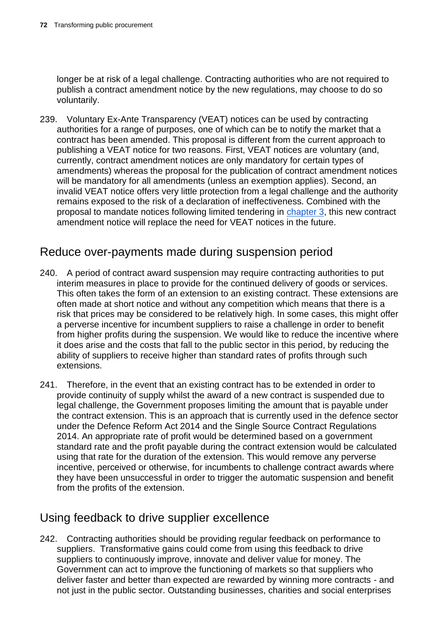longer be at risk of a legal challenge. Contracting authorities who are not required to publish a contract amendment notice by the new regulations, may choose to do so voluntarily.

239. Voluntary Ex-Ante Transparency (VEAT) notices can be used by contracting authorities for a range of purposes, one of which can be to notify the market that a contract has been amended. This proposal is different from the current approach to publishing a VEAT notice for two reasons. First, VEAT notices are voluntary (and, currently, contract amendment notices are only mandatory for certain types of amendments) whereas the proposal for the publication of contract amendment notices will be mandatory for all amendments (unless an exemption applies). Second, an invalid VEAT notice offers very little protection from a legal challenge and the authority remains exposed to the risk of a declaration of ineffectiveness. Combined with the proposal to mandate notices following limited tendering in [chapter 3,](#page-30-0) this new contract amendment notice will replace the need for VEAT notices in the future.

## Reduce over-payments made during suspension period

- 240. A period of contract award suspension may require contracting authorities to put interim measures in place to provide for the continued delivery of goods or services. This often takes the form of an extension to an existing contract. These extensions are often made at short notice and without any competition which means that there is a risk that prices may be considered to be relatively high. In some cases, this might offer a perverse incentive for incumbent suppliers to raise a challenge in order to benefit from higher profits during the suspension. We would like to reduce the incentive where it does arise and the costs that fall to the public sector in this period, by reducing the ability of suppliers to receive higher than standard rates of profits through such extensions.
- 241. Therefore, in the event that an existing contract has to be extended in order to provide continuity of supply whilst the award of a new contract is suspended due to legal challenge, the Government proposes limiting the amount that is payable under the contract extension. This is an approach that is currently used in the defence sector under the Defence Reform Act 2014 and the Single Source Contract Regulations 2014. An appropriate rate of profit would be determined based on a government standard rate and the profit payable during the contract extension would be calculated using that rate for the duration of the extension. This would remove any perverse incentive, perceived or otherwise, for incumbents to challenge contract awards where they have been unsuccessful in order to trigger the automatic suspension and benefit from the profits of the extension.

## Using feedback to drive supplier excellence

242. Contracting authorities should be providing regular feedback on performance to suppliers. Transformative gains could come from using this feedback to drive suppliers to continuously improve, innovate and deliver value for money. The Government can act to improve the functioning of markets so that suppliers who deliver faster and better than expected are rewarded by winning more contracts - and not just in the public sector. Outstanding businesses, charities and social enterprises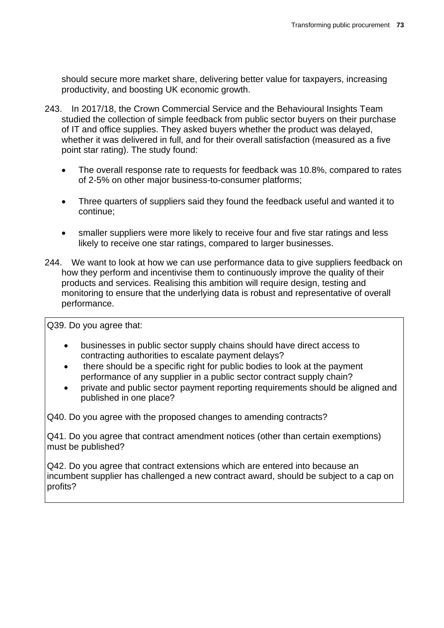should secure more market share, delivering better value for taxpayers, increasing productivity, and boosting UK economic growth.

- 243. In 2017/18, the Crown Commercial Service and the Behavioural Insights Team studied the collection of simple feedback from public sector buyers on their purchase of IT and office supplies. They asked buyers whether the product was delayed, whether it was delivered in full, and for their overall satisfaction (measured as a five point star rating). The study found:
	- The overall response rate to requests for feedback was 10.8%, compared to rates of 2-5% on other major business-to-consumer platforms;
	- Three quarters of suppliers said they found the feedback useful and wanted it to continue;
	- smaller suppliers were more likely to receive four and five star ratings and less likely to receive one star ratings, compared to larger businesses.
- 244. We want to look at how we can use performance data to give suppliers feedback on how they perform and incentivise them to continuously improve the quality of their products and services. Realising this ambition will require design, testing and monitoring to ensure that the underlying data is robust and representative of overall performance.

Q39. Do you agree that:

- businesses in public sector supply chains should have direct access to contracting authorities to escalate payment delays?
- there should be a specific right for public bodies to look at the payment performance of any supplier in a public sector contract supply chain?
- private and public sector payment reporting requirements should be aligned and published in one place?

Q40. Do you agree with the proposed changes to amending contracts?

Q41. Do you agree that contract amendment notices (other than certain exemptions) must be published?

Q42. Do you agree that contract extensions which are entered into because an incumbent supplier has challenged a new contract award, should be subject to a cap on profits?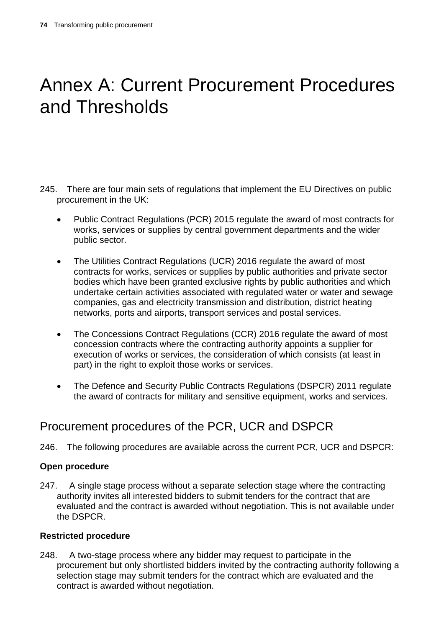# Annex A: Current Procurement Procedures and Thresholds

- 245. There are four main sets of regulations that implement the EU Directives on public procurement in the UK:
	- Public Contract Regulations (PCR) 2015 regulate the award of most contracts for works, services or supplies by central government departments and the wider public sector.
	- The Utilities Contract Regulations (UCR) 2016 regulate the award of most contracts for works, services or supplies by public authorities and private sector bodies which have been granted exclusive rights by public authorities and which undertake certain activities associated with regulated water or water and sewage companies, gas and electricity transmission and distribution, district heating networks, ports and airports, transport services and postal services.
	- The Concessions Contract Regulations (CCR) 2016 regulate the award of most concession contracts where the contracting authority appoints a supplier for execution of works or services, the consideration of which consists (at least in part) in the right to exploit those works or services.
	- The Defence and Security Public Contracts Regulations (DSPCR) 2011 regulate the award of contracts for military and sensitive equipment, works and services.

# Procurement procedures of the PCR, UCR and DSPCR

246. The following procedures are available across the current PCR, UCR and DSPCR:

#### **Open procedure**

247. A single stage process without a separate selection stage where the contracting authority invites all interested bidders to submit tenders for the contract that are evaluated and the contract is awarded without negotiation. This is not available under the DSPCR.

#### **Restricted procedure**

248. A two-stage process where any bidder may request to participate in the procurement but only shortlisted bidders invited by the contracting authority following a selection stage may submit tenders for the contract which are evaluated and the contract is awarded without negotiation.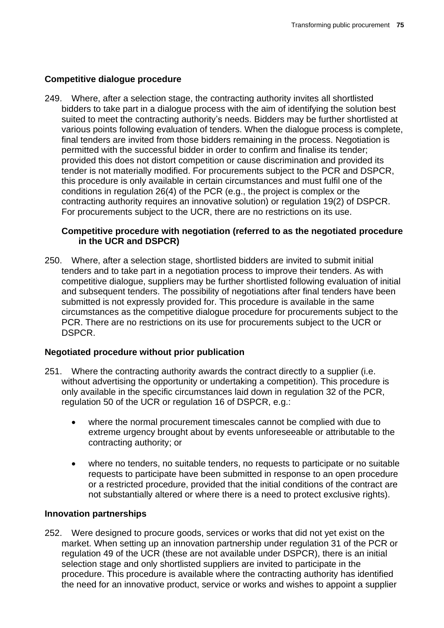#### **Competitive dialogue procedure**

249. Where, after a selection stage, the contracting authority invites all shortlisted bidders to take part in a dialogue process with the aim of identifying the solution best suited to meet the contracting authority's needs. Bidders may be further shortlisted at various points following evaluation of tenders. When the dialogue process is complete, final tenders are invited from those bidders remaining in the process. Negotiation is permitted with the successful bidder in order to confirm and finalise its tender; provided this does not distort competition or cause discrimination and provided its tender is not materially modified. For procurements subject to the PCR and DSPCR, this procedure is only available in certain circumstances and must fulfil one of the conditions in regulation 26(4) of the PCR (e.g., the project is complex or the contracting authority requires an innovative solution) or regulation 19(2) of DSPCR. For procurements subject to the UCR, there are no restrictions on its use.

#### **Competitive procedure with negotiation (referred to as the negotiated procedure in the UCR and DSPCR)**

250. Where, after a selection stage, shortlisted bidders are invited to submit initial tenders and to take part in a negotiation process to improve their tenders. As with competitive dialogue, suppliers may be further shortlisted following evaluation of initial and subsequent tenders. The possibility of negotiations after final tenders have been submitted is not expressly provided for. This procedure is available in the same circumstances as the competitive dialogue procedure for procurements subject to the PCR. There are no restrictions on its use for procurements subject to the UCR or DSPCR.

#### **Negotiated procedure without prior publication**

- 251. Where the contracting authority awards the contract directly to a supplier (i.e. without advertising the opportunity or undertaking a competition). This procedure is only available in the specific circumstances laid down in regulation 32 of the PCR, regulation 50 of the UCR or regulation 16 of DSPCR, e.g.:
	- where the normal procurement timescales cannot be complied with due to extreme urgency brought about by events unforeseeable or attributable to the contracting authority; or
	- where no tenders, no suitable tenders, no requests to participate or no suitable requests to participate have been submitted in response to an open procedure or a restricted procedure, provided that the initial conditions of the contract are not substantially altered or where there is a need to protect exclusive rights).

#### **Innovation partnerships**

252. Were designed to procure goods, services or works that did not yet exist on the market. When setting up an innovation partnership under regulation 31 of the PCR or regulation 49 of the UCR (these are not available under DSPCR), there is an initial selection stage and only shortlisted suppliers are invited to participate in the procedure. This procedure is available where the contracting authority has identified the need for an innovative product, service or works and wishes to appoint a supplier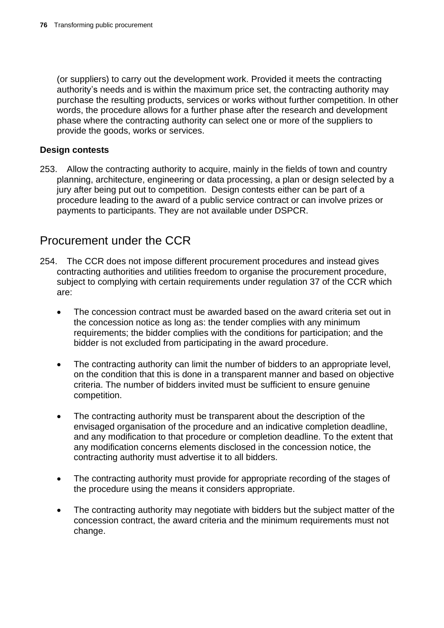(or suppliers) to carry out the development work. Provided it meets the contracting authority's needs and is within the maximum price set, the contracting authority may purchase the resulting products, services or works without further competition. In other words, the procedure allows for a further phase after the research and development phase where the contracting authority can select one or more of the suppliers to provide the goods, works or services.

#### **Design contests**

253. Allow the contracting authority to acquire, mainly in the fields of town and country planning, architecture, engineering or data processing, a plan or design selected by a jury after being put out to competition. Design contests either can be part of a procedure leading to the award of a public service contract or can involve prizes or payments to participants. They are not available under DSPCR.

### Procurement under the CCR

- 254. The CCR does not impose different procurement procedures and instead gives contracting authorities and utilities freedom to organise the procurement procedure, subject to complying with certain requirements under regulation 37 of the CCR which are:
	- The concession contract must be awarded based on the award criteria set out in the concession notice as long as: the tender complies with any minimum requirements; the bidder complies with the conditions for participation; and the bidder is not excluded from participating in the award procedure.
	- The contracting authority can limit the number of bidders to an appropriate level, on the condition that this is done in a transparent manner and based on objective criteria. The number of bidders invited must be sufficient to ensure genuine competition.
	- The contracting authority must be transparent about the description of the envisaged organisation of the procedure and an indicative completion deadline, and any modification to that procedure or completion deadline. To the extent that any modification concerns elements disclosed in the concession notice, the contracting authority must advertise it to all bidders.
	- The contracting authority must provide for appropriate recording of the stages of the procedure using the means it considers appropriate.
	- The contracting authority may negotiate with bidders but the subject matter of the concession contract, the award criteria and the minimum requirements must not change.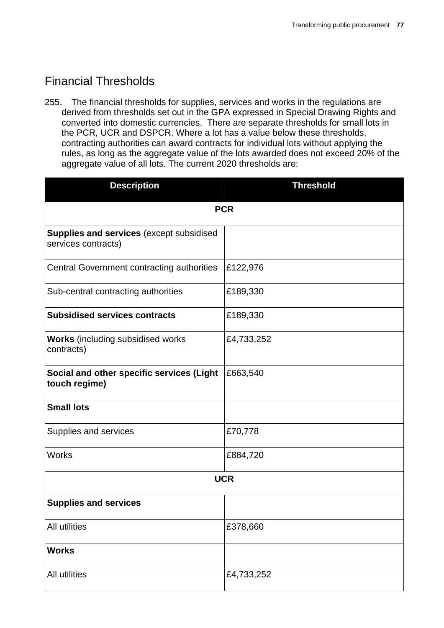# Financial Thresholds

255. The financial thresholds for supplies, services and works in the regulations are derived from thresholds set out in the GPA expressed in Special Drawing Rights and converted into domestic currencies. There are separate thresholds for small lots in the PCR, UCR and DSPCR. Where a lot has a value below these thresholds, contracting authorities can award contracts for individual lots without applying the rules, as long as the aggregate value of the lots awarded does not exceed 20% of the aggregate value of all lots. The current 2020 thresholds are:

| <b>Description</b>                                                     | <b>Threshold</b> |
|------------------------------------------------------------------------|------------------|
| <b>PCR</b>                                                             |                  |
| <b>Supplies and services (except subsidised</b><br>services contracts) |                  |
| Central Government contracting authorities                             | £122,976         |
| Sub-central contracting authorities                                    | £189,330         |
| <b>Subsidised services contracts</b>                                   | £189,330         |
| <b>Works</b> (including subsidised works<br>contracts)                 | £4,733,252       |
| Social and other specific services (Light<br>touch regime)             | £663,540         |
| <b>Small lots</b>                                                      |                  |
| Supplies and services                                                  | £70,778          |
| <b>Works</b>                                                           | £884,720         |
| <b>UCR</b>                                                             |                  |
| <b>Supplies and services</b>                                           |                  |
| All utilities                                                          | £378,660         |
| <b>Works</b>                                                           |                  |
| All utilities                                                          | £4,733,252       |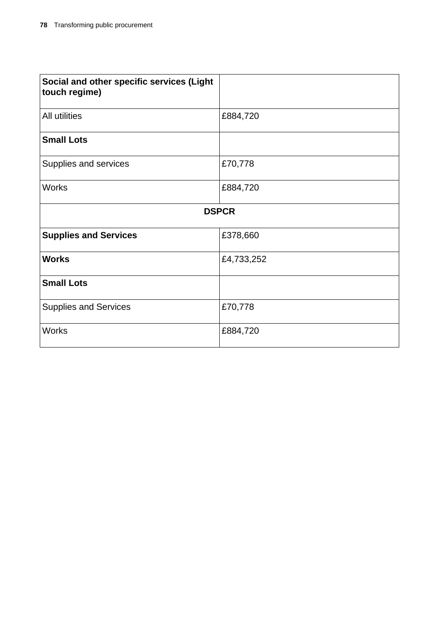| Social and other specific services (Light<br>touch regime) |            |
|------------------------------------------------------------|------------|
| <b>All utilities</b>                                       | £884,720   |
| <b>Small Lots</b>                                          |            |
| Supplies and services                                      | £70,778    |
| <b>Works</b>                                               | £884,720   |
| <b>DSPCR</b>                                               |            |
| <b>Supplies and Services</b>                               | £378,660   |
| <b>Works</b>                                               | £4,733,252 |
| <b>Small Lots</b>                                          |            |
| <b>Supplies and Services</b>                               | £70,778    |
| <b>Works</b>                                               | £884,720   |